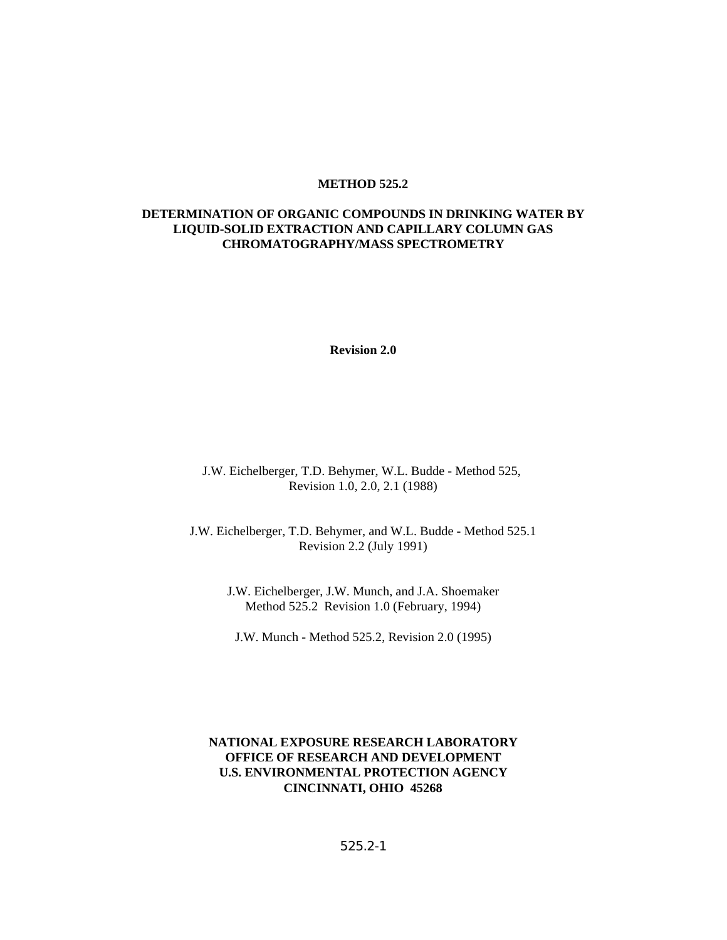#### **METHOD 525.2**

#### **DETERMINATION OF ORGANIC COMPOUNDS IN DRINKING WATER BY LIQUID-SOLID EXTRACTION AND CAPILLARY COLUMN GAS CHROMATOGRAPHY/MASS SPECTROMETRY**

**Revision 2.0**

J.W. Eichelberger, T.D. Behymer, W.L. Budde - Method 525, Revision 1.0, 2.0, 2.1 (1988)

J.W. Eichelberger, T.D. Behymer, and W.L. Budde - Method 525.1 Revision 2.2 (July 1991)

> J.W. Eichelberger, J.W. Munch, and J.A. Shoemaker Method 525.2 Revision 1.0 (February, 1994)

J.W. Munch - Method 525.2, Revision 2.0 (1995)

#### **NATIONAL EXPOSURE RESEARCH LABORATORY OFFICE OF RESEARCH AND DEVELOPMENT U.S. ENVIRONMENTAL PROTECTION AGENCY CINCINNATI, OHIO 45268**

525.2-1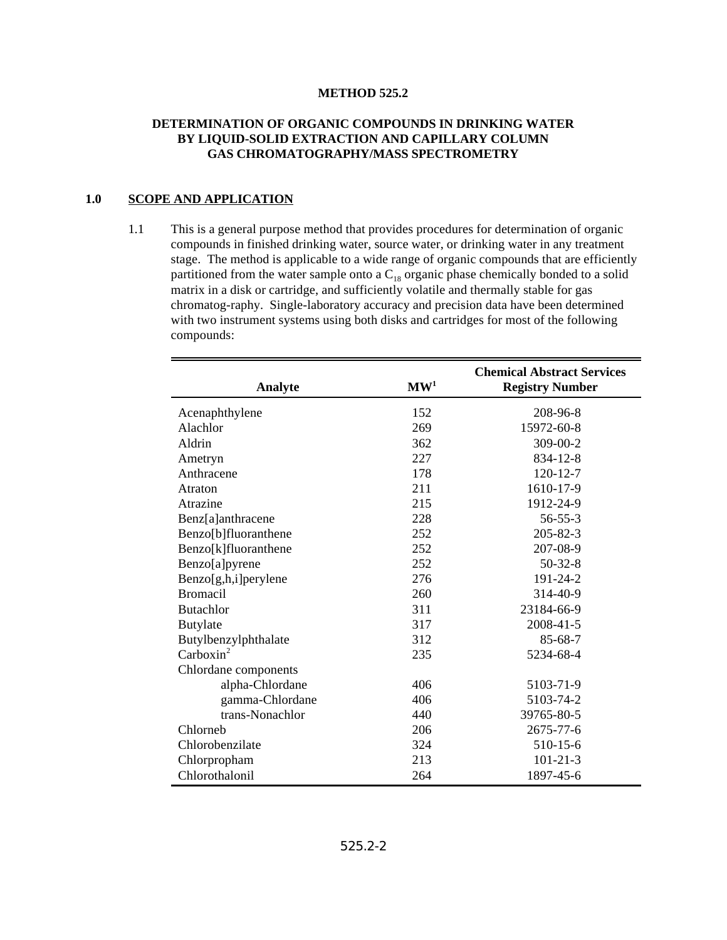#### **METHOD 525.2**

#### **DETERMINATION OF ORGANIC COMPOUNDS IN DRINKING WATER BY LIQUID-SOLID EXTRACTION AND CAPILLARY COLUMN GAS CHROMATOGRAPHY/MASS SPECTROMETRY**

#### **1.0 SCOPE AND APPLICATION**

1.1 This is a general purpose method that provides procedures for determination of organic compounds in finished drinking water, source water, or drinking water in any treatment stage. The method is applicable to a wide range of organic compounds that are efficiently partitioned from the water sample onto a  $C_{18}$  organic phase chemically bonded to a solid matrix in a disk or cartridge, and sufficiently volatile and thermally stable for gas chromatog-raphy. Single-laboratory accuracy and precision data have been determined with two instrument systems using both disks and cartridges for most of the following compounds:

| Analyte               | $\mathbf{M}\mathbf{W}^1$ | <b>Chemical Abstract Services</b><br><b>Registry Number</b> |
|-----------------------|--------------------------|-------------------------------------------------------------|
| Acenaphthylene        | 152                      | 208-96-8                                                    |
| Alachlor              | 269                      | 15972-60-8                                                  |
| Aldrin                | 362                      | 309-00-2                                                    |
| Ametryn               | 227                      | 834-12-8                                                    |
| Anthracene            | 178                      | $120 - 12 - 7$                                              |
| Atraton               | 211                      | 1610-17-9                                                   |
| Atrazine              | 215                      | 1912-24-9                                                   |
| Benz[a]anthracene     | 228                      | $56 - 55 - 3$                                               |
| Benzo[b]fluoranthene  | 252                      | $205 - 82 - 3$                                              |
| Benzo[k]fluoranthene  | 252                      | 207-08-9                                                    |
| Benzo[a]pyrene        | 252                      | $50-32-8$                                                   |
| Benzo[g,h,i]perylene  | 276                      | 191-24-2                                                    |
| <b>Bromacil</b>       | 260                      | 314-40-9                                                    |
| <b>Butachlor</b>      | 311                      | 23184-66-9                                                  |
| <b>Butylate</b>       | 317                      | 2008-41-5                                                   |
| Butylbenzylphthalate  | 312                      | $85 - 68 - 7$                                               |
| Carboxin <sup>2</sup> | 235                      | 5234-68-4                                                   |
| Chlordane components  |                          |                                                             |
| alpha-Chlordane       | 406                      | 5103-71-9                                                   |
| gamma-Chlordane       | 406                      | 5103-74-2                                                   |
| trans-Nonachlor       | 440                      | 39765-80-5                                                  |
| Chlorneb              | 206                      | 2675-77-6                                                   |
| Chlorobenzilate       | 324                      | 510-15-6                                                    |
| Chlorpropham          | 213                      | $101 - 21 - 3$                                              |
| Chlorothalonil        | 264                      | 1897-45-6                                                   |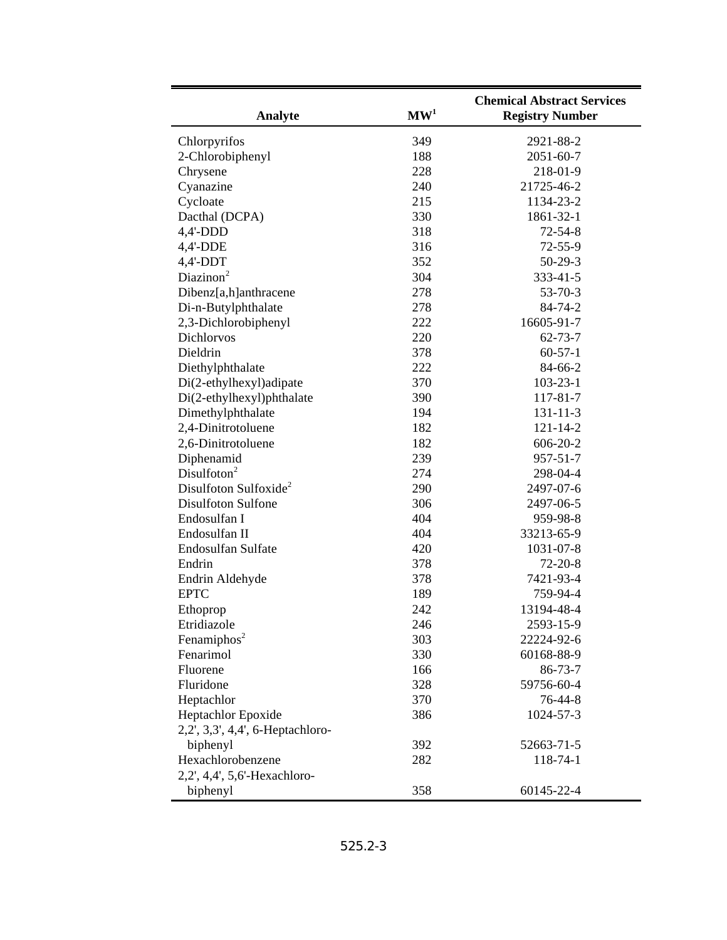| Analyte                                  | $\mathbf{M}\mathbf{W}^1$ | <b>Chemical Abstract Services</b><br><b>Registry Number</b> |
|------------------------------------------|--------------------------|-------------------------------------------------------------|
| Chlorpyrifos                             | 349                      | 2921-88-2                                                   |
| 2-Chlorobiphenyl                         | 188                      | $2051 - 60 - 7$                                             |
| Chrysene                                 | 228                      | 218-01-9                                                    |
| Cyanazine                                | 240                      | 21725-46-2                                                  |
| Cycloate                                 | 215                      | 1134-23-2                                                   |
| Dacthal (DCPA)                           | 330                      | 1861-32-1                                                   |
| $4,4'-DDD$                               | 318                      | $72 - 54 - 8$                                               |
| 4,4'-DDE                                 | 316                      | $72 - 55 - 9$                                               |
| $4,4'-DDT$                               | 352                      | $50 - 29 - 3$                                               |
| Diazinon <sup>2</sup>                    | 304                      | $333 - 41 - 5$                                              |
| Dibenz[a,h]anthracene                    | 278                      | $53 - 70 - 3$                                               |
| Di-n-Butylphthalate                      | 278                      | 84-74-2                                                     |
| 2,3-Dichlorobiphenyl                     | 222                      | 16605-91-7                                                  |
| Dichlorvos                               | 220                      | $62 - 73 - 7$                                               |
| Dieldrin                                 | 378                      | $60 - 57 - 1$                                               |
| Diethylphthalate                         | 222                      | 84-66-2                                                     |
| Di(2-ethylhexyl)adipate                  | 370                      | $103 - 23 - 1$                                              |
| Di(2-ethylhexyl)phthalate                | 390                      | 117-81-7                                                    |
| Dimethylphthalate                        | 194<br>182               | $131 - 11 - 3$                                              |
| 2,4-Dinitrotoluene<br>2,6-Dinitrotoluene | 182                      | $121 - 14 - 2$<br>$606 - 20 - 2$                            |
| Diphenamid                               | 239                      | $957 - 51 - 7$                                              |
| Disulfoton <sup>2</sup>                  | 274                      | 298-04-4                                                    |
| Disulfoton Sulfoxide <sup>2</sup>        | 290                      | 2497-07-6                                                   |
| <b>Disulfoton Sulfone</b>                | 306                      | 2497-06-5                                                   |
| Endosulfan I                             | 404                      | 959-98-8                                                    |
| Endosulfan II                            | 404                      | 33213-65-9                                                  |
| Endosulfan Sulfate                       | 420                      | 1031-07-8                                                   |
| Endrin                                   | 378                      | $72 - 20 - 8$                                               |
| Endrin Aldehyde                          | 378                      | 7421-93-4                                                   |
| <b>EPTC</b>                              | 189                      | 759-94-4                                                    |
| Ethoprop                                 | 242                      | 13194-48-4                                                  |
| Etridiazole                              | 246                      | 2593-15-9                                                   |
| Fenamiphos <sup>2</sup>                  | 303                      | 22224-92-6                                                  |
| Fenarimol                                | 330                      | 60168-88-9                                                  |
| Fluorene                                 | 166                      | $86 - 73 - 7$                                               |
| Fluridone                                | 328                      | 59756-60-4                                                  |
| Heptachlor                               | 370                      | 76-44-8                                                     |
| Heptachlor Epoxide                       | 386                      | 1024-57-3                                                   |
| 2,2', 3,3', 4,4', 6-Heptachloro-         |                          |                                                             |
| biphenyl                                 | 392                      | 52663-71-5                                                  |
| Hexachlorobenzene                        | 282                      | 118-74-1                                                    |
| 2,2', 4,4', 5,6'-Hexachloro-             |                          |                                                             |
| biphenyl                                 | 358                      | 60145-22-4                                                  |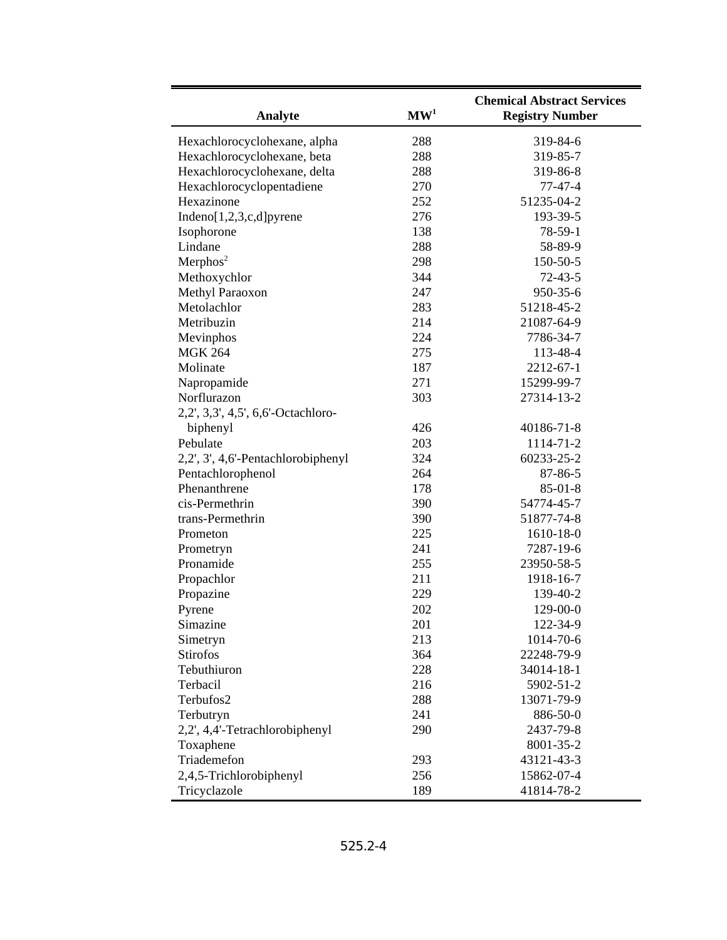| Analyte                            | $\mathbf{M}\mathbf{W}^1$ | <b>Chemical Abstract Services</b><br><b>Registry Number</b> |
|------------------------------------|--------------------------|-------------------------------------------------------------|
| Hexachlorocyclohexane, alpha       | 288                      | 319-84-6                                                    |
| Hexachlorocyclohexane, beta        | 288                      | 319-85-7                                                    |
| Hexachlorocyclohexane, delta       | 288                      | 319-86-8                                                    |
| Hexachlorocyclopentadiene          | 270                      | $77 - 47 - 4$                                               |
| Hexazinone                         | 252                      | 51235-04-2                                                  |
| Indeno $[1,2,3,c,d]$ pyrene        | 276                      | 193-39-5                                                    |
| Isophorone                         | 138                      | 78-59-1                                                     |
| Lindane                            | 288                      | 58-89-9                                                     |
| Merphos <sup>2</sup>               | 298                      | 150-50-5                                                    |
| Methoxychlor                       | 344                      | $72 - 43 - 5$                                               |
| Methyl Paraoxon                    | 247                      | 950-35-6                                                    |
| Metolachlor                        | 283                      | 51218-45-2                                                  |
| Metribuzin                         | 214                      | 21087-64-9                                                  |
| Mevinphos                          | 224                      | 7786-34-7                                                   |
| <b>MGK 264</b>                     | 275                      | 113-48-4                                                    |
| Molinate                           | 187                      | 2212-67-1                                                   |
| Napropamide                        | 271                      | 15299-99-7                                                  |
| Norflurazon                        | 303                      | 27314-13-2                                                  |
| 2,2', 3,3', 4,5', 6,6'-Octachloro- |                          |                                                             |
| biphenyl                           | 426                      | 40186-71-8                                                  |
| Pebulate                           | 203                      | 1114-71-2                                                   |
| 2,2', 3', 4,6'-Pentachlorobiphenyl | 324                      | 60233-25-2                                                  |
| Pentachlorophenol                  | 264                      | 87-86-5                                                     |
| Phenanthrene                       | 178                      | $85 - 01 - 8$                                               |
| cis-Permethrin                     | 390                      | 54774-45-7                                                  |
| trans-Permethrin                   | 390                      | 51877-74-8                                                  |
| Prometon                           | 225                      | 1610-18-0                                                   |
| Prometryn                          | 241                      | 7287-19-6                                                   |
| Pronamide                          | 255                      | 23950-58-5                                                  |
| Propachlor                         | 211                      | 1918-16-7                                                   |
| Propazine                          | 229                      | 139-40-2                                                    |
| Pyrene                             | 202                      | 129-00-0                                                    |
| Simazine                           | 201                      | 122-34-9                                                    |
| Simetryn                           | 213                      | 1014-70-6                                                   |
| <b>Stirofos</b>                    | 364                      | 22248-79-9                                                  |
| Tebuthiuron                        | 228                      | 34014-18-1                                                  |
| Terbacil                           | 216                      | 5902-51-2                                                   |
| Terbufos2                          | 288                      | 13071-79-9                                                  |
| Terbutryn                          | 241                      | 886-50-0                                                    |
| 2,2', 4,4'-Tetrachlorobiphenyl     | 290                      | 2437-79-8                                                   |
| Toxaphene                          |                          | 8001-35-2                                                   |
| Triademefon                        | 293                      | 43121-43-3                                                  |
| 2,4,5-Trichlorobiphenyl            | 256                      | 15862-07-4                                                  |
| Tricyclazole                       | 189                      | 41814-78-2                                                  |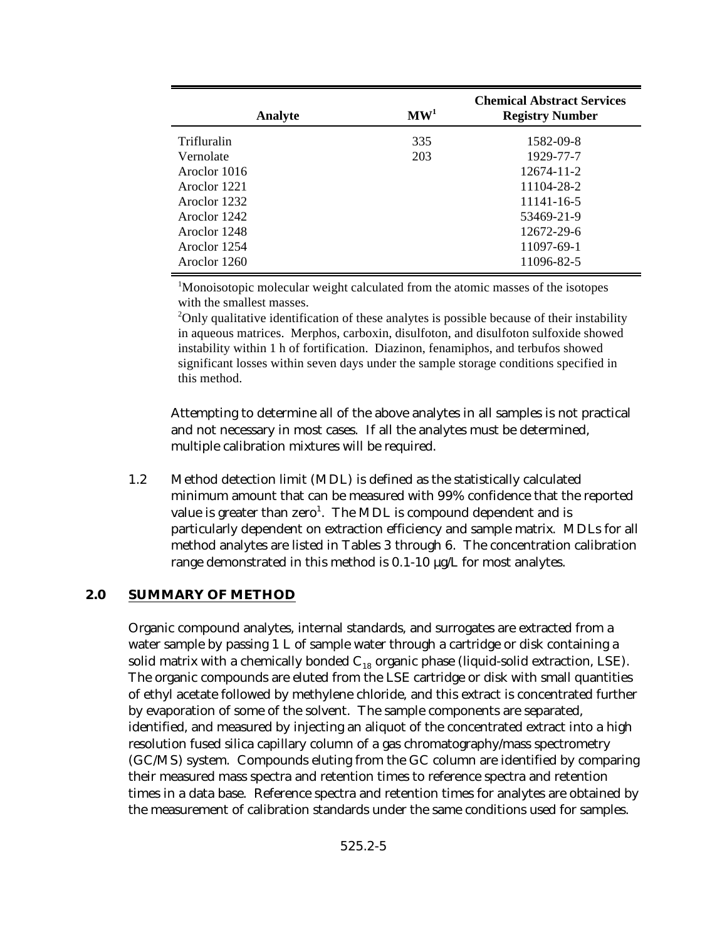| Analyte      | $\mathbf{M}\mathbf{W}^1$ | <b>Chemical Abstract Services</b><br><b>Registry Number</b> |
|--------------|--------------------------|-------------------------------------------------------------|
| Trifluralin  | 335                      | 1582-09-8                                                   |
| Vernolate    | 203                      | 1929-77-7                                                   |
| Aroclor 1016 |                          | 12674-11-2                                                  |
| Aroclor 1221 |                          | 11104-28-2                                                  |
| Aroclor 1232 |                          | 11141-16-5                                                  |
| Aroclor 1242 |                          | 53469-21-9                                                  |
| Aroclor 1248 |                          | 12672-29-6                                                  |
| Aroclor 1254 |                          | 11097-69-1                                                  |
| Aroclor 1260 |                          | 11096-82-5                                                  |

 $M$ <sup>1</sup>Monoisotopic molecular weight calculated from the atomic masses of the isotopes with the smallest masses.

 $\rm^2$ Only qualitative identification of these analytes is possible because of their instability in aqueous matrices. Merphos, carboxin, disulfoton, and disulfoton sulfoxide showed instability within 1 h of fortification. Diazinon, fenamiphos, and terbufos showed significant losses within seven days under the sample storage conditions specified in this method.

Attempting to determine all of the above analytes in all samples is not practical and not necessary in most cases. If all the analytes must be determined, multiple calibration mixtures will be required.

1.2 Method detection limit (MDL) is defined as the statistically calculated minimum amount that can be measured with 99% confidence that the reported value is greater than  $zero^1$ . The MDL is compound dependent and is particularly dependent on extraction efficiency and sample matrix. MDLs for all method analytes are listed in Tables 3 through 6. The concentration calibration range demonstrated in this method is 0.1-10 µg/L for most analytes.

# **2.0 SUMMARY OF METHOD**

Organic compound analytes, internal standards, and surrogates are extracted from a water sample by passing 1 L of sample water through a cartridge or disk containing a solid matrix with a chemically bonded  $C_{18}$  organic phase (liquid-solid extraction, LSE). The organic compounds are eluted from the LSE cartridge or disk with small quantities of ethyl acetate followed by methylene chloride, and this extract is concentrated further by evaporation of some of the solvent. The sample components are separated, identified, and measured by injecting an aliquot of the concentrated extract into a high resolution fused silica capillary column of a gas chromatography/mass spectrometry (GC/MS) system. Compounds eluting from the GC column are identified by comparing their measured mass spectra and retention times to reference spectra and retention times in a data base. Reference spectra and retention times for analytes are obtained by the measurement of calibration standards under the same conditions used for samples.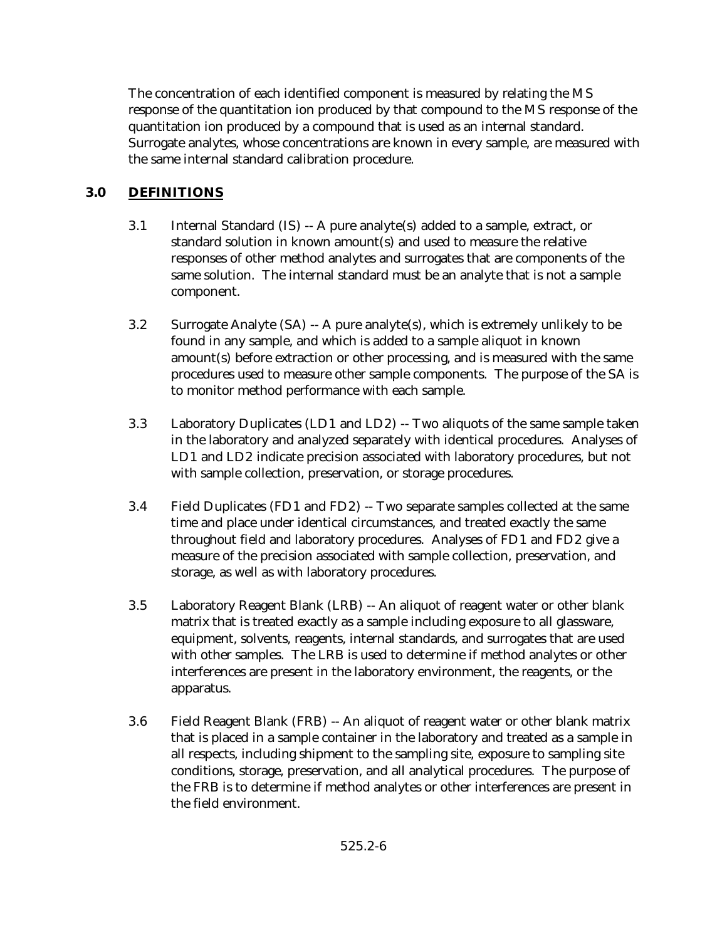The concentration of each identified component is measured by relating the MS response of the quantitation ion produced by that compound to the MS response of the quantitation ion produced by a compound that is used as an internal standard. Surrogate analytes, whose concentrations are known in every sample, are measured with the same internal standard calibration procedure.

# **3.0 DEFINITIONS**

- 3.1 Internal Standard (IS) -- A pure analyte(s) added to a sample, extract, or standard solution in known amount(s) and used to measure the relative responses of other method analytes and surrogates that are components of the same solution. The internal standard must be an analyte that is not a sample component.
- 3.2 Surrogate Analyte (SA) -- A pure analyte(s), which is extremely unlikely to be found in any sample, and which is added to a sample aliquot in known amount(s) before extraction or other processing, and is measured with the same procedures used to measure other sample components. The purpose of the SA is to monitor method performance with each sample.
- 3.3 Laboratory Duplicates (LD1 and LD2) -- Two aliquots of the same sample taken in the laboratory and analyzed separately with identical procedures. Analyses of LD1 and LD2 indicate precision associated with laboratory procedures, but not with sample collection, preservation, or storage procedures.
- 3.4 Field Duplicates (FD1 and FD2) -- Two separate samples collected at the same time and place under identical circumstances, and treated exactly the same throughout field and laboratory procedures. Analyses of FD1 and FD2 give a measure of the precision associated with sample collection, preservation, and storage, as well as with laboratory procedures.
- 3.5 Laboratory Reagent Blank (LRB) -- An aliquot of reagent water or other blank matrix that is treated exactly as a sample including exposure to all glassware, equipment, solvents, reagents, internal standards, and surrogates that are used with other samples. The LRB is used to determine if method analytes or other interferences are present in the laboratory environment, the reagents, or the apparatus.
- 3.6 Field Reagent Blank (FRB) -- An aliquot of reagent water or other blank matrix that is placed in a sample container in the laboratory and treated as a sample in all respects, including shipment to the sampling site, exposure to sampling site conditions, storage, preservation, and all analytical procedures. The purpose of the FRB is to determine if method analytes or other interferences are present in the field environment.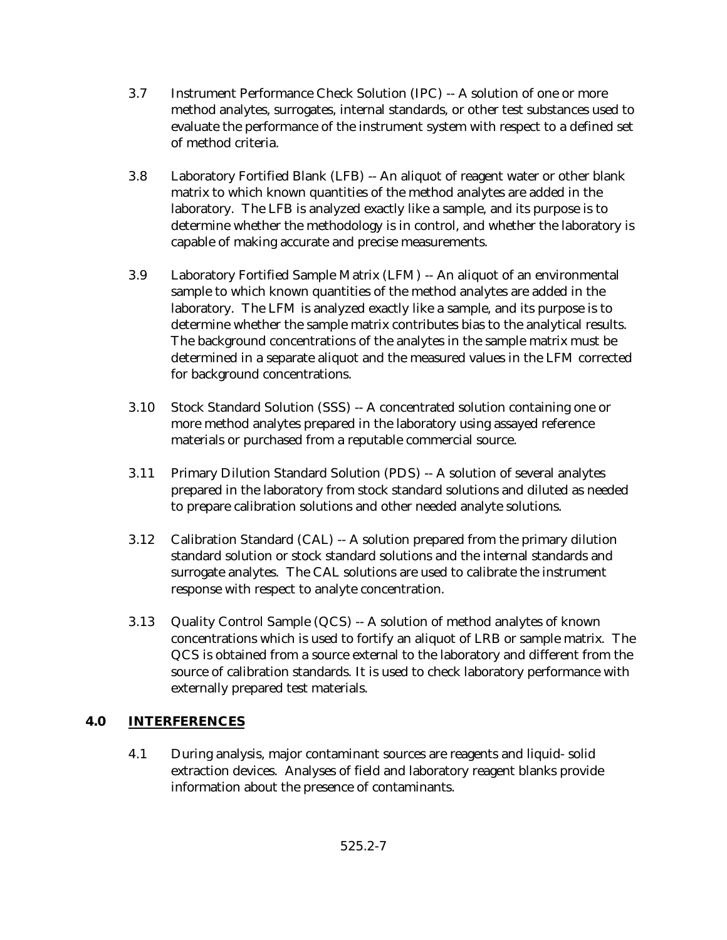- 3.7 Instrument Performance Check Solution (IPC) -- A solution of one or more method analytes, surrogates, internal standards, or other test substances used to evaluate the performance of the instrument system with respect to a defined set of method criteria.
- 3.8 Laboratory Fortified Blank (LFB) -- An aliquot of reagent water or other blank matrix to which known quantities of the method analytes are added in the laboratory. The LFB is analyzed exactly like a sample, and its purpose is to determine whether the methodology is in control, and whether the laboratory is capable of making accurate and precise measurements.
- 3.9 Laboratory Fortified Sample Matrix (LFM) -- An aliquot of an environmental sample to which known quantities of the method analytes are added in the laboratory. The LFM is analyzed exactly like a sample, and its purpose is to determine whether the sample matrix contributes bias to the analytical results. The background concentrations of the analytes in the sample matrix must be determined in a separate aliquot and the measured values in the LFM corrected for background concentrations.
- 3.10 Stock Standard Solution (SSS) -- A concentrated solution containing one or more method analytes prepared in the laboratory using assayed reference materials or purchased from a reputable commercial source.
- 3.11 Primary Dilution Standard Solution (PDS) -- A solution of several analytes prepared in the laboratory from stock standard solutions and diluted as needed to prepare calibration solutions and other needed analyte solutions.
- 3.12 Calibration Standard (CAL) -- A solution prepared from the primary dilution standard solution or stock standard solutions and the internal standards and surrogate analytes. The CAL solutions are used to calibrate the instrument response with respect to analyte concentration.
- 3.13 Quality Control Sample (QCS) -- A solution of method analytes of known concentrations which is used to fortify an aliquot of LRB or sample matrix. The QCS is obtained from a source external to the laboratory and different from the source of calibration standards. It is used to check laboratory performance with externally prepared test materials.

# **4.0 INTERFERENCES**

4.1 During analysis, major contaminant sources are reagents and liquid- solid extraction devices. Analyses of field and laboratory reagent blanks provide information about the presence of contaminants.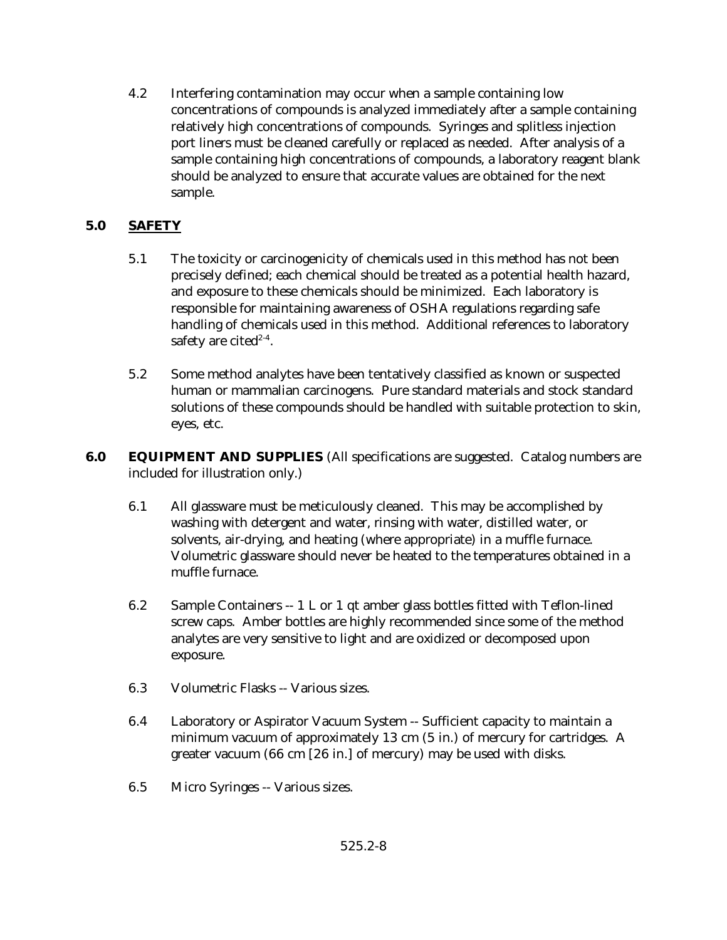4.2 Interfering contamination may occur when a sample containing low concentrations of compounds is analyzed immediately after a sample containing relatively high concentrations of compounds. Syringes and splitless injection port liners must be cleaned carefully or replaced as needed. After analysis of a sample containing high concentrations of compounds, a laboratory reagent blank should be analyzed to ensure that accurate values are obtained for the next sample.

# **5.0 SAFETY**

- 5.1 The toxicity or carcinogenicity of chemicals used in this method has not been precisely defined; each chemical should be treated as a potential health hazard, and exposure to these chemicals should be minimized. Each laboratory is responsible for maintaining awareness of OSHA regulations regarding safe handling of chemicals used in this method. Additional references to laboratory safety are cited $2-4$ .
- 5.2 Some method analytes have been tentatively classified as known or suspected human or mammalian carcinogens. Pure standard materials and stock standard solutions of these compounds should be handled with suitable protection to skin, eyes, etc.
- **6.0 EQUIPMENT AND SUPPLIES** (All specifications are suggested. Catalog numbers are included for illustration only.)
	- 6.1 All glassware must be meticulously cleaned. This may be accomplished by washing with detergent and water, rinsing with water, distilled water, or solvents, air-drying, and heating (where appropriate) in a muffle furnace. Volumetric glassware should never be heated to the temperatures obtained in a muffle furnace.
	- 6.2 Sample Containers -- 1 L or 1 qt amber glass bottles fitted with Teflon-lined screw caps. Amber bottles are highly recommended since some of the method analytes are very sensitive to light and are oxidized or decomposed upon exposure.
	- 6.3 Volumetric Flasks -- Various sizes.
	- 6.4 Laboratory or Aspirator Vacuum System -- Sufficient capacity to maintain a minimum vacuum of approximately 13 cm (5 in.) of mercury for cartridges. A greater vacuum (66 cm [26 in.] of mercury) may be used with disks.
	- 6.5 Micro Syringes -- Various sizes.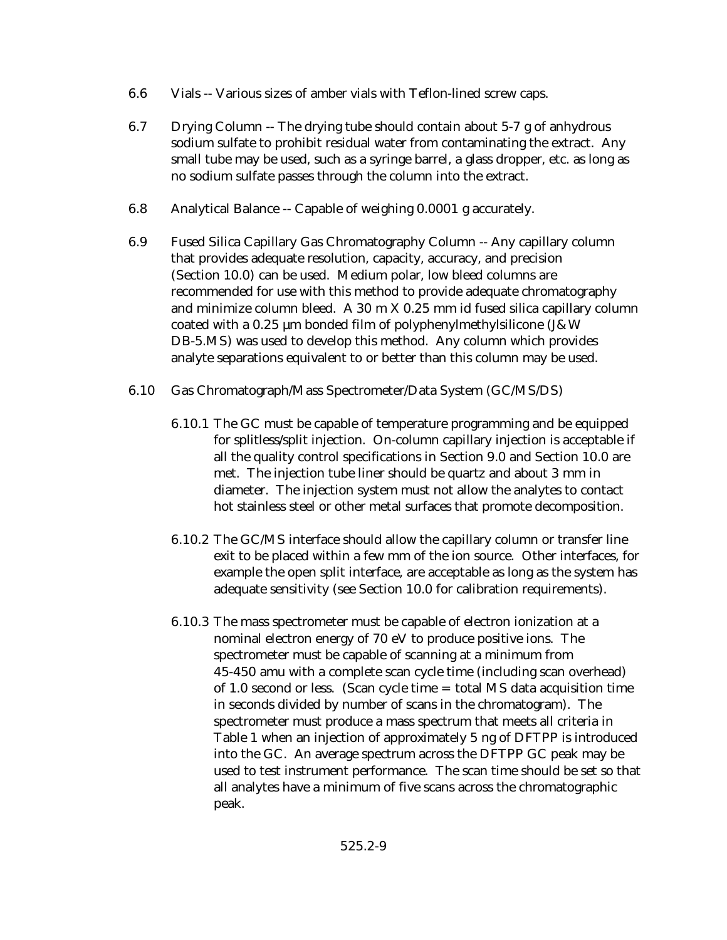- 6.6 Vials -- Various sizes of amber vials with Teflon-lined screw caps.
- 6.7 Drying Column -- The drying tube should contain about 5-7 g of anhydrous sodium sulfate to prohibit residual water from contaminating the extract. Any small tube may be used, such as a syringe barrel, a glass dropper, etc. as long as no sodium sulfate passes through the column into the extract.
- 6.8 Analytical Balance -- Capable of weighing 0.0001 g accurately.
- 6.9 Fused Silica Capillary Gas Chromatography Column -- Any capillary column that provides adequate resolution, capacity, accuracy, and precision (Section 10.0) can be used. Medium polar, low bleed columns are recommended for use with this method to provide adequate chromatography and minimize column bleed. A 30 m X 0.25 mm id fused silica capillary column coated with a 0.25 µm bonded film of polyphenylmethylsilicone (J&W DB-5.MS) was used to develop this method. Any column which provides analyte separations equivalent to or better than this column may be used.
- 6.10 Gas Chromatograph/Mass Spectrometer/Data System (GC/MS/DS)
	- 6.10.1 The GC must be capable of temperature programming and be equipped for splitless/split injection. On-column capillary injection is acceptable if all the quality control specifications in Section 9.0 and Section 10.0 are met. The injection tube liner should be quartz and about 3 mm in diameter. The injection system must not allow the analytes to contact hot stainless steel or other metal surfaces that promote decomposition.
	- 6.10.2 The GC/MS interface should allow the capillary column or transfer line exit to be placed within a few mm of the ion source. Other interfaces, for example the open split interface, are acceptable as long as the system has adequate sensitivity (see Section 10.0 for calibration requirements).
	- 6.10.3 The mass spectrometer must be capable of electron ionization at a nominal electron energy of 70 eV to produce positive ions. The spectrometer must be capable of scanning at a minimum from 45-450 amu with a complete scan cycle time (including scan overhead) of 1.0 second or less. (Scan cycle time = total MS data acquisition time in seconds divided by number of scans in the chromatogram). The spectrometer must produce a mass spectrum that meets all criteria in Table 1 when an injection of approximately 5 ng of DFTPP is introduced into the GC. An average spectrum across the DFTPP GC peak may be used to test instrument performance. The scan time should be set so that all analytes have a minimum of five scans across the chromatographic peak.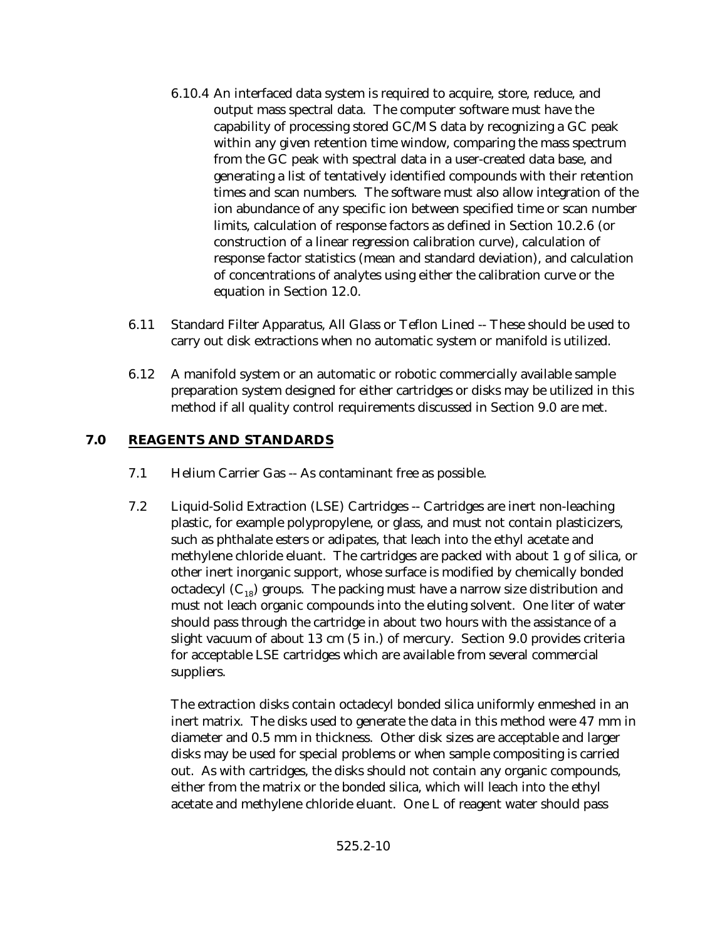- 6.10.4 An interfaced data system is required to acquire, store, reduce, and output mass spectral data. The computer software must have the capability of processing stored GC/MS data by recognizing a GC peak within any given retention time window, comparing the mass spectrum from the GC peak with spectral data in a user-created data base, and generating a list of tentatively identified compounds with their retention times and scan numbers. The software must also allow integration of the ion abundance of any specific ion between specified time or scan number limits, calculation of response factors as defined in Section 10.2.6 (or construction of a linear regression calibration curve), calculation of response factor statistics (mean and standard deviation), and calculation of concentrations of analytes using either the calibration curve or the equation in Section 12.0.
- 6.11 Standard Filter Apparatus, All Glass or Teflon Lined -- These should be used to carry out disk extractions when no automatic system or manifold is utilized.
- 6.12 A manifold system or an automatic or robotic commercially available sample preparation system designed for either cartridges or disks may be utilized in this method if all quality control requirements discussed in Section 9.0 are met.

# **7.0 REAGENTS AND STANDARDS**

- 7.1 Helium Carrier Gas -- As contaminant free as possible.
- 7.2 Liquid-Solid Extraction (LSE) Cartridges -- Cartridges are inert non-leaching plastic, for example polypropylene, or glass, and must not contain plasticizers, such as phthalate esters or adipates, that leach into the ethyl acetate and methylene chloride eluant. The cartridges are packed with about 1 g of silica, or other inert inorganic support, whose surface is modified by chemically bonded octadecyl  $(C_{18})$  groups. The packing must have a narrow size distribution and must not leach organic compounds into the eluting solvent. One liter of water should pass through the cartridge in about two hours with the assistance of a slight vacuum of about 13 cm (5 in.) of mercury. Section 9.0 provides criteria for acceptable LSE cartridges which are available from several commercial suppliers.

The extraction disks contain octadecyl bonded silica uniformly enmeshed in an inert matrix. The disks used to generate the data in this method were 47 mm in diameter and 0.5 mm in thickness. Other disk sizes are acceptable and larger disks may be used for special problems or when sample compositing is carried out. As with cartridges, the disks should not contain any organic compounds, either from the matrix or the bonded silica, which will leach into the ethyl acetate and methylene chloride eluant. One L of reagent water should pass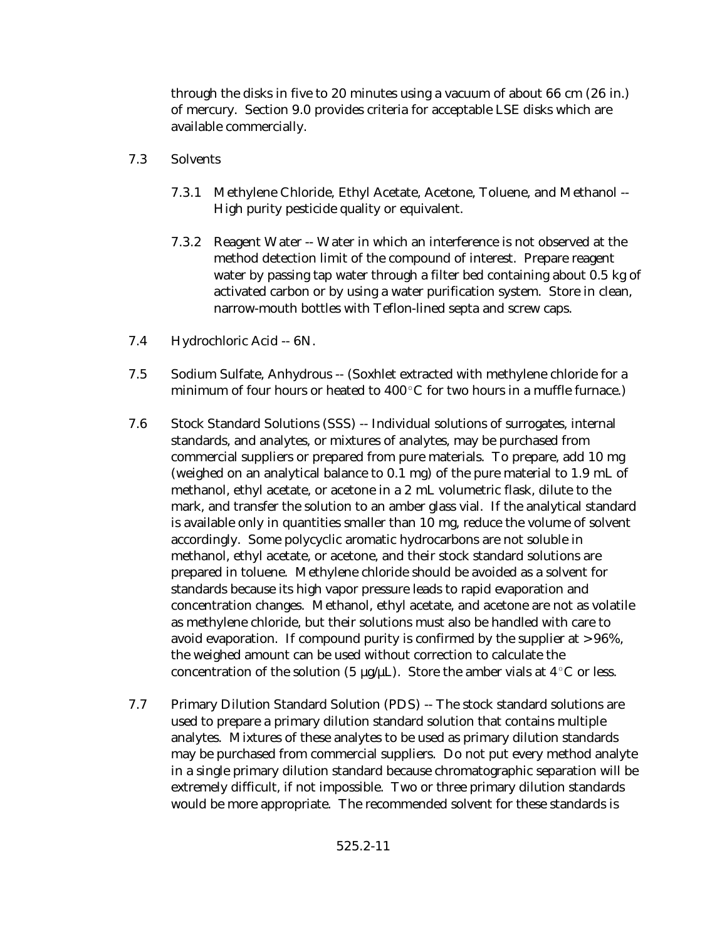through the disks in five to 20 minutes using a vacuum of about 66 cm (26 in.) of mercury. Section 9.0 provides criteria for acceptable LSE disks which are available commercially.

- 7.3 Solvents
	- 7.3.1 Methylene Chloride, Ethyl Acetate, Acetone, Toluene, and Methanol -- High purity pesticide quality or equivalent.
	- 7.3.2 Reagent Water -- Water in which an interference is not observed at the method detection limit of the compound of interest. Prepare reagent water by passing tap water through a filter bed containing about 0.5 kg of activated carbon or by using a water purification system. Store in clean, narrow-mouth bottles with Teflon-lined septa and screw caps.
- 7.4 Hydrochloric Acid -- 6N.
- 7.5 Sodium Sulfate, Anhydrous -- (Soxhlet extracted with methylene chloride for a minimum of four hours or heated to  $400^{\circ}$ C for two hours in a muffle furnace.)
- 7.6 Stock Standard Solutions (SSS) -- Individual solutions of surrogates, internal standards, and analytes, or mixtures of analytes, may be purchased from commercial suppliers or prepared from pure materials. To prepare, add 10 mg (weighed on an analytical balance to 0.1 mg) of the pure material to 1.9 mL of methanol, ethyl acetate, or acetone in a 2 mL volumetric flask, dilute to the mark, and transfer the solution to an amber glass vial. If the analytical standard is available only in quantities smaller than 10 mg, reduce the volume of solvent accordingly. Some polycyclic aromatic hydrocarbons are not soluble in methanol, ethyl acetate, or acetone, and their stock standard solutions are prepared in toluene. Methylene chloride should be avoided as a solvent for standards because its high vapor pressure leads to rapid evaporation and concentration changes. Methanol, ethyl acetate, and acetone are not as volatile as methylene chloride, but their solutions must also be handled with care to avoid evaporation. If compound purity is confirmed by the supplier at  $> 96\%$ , the weighed amount can be used without correction to calculate the concentration of the solution (5  $\mu$ g/ $\mu$ L). Store the amber vials at 4 °C or less.
- 7.7 Primary Dilution Standard Solution (PDS) -- The stock standard solutions are used to prepare a primary dilution standard solution that contains multiple analytes. Mixtures of these analytes to be used as primary dilution standards may be purchased from commercial suppliers. Do not put every method analyte in a single primary dilution standard because chromatographic separation will be extremely difficult, if not impossible. Two or three primary dilution standards would be more appropriate. The recommended solvent for these standards is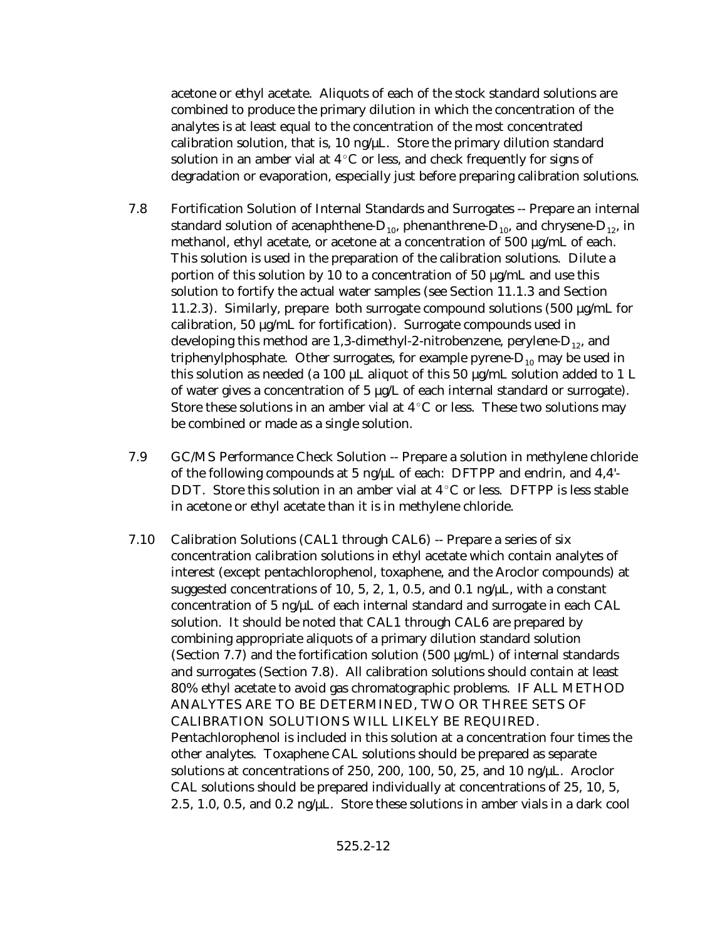acetone or ethyl acetate. Aliquots of each of the stock standard solutions are combined to produce the primary dilution in which the concentration of the analytes is at least equal to the concentration of the most concentrated calibration solution, that is, 10 ng/ $\mu$ L. Store the primary dilution standard solution in an amber vial at  $4^{\circ}$ C or less, and check frequently for signs of degradation or evaporation, especially just before preparing calibration solutions.

- 7.8 Fortification Solution of Internal Standards and Surrogates -- Prepare an internal standard solution of acenaphthene- $D_{10}$ , phenanthrene- $D_{10}$ , and chrysene- $D_{12}$ , in methanol, ethyl acetate, or acetone at a concentration of 500 µg/mL of each. This solution is used in the preparation of the calibration solutions. Dilute a portion of this solution by 10 to a concentration of 50 µg/mL and use this solution to fortify the actual water samples (see Section 11.1.3 and Section 11.2.3). Similarly, prepare both surrogate compound solutions  $(500 \mu g/mL)$  for calibration, 50 µg/mL for fortification). Surrogate compounds used in developing this method are 1,3-dimethyl-2-nitrobenzene, perylene- $D_{12}$ , and triphenylphosphate. Other surrogates, for example pyrene- $D_{10}$  may be used in this solution as needed (a 100  $\upmu\!L$  aliquot of this 50  $\upmu\!g/\rm{m}L$  solution added to 1  $L$ of water gives a concentration of 5 µg/L of each internal standard or surrogate). Store these solutions in an amber vial at  $4^{\circ}$ C or less. These two solutions may be combined or made as a single solution.
- 7.9 GC/MS Performance Check Solution -- Prepare a solution in methylene chloride of the following compounds at 5 ng/µL of each: DFTPP and endrin, and 4,4'- DDT. Store this solution in an amber vial at  $4^{\circ}$ C or less. DFTPP is less stable in acetone or ethyl acetate than it is in methylene chloride.
- 7.10 Calibration Solutions (CAL1 through CAL6) -- Prepare a series of six concentration calibration solutions in ethyl acetate which contain analytes of interest (except pentachlorophenol, toxaphene, and the Aroclor compounds) at suggested concentrations of 10, 5, 2, 1, 0.5, and 0.1 ng/ $\mu$ L, with a constant concentration of 5 ng/ $\mu$ L of each internal standard and surrogate in each CAL solution. It should be noted that CAL1 through CAL6 are prepared by combining appropriate aliquots of a primary dilution standard solution (Section 7.7) and the fortification solution (500  $\mu$ g/mL) of internal standards and surrogates (Section 7.8). All calibration solutions should contain at least 80% ethyl acetate to avoid gas chromatographic problems. IF ALL METHOD ANALYTES ARE TO BE DETERMINED, TWO OR THREE SETS OF CALIBRATION SOLUTIONS WILL LIKELY BE REQUIRED. Pentachlorophenol is included in this solution at a concentration four times the other analytes. Toxaphene CAL solutions should be prepared as separate solutions at concentrations of 250, 200, 100, 50, 25, and 10 ng/µL. Aroclor CAL solutions should be prepared individually at concentrations of 25, 10, 5, 2.5, 1.0, 0.5, and 0.2 ng/ $\mu$ . Store these solutions in amber vials in a dark cool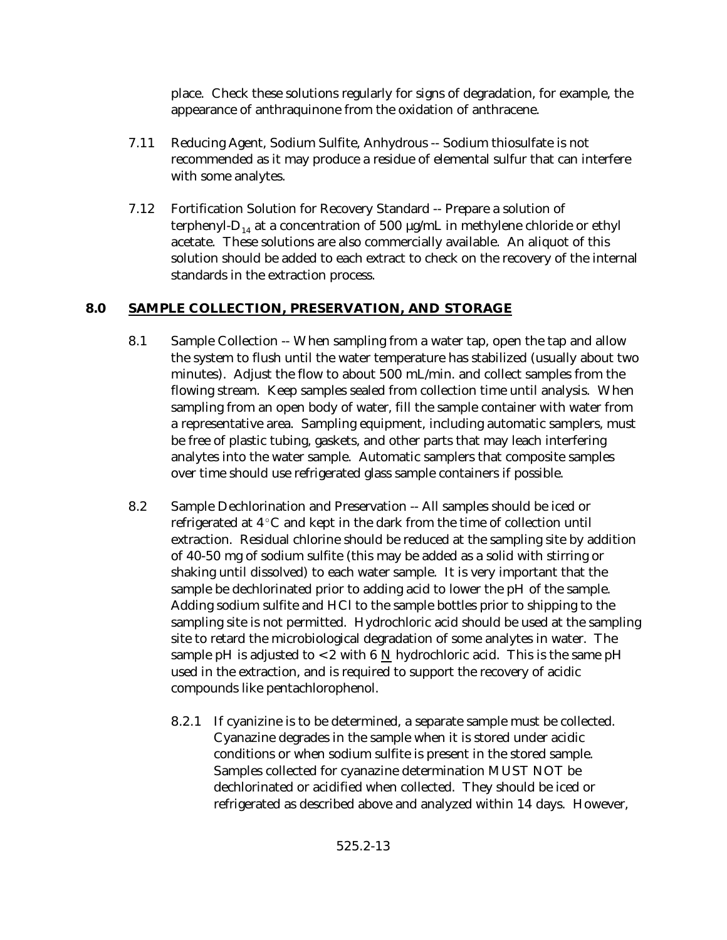place. Check these solutions regularly for signs of degradation, for example, the appearance of anthraquinone from the oxidation of anthracene.

- 7.11 Reducing Agent, Sodium Sulfite, Anhydrous -- Sodium thiosulfate is not recommended as it may produce a residue of elemental sulfur that can interfere with some analytes.
- 7.12 Fortification Solution for Recovery Standard -- Prepare a solution of terphenyl-D<sub>14</sub> at a concentration of 500  $\mu$ g/mL in methylene chloride or ethyl acetate. These solutions are also commercially available. An aliquot of this solution should be added to each extract to check on the recovery of the internal standards in the extraction process.

# **8.0 SAMPLE COLLECTION, PRESERVATION, AND STORAGE**

- 8.1 Sample Collection -- When sampling from a water tap, open the tap and allow the system to flush until the water temperature has stabilized (usually about two minutes). Adjust the flow to about 500 mL/min. and collect samples from the flowing stream. Keep samples sealed from collection time until analysis. When sampling from an open body of water, fill the sample container with water from a representative area. Sampling equipment, including automatic samplers, must be free of plastic tubing, gaskets, and other parts that may leach interfering analytes into the water sample. Automatic samplers that composite samples over time should use refrigerated glass sample containers if possible.
- 8.2 Sample Dechlorination and Preservation -- All samples should be iced or refrigerated at  $4^{\circ}$ C and kept in the dark from the time of collection until extraction. Residual chlorine should be reduced at the sampling site by addition of 40-50 mg of sodium sulfite (this may be added as a solid with stirring or shaking until dissolved) to each water sample. It is very important that the sample be dechlorinated prior to adding acid to lower the pH of the sample. Adding sodium sulfite and HCl to the sample bottles prior to shipping to the sampling site is not permitted. Hydrochloric acid should be used at the sampling site to retard the microbiological degradation of some analytes in water. The sample pH is adjusted to <2 with 6  $N$  hydrochloric acid. This is the same pH used in the extraction, and is required to support the recovery of acidic compounds like pentachlorophenol.
	- 8.2.1 If cyanizine is to be determined, a separate sample must be collected. Cyanazine degrades in the sample when it is stored under acidic conditions or when sodium sulfite is present in the stored sample. Samples collected for cyanazine determination MUST NOT be dechlorinated or acidified when collected. They should be iced or refrigerated as described above and analyzed within 14 days. However,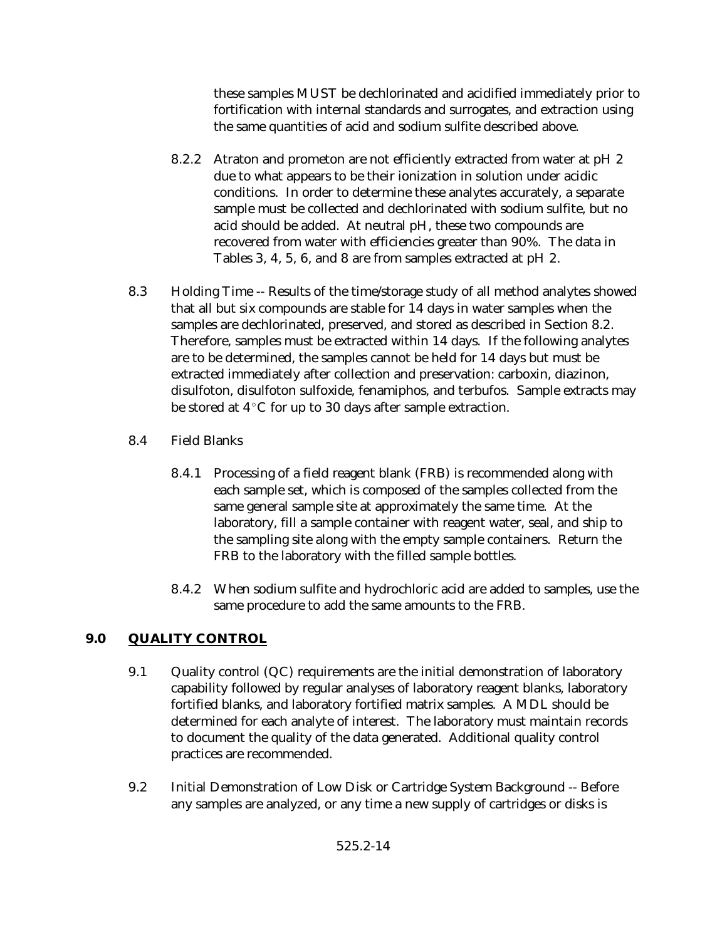these samples MUST be dechlorinated and acidified immediately prior to fortification with internal standards and surrogates, and extraction using the same quantities of acid and sodium sulfite described above.

- 8.2.2 Atraton and prometon are not efficiently extracted from water at pH 2 due to what appears to be their ionization in solution under acidic conditions. In order to determine these analytes accurately, a separate sample must be collected and dechlorinated with sodium sulfite, but no acid should be added. At neutral pH, these two compounds are recovered from water with efficiencies greater than 90%. The data in Tables 3, 4, 5, 6, and 8 are from samples extracted at pH 2.
- 8.3 Holding Time -- Results of the time/storage study of all method analytes showed that all but six compounds are stable for 14 days in water samples when the samples are dechlorinated, preserved, and stored as described in Section 8.2. Therefore, samples must be extracted within 14 days. If the following analytes are to be determined, the samples cannot be held for 14 days but must be extracted immediately after collection and preservation: carboxin, diazinon, disulfoton, disulfoton sulfoxide, fenamiphos, and terbufos. Sample extracts may be stored at  $4^{\circ}$ C for up to 30 days after sample extraction.
- 8.4 Field Blanks
	- 8.4.1 Processing of a field reagent blank (FRB) is recommended along with each sample set, which is composed of the samples collected from the same general sample site at approximately the same time. At the laboratory, fill a sample container with reagent water, seal, and ship to the sampling site along with the empty sample containers. Return the FRB to the laboratory with the filled sample bottles.
	- 8.4.2 When sodium sulfite and hydrochloric acid are added to samples, use the same procedure to add the same amounts to the FRB.

# **9.0 QUALITY CONTROL**

- 9.1 Quality control (QC) requirements are the initial demonstration of laboratory capability followed by regular analyses of laboratory reagent blanks, laboratory fortified blanks, and laboratory fortified matrix samples. A MDL should be determined for each analyte of interest. The laboratory must maintain records to document the quality of the data generated. Additional quality control practices are recommended.
- 9.2 Initial Demonstration of Low Disk or Cartridge System Background -- Before any samples are analyzed, or any time a new supply of cartridges or disks is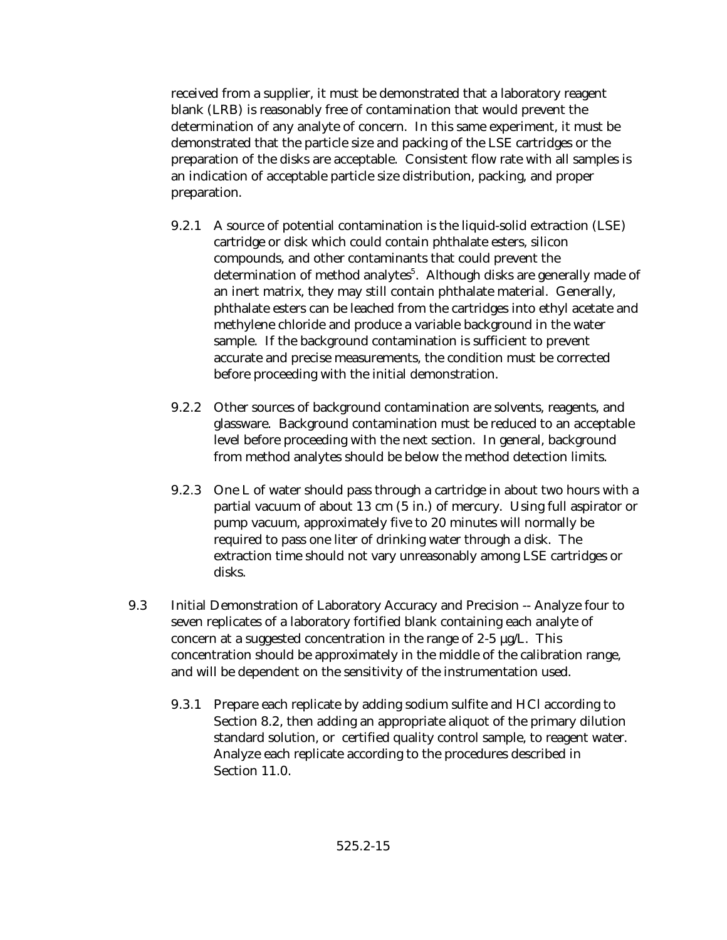received from a supplier, it must be demonstrated that a laboratory reagent blank (LRB) is reasonably free of contamination that would prevent the determination of any analyte of concern. In this same experiment, it must be demonstrated that the particle size and packing of the LSE cartridges or the preparation of the disks are acceptable. Consistent flow rate with all samples is an indication of acceptable particle size distribution, packing, and proper preparation.

- 9.2.1 A source of potential contamination is the liquid-solid extraction (LSE) cartridge or disk which could contain phthalate esters, silicon compounds, and other contaminants that could prevent the determination of method analytes<sup>5</sup>. Although disks are generally made of an inert matrix, they may still contain phthalate material. Generally, phthalate esters can be leached from the cartridges into ethyl acetate and methylene chloride and produce a variable background in the water sample. If the background contamination is sufficient to prevent accurate and precise measurements, the condition must be corrected before proceeding with the initial demonstration.
- 9.2.2 Other sources of background contamination are solvents, reagents, and glassware. Background contamination must be reduced to an acceptable level before proceeding with the next section. In general, background from method analytes should be below the method detection limits.
- 9.2.3 One L of water should pass through a cartridge in about two hours with a partial vacuum of about 13 cm (5 in.) of mercury. Using full aspirator or pump vacuum, approximately five to 20 minutes will normally be required to pass one liter of drinking water through a disk. The extraction time should not vary unreasonably among LSE cartridges or disks.
- 9.3 Initial Demonstration of Laboratory Accuracy and Precision -- Analyze four to seven replicates of a laboratory fortified blank containing each analyte of concern at a suggested concentration in the range of 2-5 µg/L. This concentration should be approximately in the middle of the calibration range, and will be dependent on the sensitivity of the instrumentation used.
	- 9.3.1 Prepare each replicate by adding sodium sulfite and HCl according to Section 8.2, then adding an appropriate aliquot of the primary dilution standard solution, or certified quality control sample, to reagent water. Analyze each replicate according to the procedures described in Section 11.0.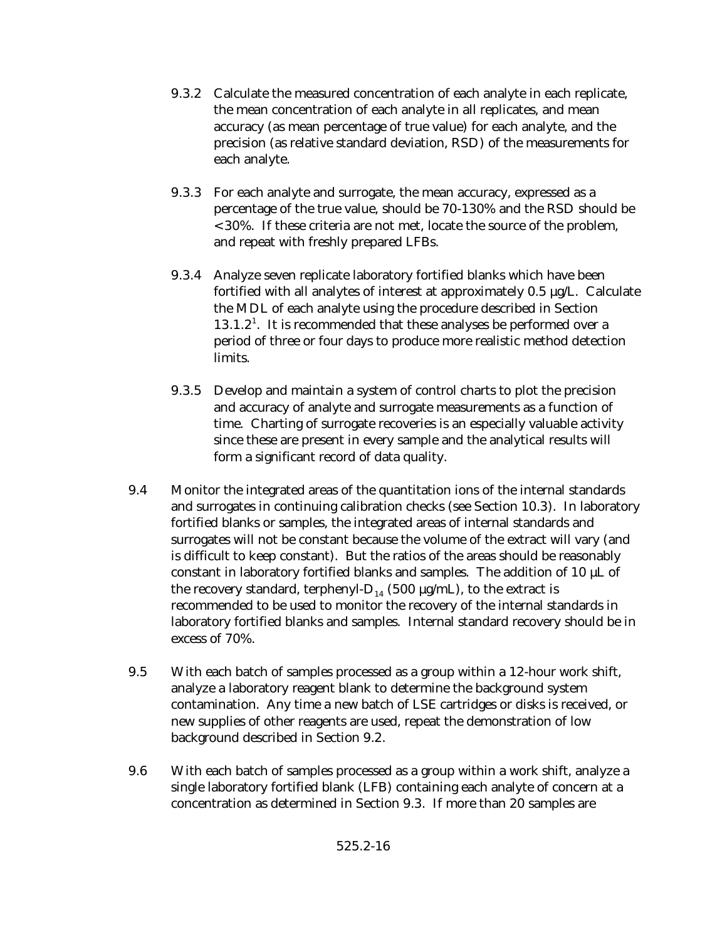- 9.3.2 Calculate the measured concentration of each analyte in each replicate, the mean concentration of each analyte in all replicates, and mean accuracy (as mean percentage of true value) for each analyte, and the precision (as relative standard deviation, RSD) of the measurements for each analyte.
- 9.3.3 For each analyte and surrogate, the mean accuracy, expressed as a percentage of the true value, should be 70-130% and the RSD should be <30%. If these criteria are not met, locate the source of the problem, and repeat with freshly prepared LFBs.
- 9.3.4 Analyze seven replicate laboratory fortified blanks which have been fortified with all analytes of interest at approximately  $0.5 \mu g/L$ . Calculate the MDL of each analyte using the procedure described in Section  $13.1.2<sup>1</sup>$ . It is recommended that these analyses be performed over a period of three or four days to produce more realistic method detection limits.
- 9.3.5 Develop and maintain a system of control charts to plot the precision and accuracy of analyte and surrogate measurements as a function of time. Charting of surrogate recoveries is an especially valuable activity since these are present in every sample and the analytical results will form a significant record of data quality.
- 9.4 Monitor the integrated areas of the quantitation ions of the internal standards and surrogates in continuing calibration checks (see Section 10.3). In laboratory fortified blanks or samples, the integrated areas of internal standards and surrogates will not be constant because the volume of the extract will vary (and is difficult to keep constant). But the ratios of the areas should be reasonably constant in laboratory fortified blanks and samples. The addition of 10  $\mu$ L of the recovery standard, terphenyl- $D_{14}$  (500  $\mu$ g/mL), to the extract is recommended to be used to monitor the recovery of the internal standards in laboratory fortified blanks and samples. Internal standard recovery should be in excess of 70%.
- 9.5 With each batch of samples processed as a group within a 12-hour work shift, analyze a laboratory reagent blank to determine the background system contamination. Any time a new batch of LSE cartridges or disks is received, or new supplies of other reagents are used, repeat the demonstration of low background described in Section 9.2.
- 9.6 With each batch of samples processed as a group within a work shift, analyze a single laboratory fortified blank (LFB) containing each analyte of concern at a concentration as determined in Section 9.3. If more than 20 samples are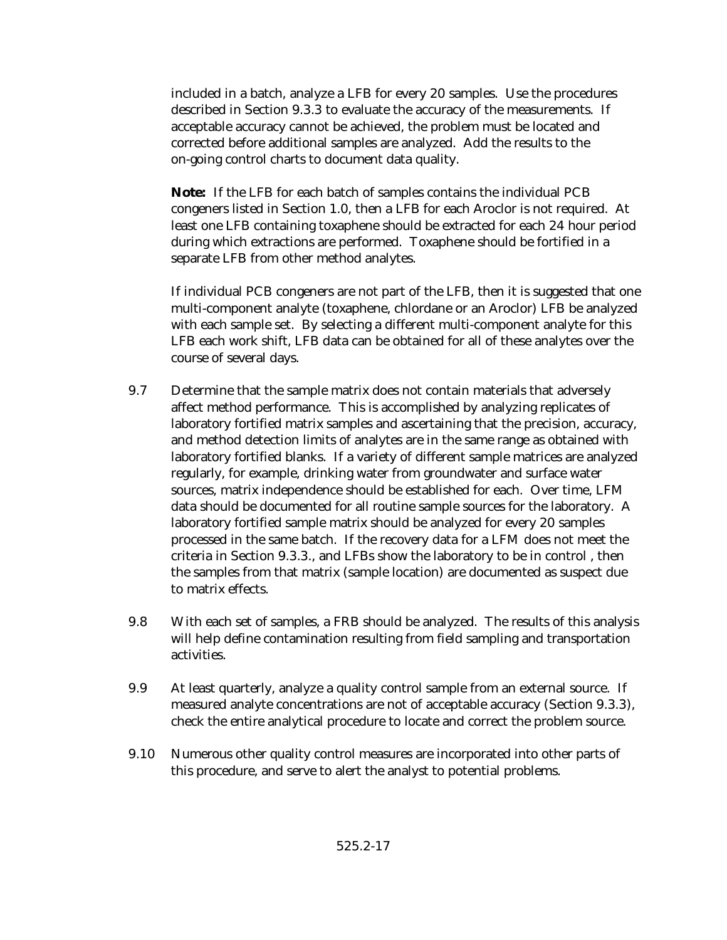included in a batch, analyze a LFB for every 20 samples. Use the procedures described in Section 9.3.3 to evaluate the accuracy of the measurements. If acceptable accuracy cannot be achieved, the problem must be located and corrected before additional samples are analyzed. Add the results to the on-going control charts to document data quality.

**Note:** If the LFB for each batch of samples contains the individual PCB congeners listed in Section 1.0, then a LFB for each Aroclor is not required. At least one LFB containing toxaphene should be extracted for each 24 hour period during which extractions are performed. Toxaphene should be fortified in a separate LFB from other method analytes.

If individual PCB congeners are not part of the LFB, then it is suggested that one multi-component analyte (toxaphene, chlordane or an Aroclor) LFB be analyzed with each sample set. By selecting a different multi-component analyte for this LFB each work shift, LFB data can be obtained for all of these analytes over the course of several days.

- 9.7 Determine that the sample matrix does not contain materials that adversely affect method performance. This is accomplished by analyzing replicates of laboratory fortified matrix samples and ascertaining that the precision, accuracy, and method detection limits of analytes are in the same range as obtained with laboratory fortified blanks. If a variety of different sample matrices are analyzed regularly, for example, drinking water from groundwater and surface water sources, matrix independence should be established for each. Over time, LFM data should be documented for all routine sample sources for the laboratory. A laboratory fortified sample matrix should be analyzed for every 20 samples processed in the same batch. If the recovery data for a LFM does not meet the criteria in Section 9.3.3., and LFBs show the laboratory to be in control , then the samples from that matrix (sample location) are documented as suspect due to matrix effects.
- 9.8 With each set of samples, a FRB should be analyzed. The results of this analysis will help define contamination resulting from field sampling and transportation activities.
- 9.9 At least quarterly, analyze a quality control sample from an external source. If measured analyte concentrations are not of acceptable accuracy (Section 9.3.3), check the entire analytical procedure to locate and correct the problem source.
- 9.10 Numerous other quality control measures are incorporated into other parts of this procedure, and serve to alert the analyst to potential problems.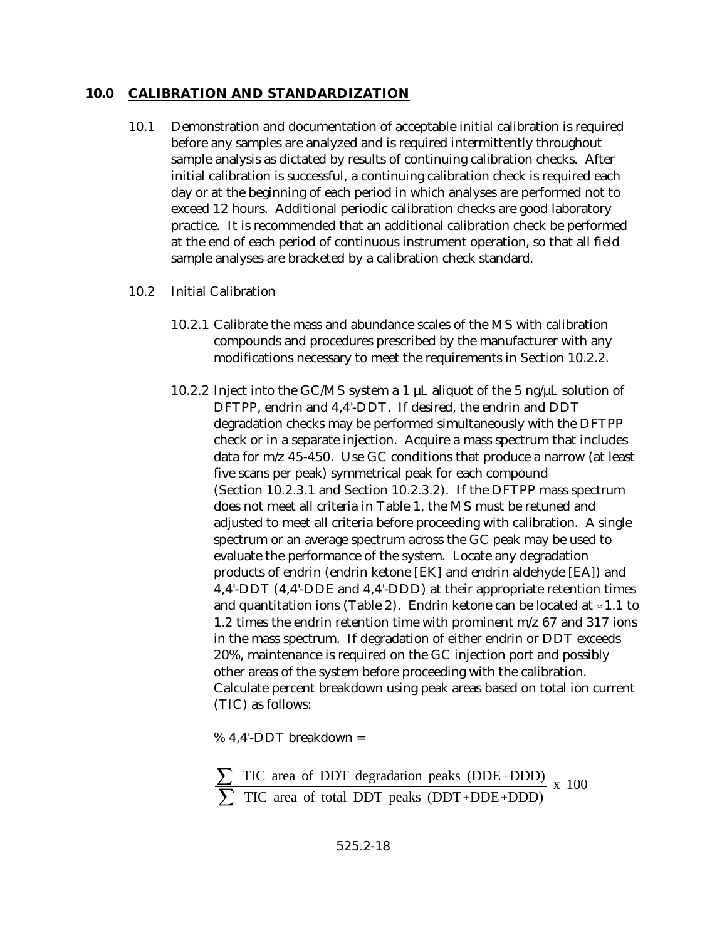#### **10.0 CALIBRATION AND STANDARDIZATION**

- 10.1 Demonstration and documentation of acceptable initial calibration is required before any samples are analyzed and is required intermittently throughout sample analysis as dictated by results of continuing calibration checks. After initial calibration is successful, a continuing calibration check is required each day or at the beginning of each period in which analyses are performed not to exceed 12 hours. Additional periodic calibration checks are good laboratory practice. It is recommended that an additional calibration check be performed at the end of each period of continuous instrument operation, so that all field sample analyses are bracketed by a calibration check standard.
- 10.2 Initial Calibration
	- 10.2.1 Calibrate the mass and abundance scales of the MS with calibration compounds and procedures prescribed by the manufacturer with any modifications necessary to meet the requirements in Section 10.2.2.
	- 10.2.2 Inject into the GC/MS system a 1  $\mu$ L aliquot of the 5 ng/ $\mu$ L solution of DFTPP, endrin and 4,4'-DDT. If desired, the endrin and DDT degradation checks may be performed simultaneously with the DFTPP check or in a separate injection. Acquire a mass spectrum that includes data for m/z 45-450. Use GC conditions that produce a narrow (at least five scans per peak) symmetrical peak for each compound (Section 10.2.3.1 and Section 10.2.3.2). If the DFTPP mass spectrum does not meet all criteria in Table 1, the MS must be retuned and adjusted to meet all criteria before proceeding with calibration. A single spectrum or an average spectrum across the GC peak may be used to evaluate the performance of the system. Locate any degradation products of endrin (endrin ketone [EK] and endrin aldehyde [EA]) and 4,4'-DDT (4,4'-DDE and 4,4'-DDD) at their appropriate retention times and quantitation ions (Table 2). Endrin ketone can be located at  $\approx 1.1$  to 1.2 times the endrin retention time with prominent m/z 67 and 317 ions in the mass spectrum. If degradation of either endrin or DDT exceeds 20%, maintenance is required on the GC injection port and possibly other areas of the system before proceeding with the calibration. Calculate percent breakdown using peak areas based on total ion current (TIC) as follows:

% 4,4'-DDT breakdown =

```
TIC area of DDT degradation peaks (DDE+DDD)
TIC area of total DDT peaks (DDT+DDE+DDD)
                                            x 100
```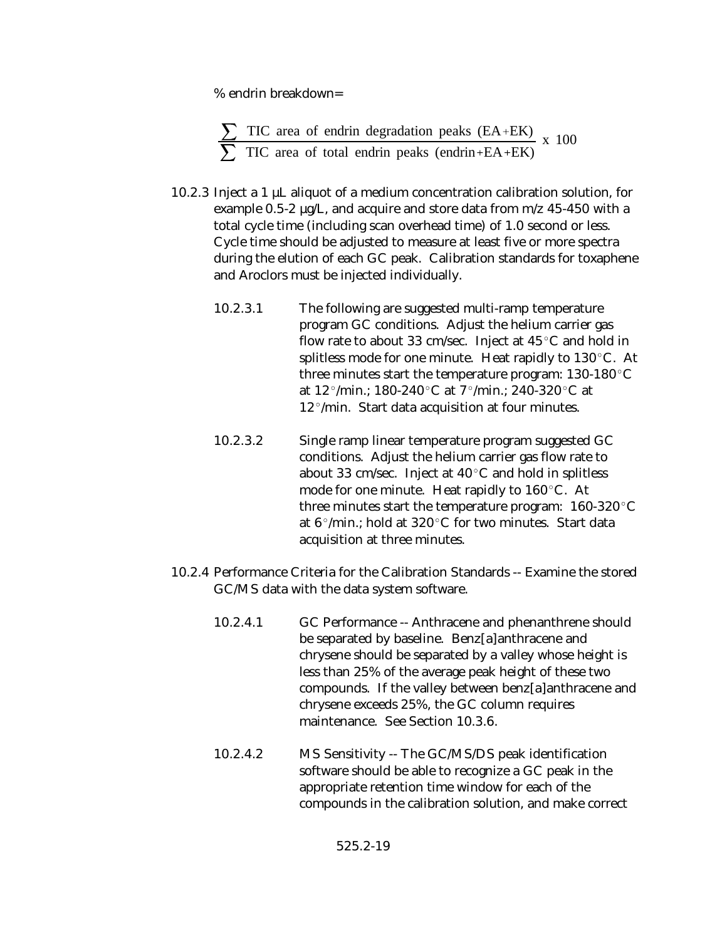% endrin breakdown=

$$
\frac{\sum TIC \text{ area of endrin degradation peaks (EA+EK)}}{\sum TIC \text{ area of total endrin peaks (endrin+EA+EK)}} \times 100
$$

- 10.2.3 Inject a 1  $\mu$ L aliquot of a medium concentration calibration solution, for example 0.5-2 µg/L, and acquire and store data from m/z 45-450 with a total cycle time (including scan overhead time) of 1.0 second or less. Cycle time should be adjusted to measure at least five or more spectra during the elution of each GC peak. Calibration standards for toxaphene and Aroclors must be injected individually.
	- 10.2.3.1 The following are suggested multi-ramp temperature program GC conditions. Adjust the helium carrier gas flow rate to about 33 cm/sec. Inject at  $45^{\circ}$ C and hold in splitless mode for one minute. Heat rapidly to  $130^{\circ}$ C. At three minutes start the temperature program:  $130-180^{\circ}$ C at  $12^{\circ}/$ min.; 180-240 $^{\circ}$ C at  $7^{\circ}/$ min.; 240-320 $^{\circ}$ C at  $12^{\circ}/$ min. Start data acquisition at four minutes.
	- 10.2.3.2 Single ramp linear temperature program suggested GC conditions. Adjust the helium carrier gas flow rate to about 33 cm/sec. Inject at  $40^{\circ}$ C and hold in splitless mode for one minute. Heat rapidly to  $160^{\circ}$ C. At three minutes start the temperature program:  $160-320^{\circ}$ C at  $6^{\circ}/$ min.; hold at 320 $^{\circ}$ C for two minutes. Start data acquisition at three minutes.
- 10.2.4 Performance Criteria for the Calibration Standards -- Examine the stored GC/MS data with the data system software.
	- 10.2.4.1 GC Performance -- Anthracene and phenanthrene should be separated by baseline. Benz[a]anthracene and chrysene should be separated by a valley whose height is less than 25% of the average peak height of these two compounds. If the valley between benz[a]anthracene and chrysene exceeds 25%, the GC column requires maintenance. See Section 10.3.6.
	- 10.2.4.2 MS Sensitivity -- The GC/MS/DS peak identification software should be able to recognize a GC peak in the appropriate retention time window for each of the compounds in the calibration solution, and make correct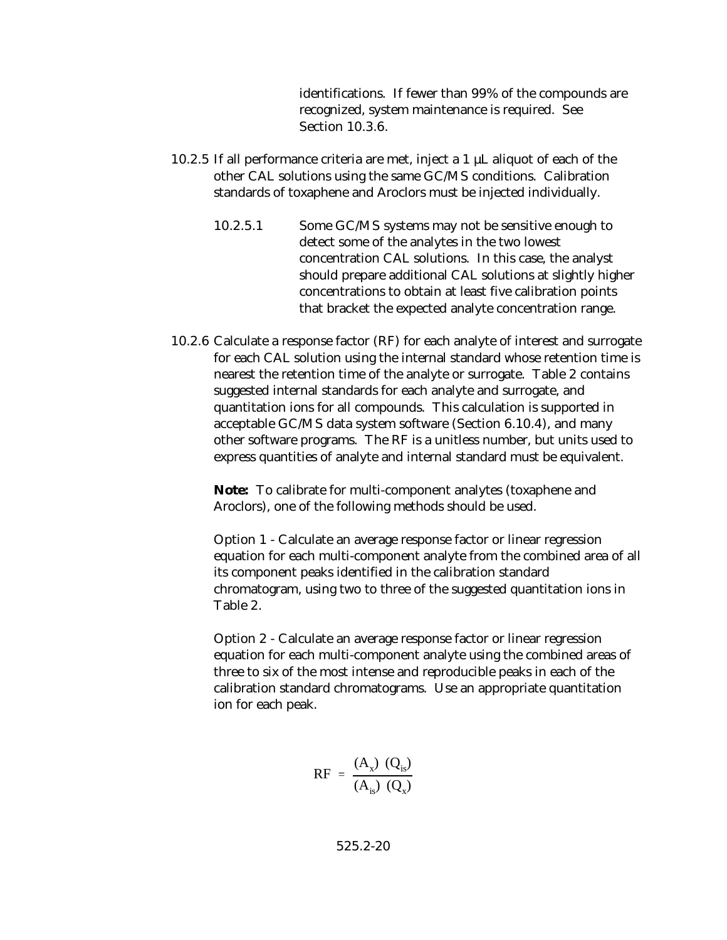identifications. If fewer than 99% of the compounds are recognized, system maintenance is required. See Section 10.3.6.

- 10.2.5 If all performance criteria are met, inject a 1  $\mu$ L aliquot of each of the other CAL solutions using the same GC/MS conditions. Calibration standards of toxaphene and Aroclors must be injected individually.
	- 10.2.5.1 Some GC/MS systems may not be sensitive enough to detect some of the analytes in the two lowest concentration CAL solutions. In this case, the analyst should prepare additional CAL solutions at slightly higher concentrations to obtain at least five calibration points that bracket the expected analyte concentration range.
- 10.2.6 Calculate a response factor (RF) for each analyte of interest and surrogate for each CAL solution using the internal standard whose retention time is nearest the retention time of the analyte or surrogate. Table 2 contains suggested internal standards for each analyte and surrogate, and quantitation ions for all compounds. This calculation is supported in acceptable GC/MS data system software (Section 6.10.4), and many other software programs. The RF is a unitless number, but units used to express quantities of analyte and internal standard must be equivalent.

**Note:** To calibrate for multi-component analytes (toxaphene and Aroclors), one of the following methods should be used.

Option 1 - Calculate an average response factor or linear regression equation for each multi-component analyte from the combined area of all its component peaks identified in the calibration standard chromatogram, using two to three of the suggested quantitation ions in Table 2.

Option 2 - Calculate an average response factor or linear regression equation for each multi-component analyte using the combined areas of three to six of the most intense and reproducible peaks in each of the calibration standard chromatograms. Use an appropriate quantitation ion for each peak.

$$
RF = \frac{(A_x) (Q_{is})}{(A_{is}) (Q_x)}
$$

525.2-20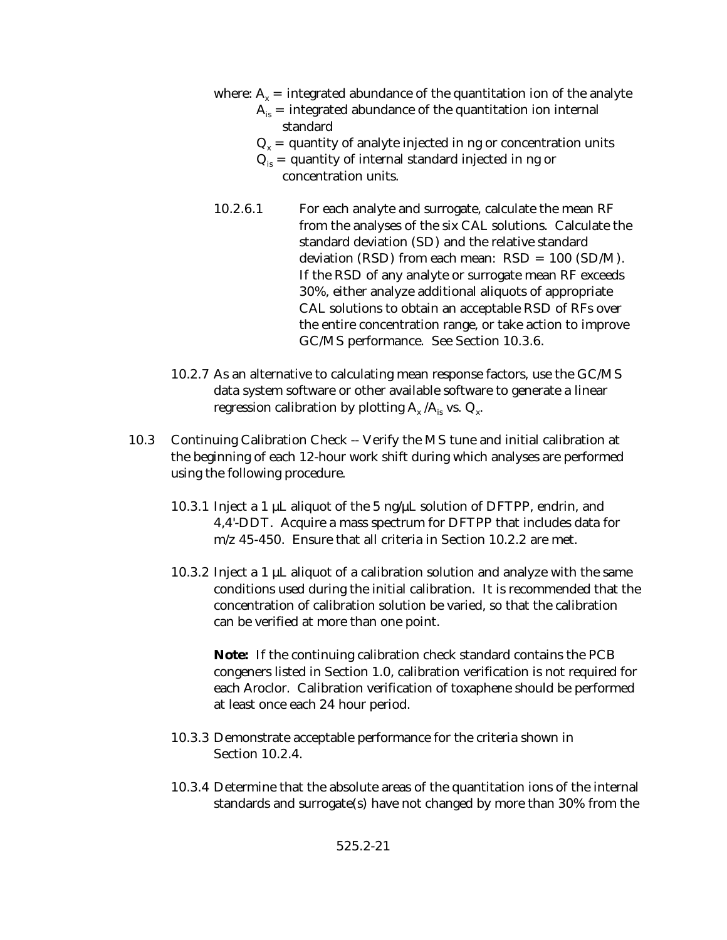- where:  $A_x$  = integrated abundance of the quantitation ion of the analyte
	- $A<sub>is</sub>$  = integrated abundance of the quantitation ion internal standard
	- $Q_x$  = quantity of analyte injected in ng or concentration units
	- $Q_{i}$  = quantity of internal standard injected in ng or concentration units.
- 10.2.6.1 For each analyte and surrogate, calculate the mean RF from the analyses of the six CAL solutions. Calculate the standard deviation (SD) and the relative standard deviation (RSD) from each mean: RSD = 100 (SD/M). If the RSD of any analyte or surrogate mean RF exceeds 30%, either analyze additional aliquots of appropriate CAL solutions to obtain an acceptable RSD of RFs over the entire concentration range, or take action to improve GC/MS performance. See Section 10.3.6.
- 10.2.7 As an alternative to calculating mean response factors, use the GC/MS data system software or other available software to generate a linear regression calibration by plotting  $\rm A_x/\rm A_{\rm is}$  vs.  $\rm Q_x$ .
- 10.3 Continuing Calibration Check -- Verify the MS tune and initial calibration at the beginning of each 12-hour work shift during which analyses are performed using the following procedure.
	- 10.3.1 Inject a 1 µL aliquot of the 5 ng/µL solution of DFTPP, endrin, and 4,4'-DDT. Acquire a mass spectrum for DFTPP that includes data for m/z 45-450. Ensure that all criteria in Section 10.2.2 are met.
	- 10.3.2 Inject a 1  $\mu$ L aliquot of a calibration solution and analyze with the same conditions used during the initial calibration. It is recommended that the concentration of calibration solution be varied, so that the calibration can be verified at more than one point.

**Note:** If the continuing calibration check standard contains the PCB congeners listed in Section 1.0, calibration verification is not required for each Aroclor. Calibration verification of toxaphene should be performed at least once each 24 hour period.

- 10.3.3 Demonstrate acceptable performance for the criteria shown in Section 10.2.4.
- 10.3.4 Determine that the absolute areas of the quantitation ions of the internal standards and surrogate(s) have not changed by more than 30% from the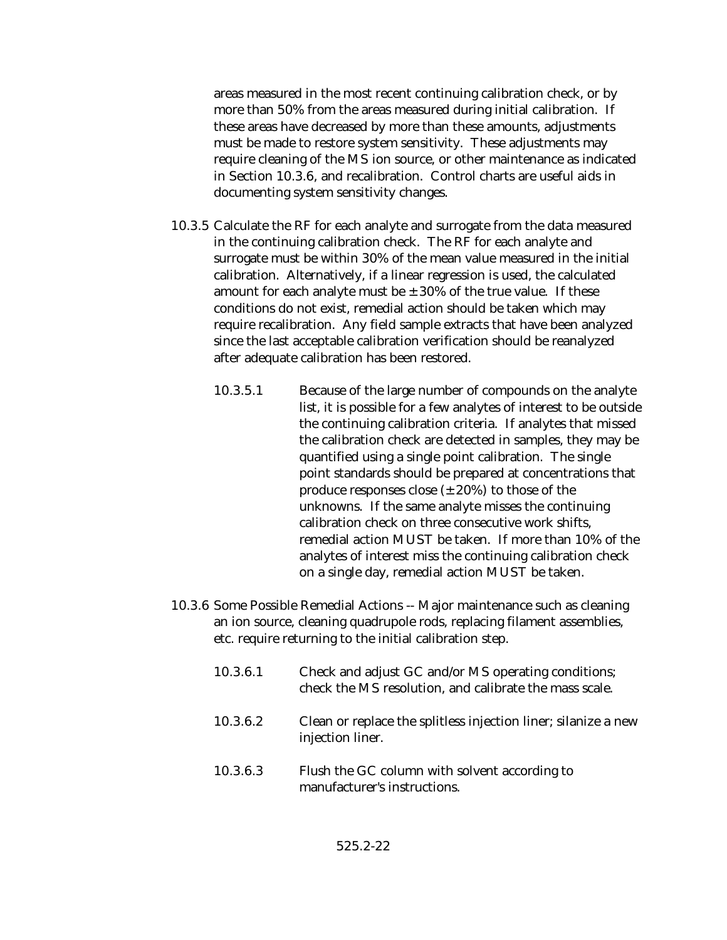areas measured in the most recent continuing calibration check, or by more than 50% from the areas measured during initial calibration. If these areas have decreased by more than these amounts, adjustments must be made to restore system sensitivity. These adjustments may require cleaning of the MS ion source, or other maintenance as indicated in Section 10.3.6, and recalibration. Control charts are useful aids in documenting system sensitivity changes.

- 10.3.5 Calculate the RF for each analyte and surrogate from the data measured in the continuing calibration check. The RF for each analyte and surrogate must be within 30% of the mean value measured in the initial calibration. Alternatively, if a linear regression is used, the calculated amount for each analyte must be  $\pm 30\%$  of the true value. If these conditions do not exist, remedial action should be taken which may require recalibration. Any field sample extracts that have been analyzed since the last acceptable calibration verification should be reanalyzed after adequate calibration has been restored.
	- 10.3.5.1 Because of the large number of compounds on the analyte list, it is possible for a few analytes of interest to be outside the continuing calibration criteria. If analytes that missed the calibration check are detected in samples, they may be quantified using a single point calibration. The single point standards should be prepared at concentrations that produce responses close  $(\pm 20\%)$  to those of the unknowns. If the same analyte misses the continuing calibration check on three consecutive work shifts, remedial action MUST be taken. If more than 10% of the analytes of interest miss the continuing calibration check on a single day, remedial action MUST be taken.
- 10.3.6 Some Possible Remedial Actions -- Major maintenance such as cleaning an ion source, cleaning quadrupole rods, replacing filament assemblies, etc. require returning to the initial calibration step.
	- 10.3.6.1 Check and adjust GC and/or MS operating conditions; check the MS resolution, and calibrate the mass scale.
	- 10.3.6.2 Clean or replace the splitless injection liner; silanize a new injection liner.
	- 10.3.6.3 Flush the GC column with solvent according to manufacturer's instructions.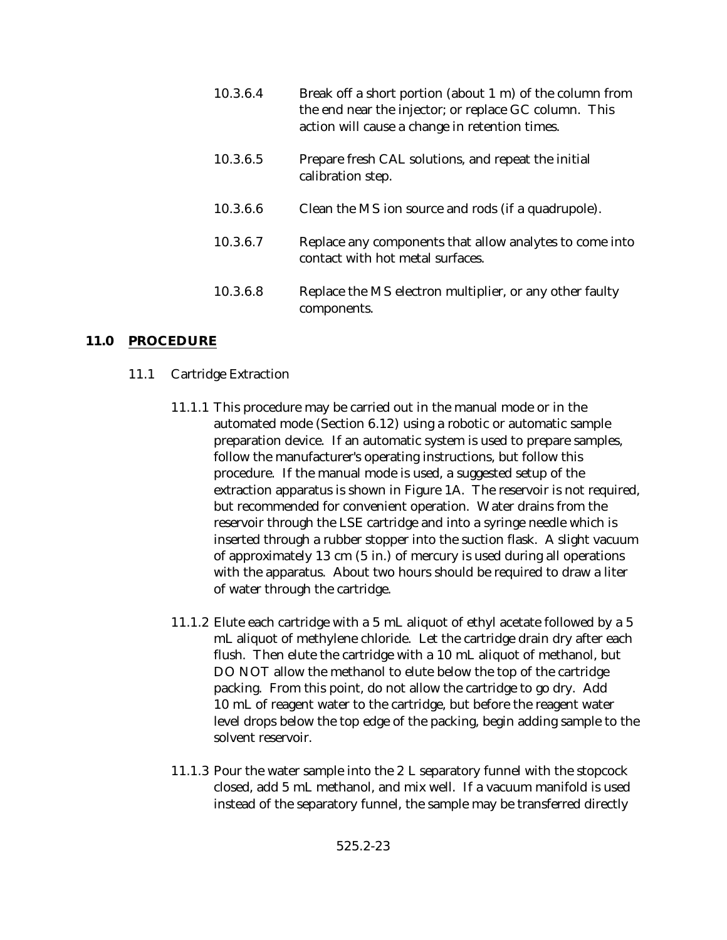| 10.3.6.4 | Break off a short portion (about 1 m) of the column from<br>the end near the injector; or replace GC column. This<br>action will cause a change in retention times. |
|----------|---------------------------------------------------------------------------------------------------------------------------------------------------------------------|
| 10.3.6.5 | Prepare fresh CAL solutions, and repeat the initial<br>calibration step.                                                                                            |
| 10.3.6.6 | Clean the MS ion source and rods (if a quadrupole).                                                                                                                 |
| 10.3.6.7 | Replace any components that allow analytes to come into<br>contact with hot metal surfaces.                                                                         |
| 10.3.6.8 | Replace the MS electron multiplier, or any other faulty<br>components.                                                                                              |

## **11.0 PROCEDURE**

- 11.1 Cartridge Extraction
	- 11.1.1 This procedure may be carried out in the manual mode or in the automated mode (Section 6.12) using a robotic or automatic sample preparation device. If an automatic system is used to prepare samples, follow the manufacturer's operating instructions, but follow this procedure. If the manual mode is used, a suggested setup of the extraction apparatus is shown in Figure 1A. The reservoir is not required, but recommended for convenient operation. Water drains from the reservoir through the LSE cartridge and into a syringe needle which is inserted through a rubber stopper into the suction flask. A slight vacuum of approximately 13 cm (5 in.) of mercury is used during all operations with the apparatus. About two hours should be required to draw a liter of water through the cartridge.
	- 11.1.2 Elute each cartridge with a 5 mL aliquot of ethyl acetate followed by a 5 mL aliquot of methylene chloride. Let the cartridge drain dry after each flush. Then elute the cartridge with a 10 mL aliquot of methanol, but DO NOT allow the methanol to elute below the top of the cartridge packing. From this point, do not allow the cartridge to go dry. Add 10 mL of reagent water to the cartridge, but before the reagent water level drops below the top edge of the packing, begin adding sample to the solvent reservoir.
	- 11.1.3 Pour the water sample into the 2 L separatory funnel with the stopcock closed, add 5 mL methanol, and mix well. If a vacuum manifold is used instead of the separatory funnel, the sample may be transferred directly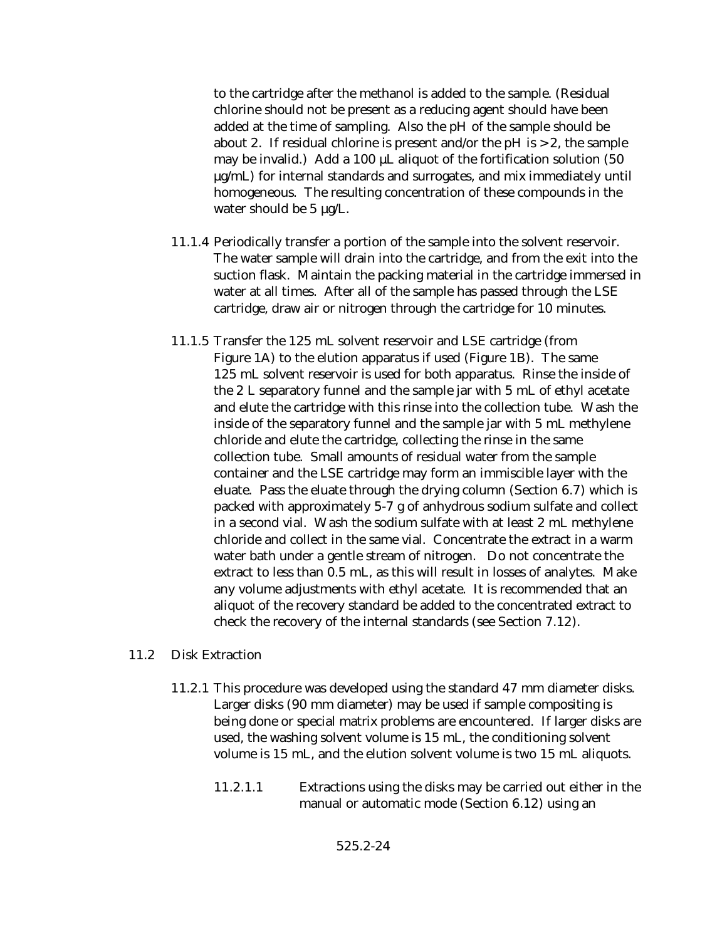to the cartridge after the methanol is added to the sample. (Residual chlorine should not be present as a reducing agent should have been added at the time of sampling. Also the pH of the sample should be about 2. If residual chlorine is present and/or the  $pH$  is  $>$  2, the sample may be invalid.) Add a 100 µL aliquot of the fortification solution (50 µg/mL) for internal standards and surrogates, and mix immediately until homogeneous. The resulting concentration of these compounds in the water should be 5  $\mu$ g/L.

- 11.1.4 Periodically transfer a portion of the sample into the solvent reservoir. The water sample will drain into the cartridge, and from the exit into the suction flask. Maintain the packing material in the cartridge immersed in water at all times. After all of the sample has passed through the LSE cartridge, draw air or nitrogen through the cartridge for 10 minutes.
- 11.1.5 Transfer the 125 mL solvent reservoir and LSE cartridge (from Figure 1A) to the elution apparatus if used (Figure 1B). The same 125 mL solvent reservoir is used for both apparatus. Rinse the inside of the 2 L separatory funnel and the sample jar with 5 mL of ethyl acetate and elute the cartridge with this rinse into the collection tube. Wash the inside of the separatory funnel and the sample jar with 5 mL methylene chloride and elute the cartridge, collecting the rinse in the same collection tube. Small amounts of residual water from the sample container and the LSE cartridge may form an immiscible layer with the eluate. Pass the eluate through the drying column (Section 6.7) which is packed with approximately 5-7 g of anhydrous sodium sulfate and collect in a second vial. Wash the sodium sulfate with at least 2 mL methylene chloride and collect in the same vial. Concentrate the extract in a warm water bath under a gentle stream of nitrogen. Do not concentrate the extract to less than 0.5 mL, as this will result in losses of analytes. Make any volume adjustments with ethyl acetate. It is recommended that an aliquot of the recovery standard be added to the concentrated extract to check the recovery of the internal standards (see Section 7.12).

#### 11.2 Disk Extraction

- 11.2.1 This procedure was developed using the standard 47 mm diameter disks. Larger disks (90 mm diameter) may be used if sample compositing is being done or special matrix problems are encountered. If larger disks are used, the washing solvent volume is 15 mL, the conditioning solvent volume is 15 mL, and the elution solvent volume is two 15 mL aliquots.
	- 11.2.1.1 Extractions using the disks may be carried out either in the manual or automatic mode (Section 6.12) using an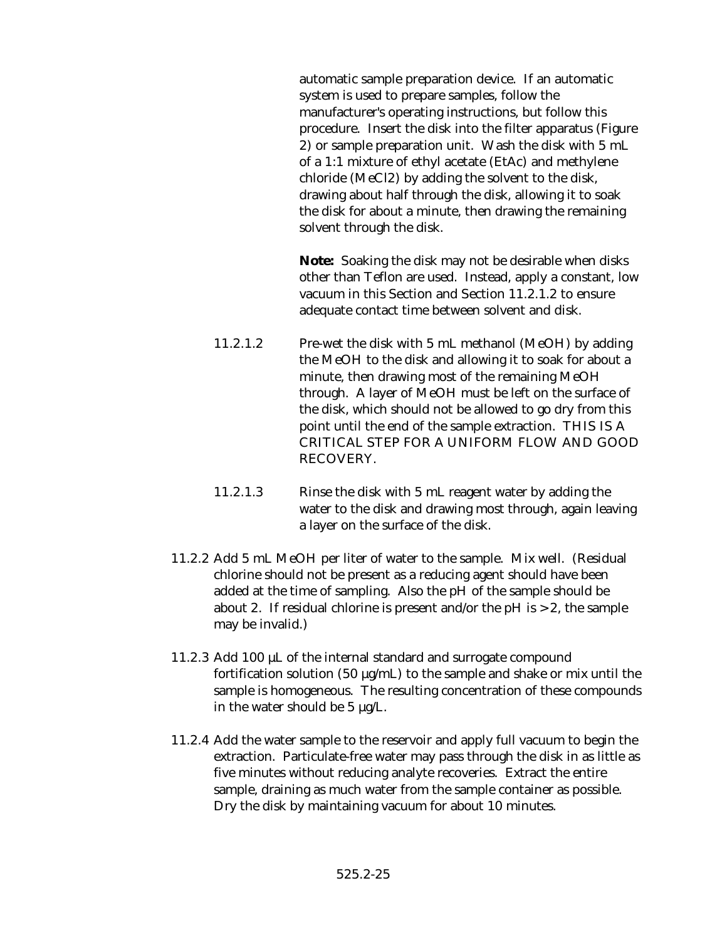automatic sample preparation device. If an automatic system is used to prepare samples, follow the manufacturer's operating instructions, but follow this procedure. Insert the disk into the filter apparatus (Figure 2) or sample preparation unit. Wash the disk with 5 mL of a 1:1 mixture of ethyl acetate (EtAc) and methylene chloride (MeCl2) by adding the solvent to the disk, drawing about half through the disk, allowing it to soak the disk for about a minute, then drawing the remaining solvent through the disk.

**Note:** Soaking the disk may not be desirable when disks other than Teflon are used. Instead, apply a constant, low vacuum in this Section and Section 11.2.1.2 to ensure adequate contact time between solvent and disk.

- 11.2.1.2 Pre-wet the disk with 5 mL methanol (MeOH) by adding the MeOH to the disk and allowing it to soak for about a minute, then drawing most of the remaining MeOH through. A layer of MeOH must be left on the surface of the disk, which should not be allowed to go dry from this point until the end of the sample extraction. THIS IS A CRITICAL STEP FOR A UNIFORM FLOW AND GOOD RECOVERY.
- 11.2.1.3 Rinse the disk with 5 mL reagent water by adding the water to the disk and drawing most through, again leaving a layer on the surface of the disk.
- 11.2.2 Add 5 mL MeOH per liter of water to the sample. Mix well. (Residual chlorine should not be present as a reducing agent should have been added at the time of sampling. Also the pH of the sample should be about 2. If residual chlorine is present and/or the  $pH$  is  $> 2$ , the sample may be invalid.)
- 11.2.3 Add 100 µL of the internal standard and surrogate compound fortification solution (50  $\mu$ g/mL) to the sample and shake or mix until the sample is homogeneous. The resulting concentration of these compounds in the water should be 5 µg/L.
- 11.2.4 Add the water sample to the reservoir and apply full vacuum to begin the extraction. Particulate-free water may pass through the disk in as little as five minutes without reducing analyte recoveries. Extract the entire sample, draining as much water from the sample container as possible. Dry the disk by maintaining vacuum for about 10 minutes.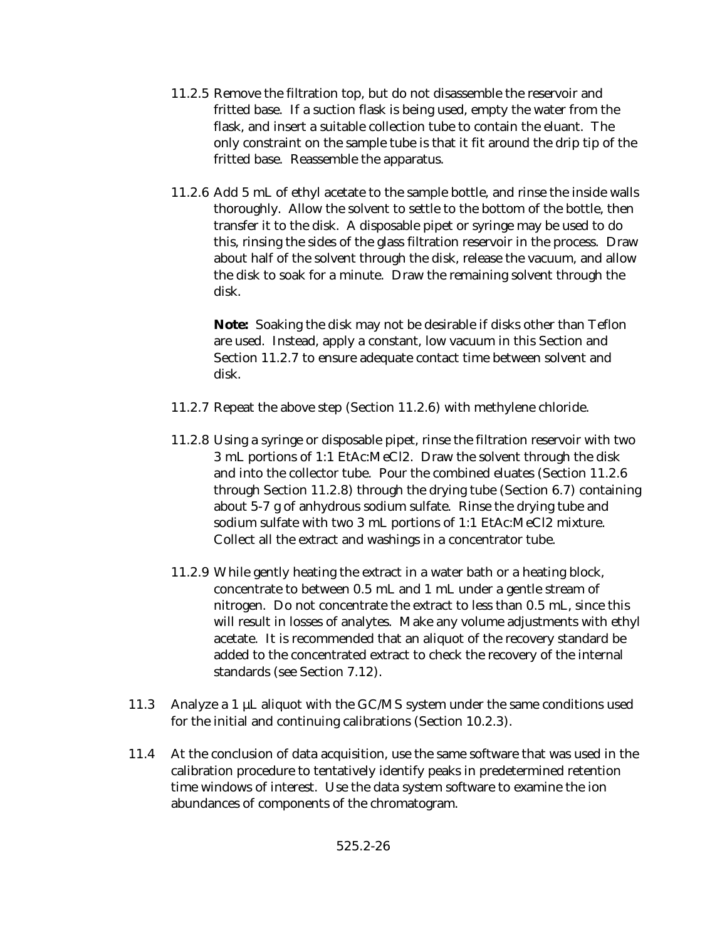- 11.2.5 Remove the filtration top, but do not disassemble the reservoir and fritted base. If a suction flask is being used, empty the water from the flask, and insert a suitable collection tube to contain the eluant. The only constraint on the sample tube is that it fit around the drip tip of the fritted base. Reassemble the apparatus.
- 11.2.6 Add 5 mL of ethyl acetate to the sample bottle, and rinse the inside walls thoroughly. Allow the solvent to settle to the bottom of the bottle, then transfer it to the disk. A disposable pipet or syringe may be used to do this, rinsing the sides of the glass filtration reservoir in the process. Draw about half of the solvent through the disk, release the vacuum, and allow the disk to soak for a minute. Draw the remaining solvent through the disk.

**Note:** Soaking the disk may not be desirable if disks other than Teflon are used. Instead, apply a constant, low vacuum in this Section and Section 11.2.7 to ensure adequate contact time between solvent and disk.

- 11.2.7 Repeat the above step (Section 11.2.6) with methylene chloride.
- 11.2.8 Using a syringe or disposable pipet, rinse the filtration reservoir with two 3 mL portions of 1:1 EtAc:MeCl2. Draw the solvent through the disk and into the collector tube. Pour the combined eluates (Section 11.2.6 through Section 11.2.8) through the drying tube (Section 6.7) containing about 5-7 g of anhydrous sodium sulfate. Rinse the drying tube and sodium sulfate with two 3 mL portions of 1:1 EtAc:MeCl2 mixture. Collect all the extract and washings in a concentrator tube.
- 11.2.9 While gently heating the extract in a water bath or a heating block, concentrate to between 0.5 mL and 1 mL under a gentle stream of nitrogen. Do not concentrate the extract to less than 0.5 mL, since this will result in losses of analytes. Make any volume adjustments with ethyl acetate. It is recommended that an aliquot of the recovery standard be added to the concentrated extract to check the recovery of the internal standards (see Section 7.12).
- 11.3 Analyze a 1 µL aliquot with the GC/MS system under the same conditions used for the initial and continuing calibrations (Section 10.2.3).
- 11.4 At the conclusion of data acquisition, use the same software that was used in the calibration procedure to tentatively identify peaks in predetermined retention time windows of interest. Use the data system software to examine the ion abundances of components of the chromatogram.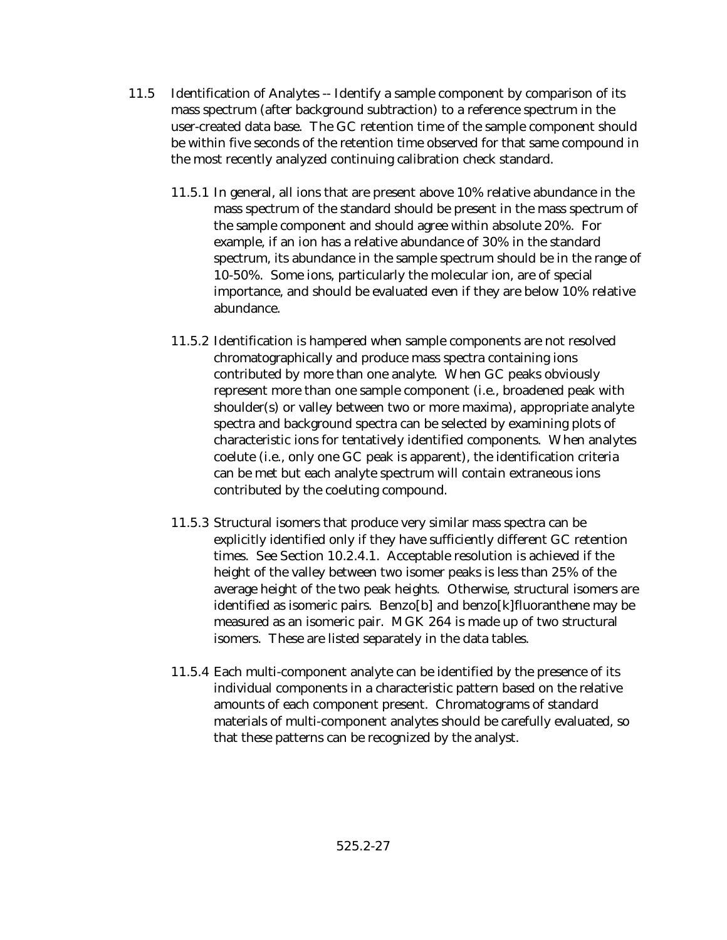- 11.5 Identification of Analytes -- Identify a sample component by comparison of its mass spectrum (after background subtraction) to a reference spectrum in the user-created data base. The GC retention time of the sample component should be within five seconds of the retention time observed for that same compound in the most recently analyzed continuing calibration check standard.
	- 11.5.1 In general, all ions that are present above 10% relative abundance in the mass spectrum of the standard should be present in the mass spectrum of the sample component and should agree within absolute 20%. For example, if an ion has a relative abundance of 30% in the standard spectrum, its abundance in the sample spectrum should be in the range of 10-50%. Some ions, particularly the molecular ion, are of special importance, and should be evaluated even if they are below 10% relative abundance.
	- 11.5.2 Identification is hampered when sample components are not resolved chromatographically and produce mass spectra containing ions contributed by more than one analyte. When GC peaks obviously represent more than one sample component (i.e., broadened peak with shoulder(s) or valley between two or more maxima), appropriate analyte spectra and background spectra can be selected by examining plots of characteristic ions for tentatively identified components. When analytes coelute (i.e., only one GC peak is apparent), the identification criteria can be met but each analyte spectrum will contain extraneous ions contributed by the coeluting compound.
	- 11.5.3 Structural isomers that produce very similar mass spectra can be explicitly identified only if they have sufficiently different GC retention times. See Section 10.2.4.1. Acceptable resolution is achieved if the height of the valley between two isomer peaks is less than 25% of the average height of the two peak heights. Otherwise, structural isomers are identified as isomeric pairs. Benzo[b] and benzo[k]fluoranthene may be measured as an isomeric pair. MGK 264 is made up of two structural isomers. These are listed separately in the data tables.
	- 11.5.4 Each multi-component analyte can be identified by the presence of its individual components in a characteristic pattern based on the relative amounts of each component present. Chromatograms of standard materials of multi-component analytes should be carefully evaluated, so that these patterns can be recognized by the analyst.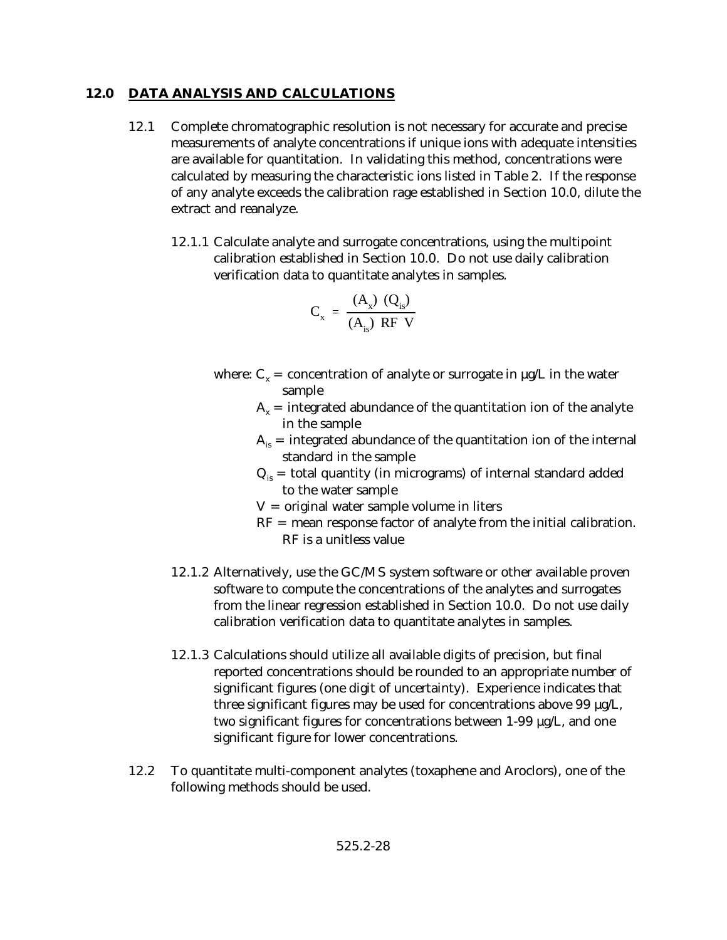# **12.0 DATA ANALYSIS AND CALCULATIONS**

- 12.1 Complete chromatographic resolution is not necessary for accurate and precise measurements of analyte concentrations if unique ions with adequate intensities are available for quantitation. In validating this method, concentrations were calculated by measuring the characteristic ions listed in Table 2. If the response of any analyte exceeds the calibration rage established in Section 10.0, dilute the extract and reanalyze.
	- 12.1.1 Calculate analyte and surrogate concentrations, using the multipoint calibration established in Section 10.0. Do not use daily calibration verification data to quantitate analytes in samples.

$$
C_{x} = \frac{(A_{x}) (Q_{is})}{(A_{is}) RF V}
$$

- where:  $C_x$  = concentration of analyte or surrogate in  $\mu$ g/L in the water sample
	- $A<sub>x</sub>$  = integrated abundance of the quantitation ion of the analyte in the sample
	- $A_{i}$  = integrated abundance of the quantitation ion of the internal standard in the sample
	- $Q_{is}$  = total quantity (in micrograms) of internal standard added to the water sample
	- $V =$  original water sample volume in liters
	- RF = mean response factor of analyte from the initial calibration. RF is a unitless value
- 12.1.2 Alternatively, use the GC/MS system software or other available proven software to compute the concentrations of the analytes and surrogates from the linear regression established in Section 10.0. Do not use daily calibration verification data to quantitate analytes in samples.
- 12.1.3 Calculations should utilize all available digits of precision, but final reported concentrations should be rounded to an appropriate number of significant figures (one digit of uncertainty). Experience indicates that three significant figures may be used for concentrations above 99 µg/L, two significant figures for concentrations between 1-99 µg/L, and one significant figure for lower concentrations.
- 12.2 To quantitate multi-component analytes (toxaphene and Aroclors), one of the following methods should be used.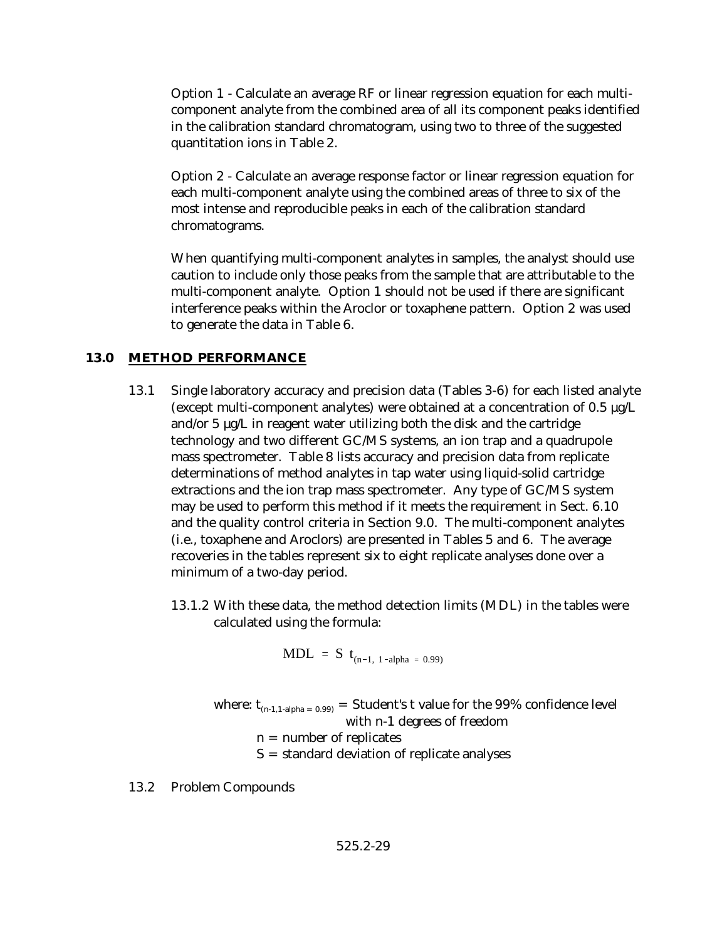Option 1 - Calculate an average RF or linear regression equation for each multicomponent analyte from the combined area of all its component peaks identified in the calibration standard chromatogram, using two to three of the suggested quantitation ions in Table 2.

Option 2 - Calculate an average response factor or linear regression equation for each multi-component analyte using the combined areas of three to six of the most intense and reproducible peaks in each of the calibration standard chromatograms.

When quantifying multi-component analytes in samples, the analyst should use caution to include only those peaks from the sample that are attributable to the multi-component analyte. Option 1 should not be used if there are significant interference peaks within the Aroclor or toxaphene pattern. Option 2 was used to generate the data in Table 6.

# **13.0 METHOD PERFORMANCE**

- 13.1 Single laboratory accuracy and precision data (Tables 3-6) for each listed analyte (except multi-component analytes) were obtained at a concentration of 0.5 µg/L and/or 5 µg/L in reagent water utilizing both the disk and the cartridge technology and two different GC/MS systems, an ion trap and a quadrupole mass spectrometer. Table 8 lists accuracy and precision data from replicate determinations of method analytes in tap water using liquid-solid cartridge extractions and the ion trap mass spectrometer. Any type of GC/MS system may be used to perform this method if it meets the requirement in Sect. 6.10 and the quality control criteria in Section 9.0. The multi-component analytes (i.e., toxaphene and Aroclors) are presented in Tables 5 and 6. The average recoveries in the tables represent six to eight replicate analyses done over a minimum of a two-day period.
	- 13.1.2 With these data, the method detection limits (MDL) in the tables were calculated using the formula:

$$
MDL = S t_{(n-1, 1-alpha = 0.99)}
$$

- where:  $t_{(n-1,1-alpha) = 0.99}$  = Student's t value for the 99% confidence level with n-1 degrees of freedom
	- $n =$  number of replicates
	- S = standard deviation of replicate analyses

13.2 Problem Compounds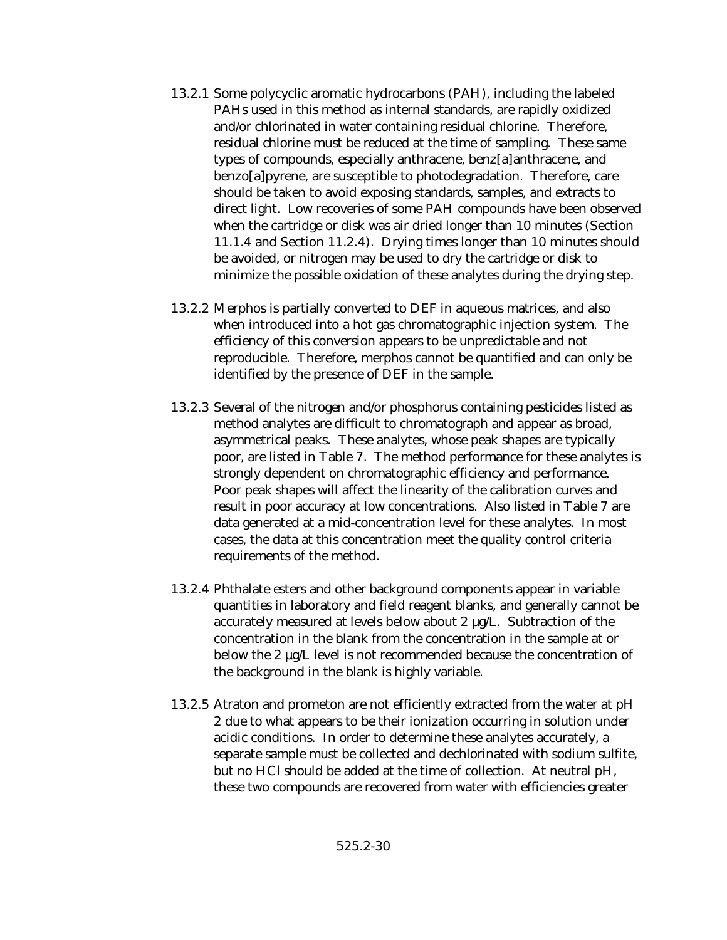- 13.2.1 Some polycyclic aromatic hydrocarbons (PAH), including the labeled PAHs used in this method as internal standards, are rapidly oxidized and/or chlorinated in water containing residual chlorine. Therefore, residual chlorine must be reduced at the time of sampling. These same types of compounds, especially anthracene, benz[a]anthracene, and benzo[a]pyrene, are susceptible to photodegradation. Therefore, care should be taken to avoid exposing standards, samples, and extracts to direct light. Low recoveries of some PAH compounds have been observed when the cartridge or disk was air dried longer than 10 minutes (Section 11.1.4 and Section 11.2.4). Drying times longer than 10 minutes should be avoided, or nitrogen may be used to dry the cartridge or disk to minimize the possible oxidation of these analytes during the drying step.
- 13.2.2 Merphos is partially converted to DEF in aqueous matrices, and also when introduced into a hot gas chromatographic injection system. The efficiency of this conversion appears to be unpredictable and not reproducible. Therefore, merphos cannot be quantified and can only be identified by the presence of DEF in the sample.
- 13.2.3 Several of the nitrogen and/or phosphorus containing pesticides listed as method analytes are difficult to chromatograph and appear as broad, asymmetrical peaks. These analytes, whose peak shapes are typically poor, are listed in Table 7. The method performance for these analytes is strongly dependent on chromatographic efficiency and performance. Poor peak shapes will affect the linearity of the calibration curves and result in poor accuracy at low concentrations. Also listed in Table 7 are data generated at a mid-concentration level for these analytes. In most cases, the data at this concentration meet the quality control criteria requirements of the method.
- 13.2.4 Phthalate esters and other background components appear in variable quantities in laboratory and field reagent blanks, and generally cannot be accurately measured at levels below about 2 µg/L. Subtraction of the concentration in the blank from the concentration in the sample at or below the 2 µg/L level is not recommended because the concentration of the background in the blank is highly variable.
- 13.2.5 Atraton and prometon are not efficiently extracted from the water at pH 2 due to what appears to be their ionization occurring in solution under acidic conditions. In order to determine these analytes accurately, a separate sample must be collected and dechlorinated with sodium sulfite, but no HCl should be added at the time of collection. At neutral pH, these two compounds are recovered from water with efficiencies greater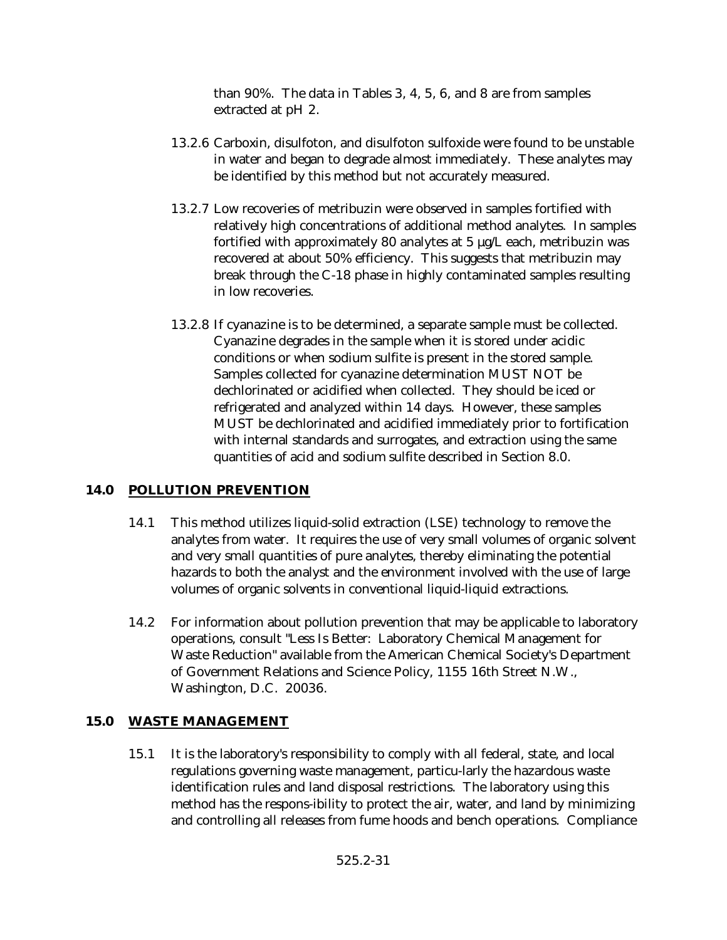than 90%. The data in Tables 3, 4, 5, 6, and 8 are from samples extracted at pH 2.

- 13.2.6 Carboxin, disulfoton, and disulfoton sulfoxide were found to be unstable in water and began to degrade almost immediately. These analytes may be identified by this method but not accurately measured.
- 13.2.7 Low recoveries of metribuzin were observed in samples fortified with relatively high concentrations of additional method analytes. In samples fortified with approximately 80 analytes at 5 µg/L each, metribuzin was recovered at about 50% efficiency. This suggests that metribuzin may break through the C-18 phase in highly contaminated samples resulting in low recoveries.
- 13.2.8 If cyanazine is to be determined, a separate sample must be collected. Cyanazine degrades in the sample when it is stored under acidic conditions or when sodium sulfite is present in the stored sample. Samples collected for cyanazine determination MUST NOT be dechlorinated or acidified when collected. They should be iced or refrigerated and analyzed within 14 days. However, these samples MUST be dechlorinated and acidified immediately prior to fortification with internal standards and surrogates, and extraction using the same quantities of acid and sodium sulfite described in Section 8.0.

# **14.0 POLLUTION PREVENTION**

- 14.1 This method utilizes liquid-solid extraction (LSE) technology to remove the analytes from water. It requires the use of very small volumes of organic solvent and very small quantities of pure analytes, thereby eliminating the potential hazards to both the analyst and the environment involved with the use of large volumes of organic solvents in conventional liquid-liquid extractions.
- 14.2 For information about pollution prevention that may be applicable to laboratory operations, consult "Less Is Better: Laboratory Chemical Management for Waste Reduction" available from the American Chemical Society's Department of Government Relations and Science Policy, 1155 16th Street N.W., Washington, D.C. 20036.

# **15.0 WASTE MANAGEMENT**

15.1 It is the laboratory's responsibility to comply with all federal, state, and local regulations governing waste management, particu-larly the hazardous waste identification rules and land disposal restrictions. The laboratory using this method has the respons-ibility to protect the air, water, and land by minimizing and controlling all releases from fume hoods and bench operations. Compliance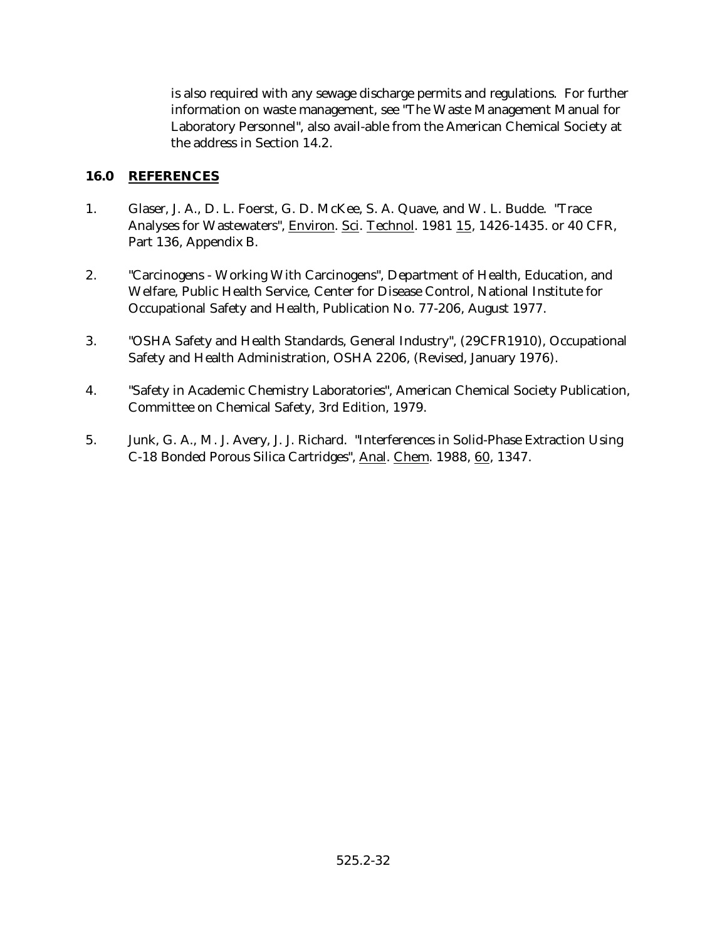is also required with any sewage discharge permits and regulations. For further information on waste management, see "The Waste Management Manual for Laboratory Personnel", also avail-able from the American Chemical Society at the address in Section 14.2.

## **16.0 REFERENCES**

- 1. Glaser, J. A., D. L. Foerst, G. D. McKee, S. A. Quave, and W. L. Budde. "Trace Analyses for Wastewaters", Environ. Sci. Technol. 1981 15, 1426-1435. or 40 CFR, Part 136, Appendix B.
- 2. "Carcinogens Working With Carcinogens", Department of Health, Education, and Welfare, Public Health Service, Center for Disease Control, National Institute for Occupational Safety and Health, Publication No. 77-206, August 1977.
- 3. "OSHA Safety and Health Standards, General Industry", (29CFR1910), Occupational Safety and Health Administration, OSHA 2206, (Revised, January 1976).
- 4. "Safety in Academic Chemistry Laboratories", American Chemical Society Publication, Committee on Chemical Safety, 3rd Edition, 1979.
- 5. Junk, G. A., M. J. Avery, J. J. Richard. "Interferences in Solid-Phase Extraction Using C-18 Bonded Porous Silica Cartridges", Anal. Chem. 1988, 60, 1347.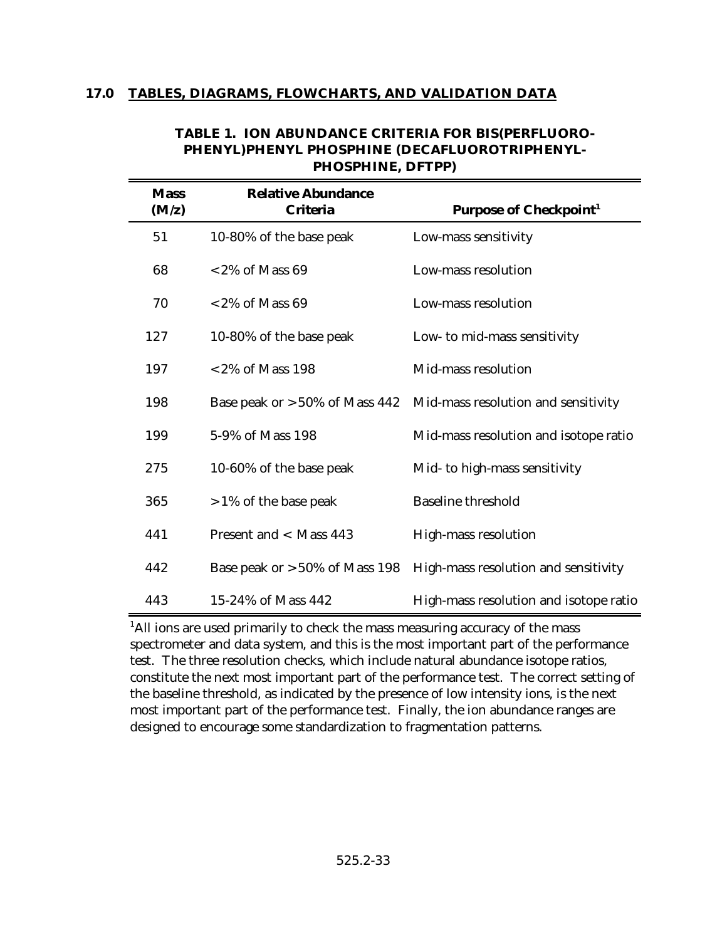#### **17.0 TABLES, DIAGRAMS, FLOWCHARTS, AND VALIDATION DATA**

| <b>Mass</b><br>(M/z) | <b>Relative Abundance</b><br><b>Criteria</b> | <b>Purpose of Checkpoint<sup>1</sup></b>                              |
|----------------------|----------------------------------------------|-----------------------------------------------------------------------|
| 51                   | 10-80% of the base peak                      | Low-mass sensitivity                                                  |
| 68                   | $<$ 2% of Mass 69                            | Low-mass resolution                                                   |
| 70                   | $<$ 2% of Mass 69                            | Low-mass resolution                                                   |
| 127                  | 10-80% of the base peak                      | Low- to mid-mass sensitivity                                          |
| 197                  | $<$ 2% of Mass 198                           | Mid-mass resolution                                                   |
| 198                  | Base peak or $>50\%$ of Mass 442             | Mid-mass resolution and sensitivity                                   |
| 199                  | 5-9% of Mass 198                             | Mid-mass resolution and isotope ratio                                 |
| 275                  | 10-60% of the base peak                      | Mid- to high-mass sensitivity                                         |
| 365                  | $>1\%$ of the base peak                      | <b>Baseline threshold</b>                                             |
| 441                  | Present and < Mass 443                       | High-mass resolution                                                  |
| 442                  |                                              | Base peak or $>50\%$ of Mass 198 High-mass resolution and sensitivity |
| 443                  | 15-24% of Mass 442                           | High-mass resolution and isotope ratio                                |

#### **TABLE 1. ION ABUNDANCE CRITERIA FOR BIS(PERFLUORO-PHENYL)PHENYL PHOSPHINE (DECAFLUOROTRIPHENYL-PHOSPHINE, DFTPP)**

<sup>1</sup>All ions are used primarily to check the mass measuring accuracy of the mass spectrometer and data system, and this is the most important part of the performance test. The three resolution checks, which include natural abundance isotope ratios, constitute the next most important part of the performance test. The correct setting of the baseline threshold, as indicated by the presence of low intensity ions, is the next most important part of the performance test. Finally, the ion abundance ranges are designed to encourage some standardization to fragmentation patterns.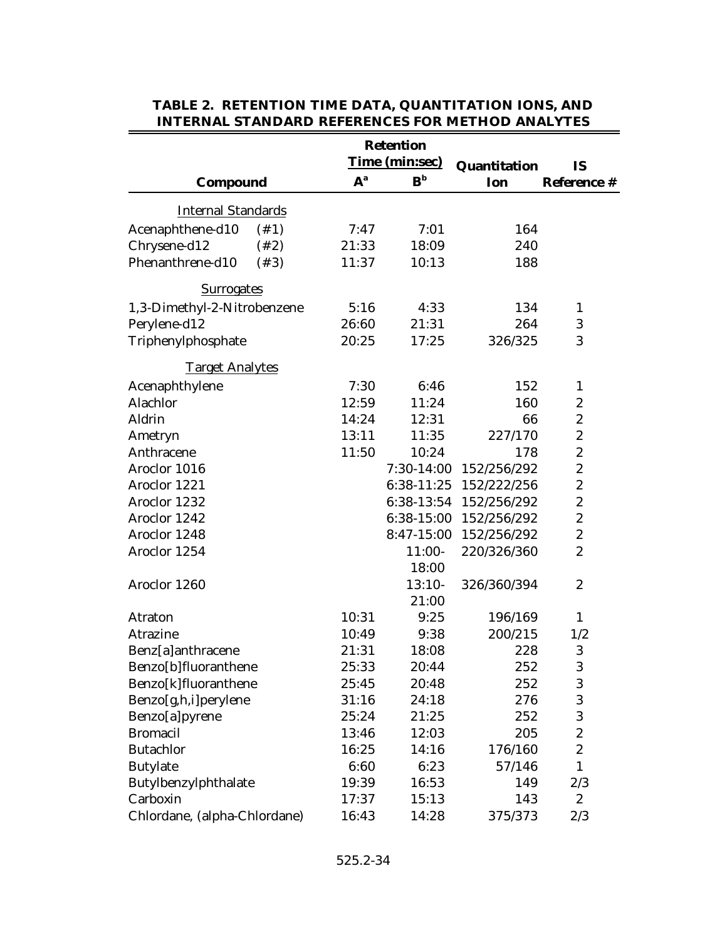|                              |       | <b>Retention</b>          |                        |                  |
|------------------------------|-------|---------------------------|------------------------|------------------|
|                              |       | Time (min:sec)            | Quantitation           | <b>IS</b>        |
| Compound                     | $A^a$ | $\mathbf{B}^{\mathrm{b}}$ | Ion                    | Reference #      |
| <b>Internal Standards</b>    |       |                           |                        |                  |
| Acenaphthene-d10<br>$(\#1)$  | 7:47  | 7:01                      | 164                    |                  |
| Chrysene-d12<br>$(+2)$       | 21:33 | 18:09                     | 240                    |                  |
| Phenanthrene-d10<br>(43)     | 11:37 | 10:13                     | 188                    |                  |
| <b>Surrogates</b>            |       |                           |                        |                  |
| 1,3-Dimethyl-2-Nitrobenzene  | 5:16  | 4:33                      | 134                    | $\mathbf{1}$     |
| Perylene-d12                 | 26:60 | 21:31                     | 264                    | $\boldsymbol{3}$ |
| Triphenylphosphate           | 20:25 | 17:25                     | 326/325                | 3                |
| <b>Target Analytes</b>       |       |                           |                        |                  |
| Acenaphthylene               | 7:30  | 6:46                      | 152                    | $\mathbf{1}$     |
| Alachlor                     | 12:59 | 11:24                     | 160                    | $\boldsymbol{2}$ |
| Aldrin                       | 14:24 | 12:31                     | 66                     | $\boldsymbol{2}$ |
| Ametryn                      | 13:11 | 11:35                     | 227/170                | $\boldsymbol{2}$ |
| Anthracene                   | 11:50 | 10:24                     | 178                    | $\boldsymbol{2}$ |
| Aroclor 1016                 |       | 7:30-14:00                | 152/256/292            | $\boldsymbol{2}$ |
| Aroclor 1221                 |       |                           | 6:38-11:25 152/222/256 | $\boldsymbol{2}$ |
| Aroclor 1232                 |       |                           | 6:38-13:54 152/256/292 | $\boldsymbol{2}$ |
| Aroclor 1242                 |       |                           | 6:38-15:00 152/256/292 | $\boldsymbol{2}$ |
| Aroclor 1248                 |       |                           | 8:47-15:00 152/256/292 | $\boldsymbol{2}$ |
| Aroclor 1254                 |       | $11:00-$                  | 220/326/360            | $\boldsymbol{2}$ |
|                              |       | 18:00                     |                        |                  |
| Aroclor 1260                 |       | $13:10-$                  | 326/360/394            | $\boldsymbol{2}$ |
|                              |       | 21:00                     |                        |                  |
| Atraton                      | 10:31 | 9:25                      | 196/169                | $\mathbf{1}$     |
| Atrazine                     | 10:49 | 9:38                      | 200/215                | 1/2              |
| Benz[a]anthracene            | 21:31 | 18:08                     | 228                    | 3                |
| Benzo [b] fluoranthene       | 25:33 | 20:44                     | 252                    | 3                |
| Benzo[k]fluoranthene         | 25:45 | 20:48                     | 252                    | 3                |
| Benzo[g,h,i]perylene         | 31:16 | 24:18                     | 276                    | $\boldsymbol{3}$ |
| Benzo[a]pyrene               | 25:24 | 21:25                     | 252                    | 3                |
| <b>Bromacil</b>              | 13:46 | 12:03                     | 205                    | $\boldsymbol{2}$ |
| <b>Butachlor</b>             | 16:25 | 14:16                     | 176/160                | $\boldsymbol{2}$ |
| <b>Butylate</b>              | 6:60  | 6:23                      | 57/146                 | $\mathbf{1}$     |
| Butylbenzylphthalate         | 19:39 | 16:53                     | 149                    | 2/3              |
| Carboxin                     | 17:37 | 15:13                     | 143                    | $\boldsymbol{2}$ |
| Chlordane, (alpha-Chlordane) | 16:43 | 14:28                     | 375/373                | 2/3              |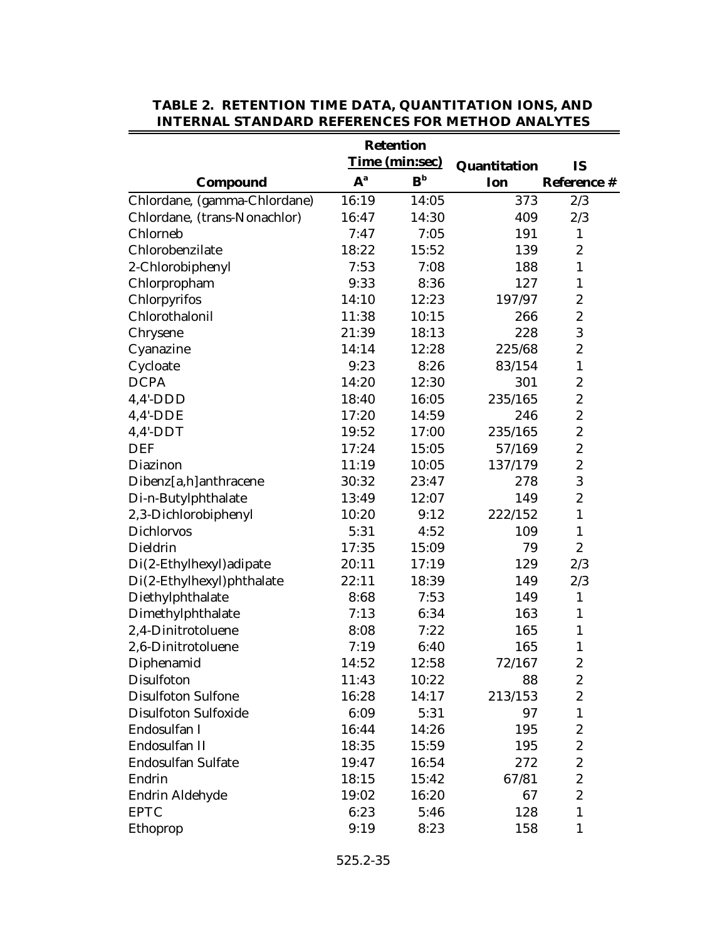|                              |       | <b>Retention</b>          |              |                  |
|------------------------------|-------|---------------------------|--------------|------------------|
|                              |       | <b>Time (min:sec)</b>     | Quantitation | <b>IS</b>        |
| Compound                     | $A^a$ | $\mathbf{B}_{\mathbf{p}}$ | Ion          | Reference #      |
| Chlordane, (gamma-Chlordane) | 16:19 | 14:05                     | 373          | 2/3              |
| Chlordane, (trans-Nonachlor) | 16:47 | 14:30                     | 409          | 2/3              |
| Chlorneb                     | 7:47  | 7:05                      | 191          | $\mathbf{1}$     |
| Chlorobenzilate              | 18:22 | 15:52                     | 139          | $\boldsymbol{2}$ |
| 2-Chlorobiphenyl             | 7:53  | 7:08                      | 188          | $\mathbf{1}$     |
| Chlorpropham                 | 9:33  | 8:36                      | 127          | $\mathbf{1}$     |
| Chlorpyrifos                 | 14:10 | 12:23                     | 197/97       | $\boldsymbol{2}$ |
| Chlorothalonil               | 11:38 | 10:15                     | 266          | $\boldsymbol{2}$ |
| Chrysene                     | 21:39 | 18:13                     | 228          | 3                |
| Cyanazine                    | 14:14 | 12:28                     | 225/68       | $\boldsymbol{2}$ |
| Cycloate                     | 9:23  | 8:26                      | 83/154       | $\mathbf{1}$     |
| <b>DCPA</b>                  | 14:20 | 12:30                     | 301          | $\boldsymbol{2}$ |
| $4,4'$ -DDD                  | 18:40 | 16:05                     | 235/165      | $\boldsymbol{2}$ |
| $4,4'$ -DDE                  | 17:20 | 14:59                     | 246          | $\boldsymbol{2}$ |
| $4,4'$ -DDT                  | 19:52 | 17:00                     | 235/165      | $\boldsymbol{2}$ |
| <b>DEF</b>                   | 17:24 | 15:05                     | 57/169       | $\overline{c}$   |
| Diazinon                     | 11:19 | 10:05                     | 137/179      | $\boldsymbol{2}$ |
| Dibenz[a,h]anthracene        | 30:32 | 23:47                     | 278          | 3                |
| Di-n-Butylphthalate          | 13:49 | 12:07                     | 149          | $\overline{c}$   |
| 2,3-Dichlorobiphenyl         | 10:20 | 9:12                      | 222/152      | $\mathbf{1}$     |
| <b>Dichlorvos</b>            | 5:31  | 4:52                      | 109          | $\mathbf{1}$     |
| Dieldrin                     | 17:35 | 15:09                     | 79           | $\overline{c}$   |
| Di(2-Ethylhexyl) adipate     | 20:11 | 17:19                     | 129          | 2/3              |
| Di(2-Ethylhexyl)phthalate    | 22:11 | 18:39                     | 149          | 2/3              |
| Diethylphthalate             | 8:68  | 7:53                      | 149          | $\mathbf{1}$     |
| Dimethylphthalate            | 7:13  | 6:34                      | 163          | $\mathbf{1}$     |
| 2,4-Dinitrotoluene           | 8:08  | 7:22                      | 165          | $\mathbf{1}$     |
| 2,6-Dinitrotoluene           | 7:19  | 6:40                      | 165          | $\mathbf{1}$     |
| Diphenamid                   | 14:52 | 12:58                     | 72/167       | $\boldsymbol{2}$ |
| Disulfoton                   | 11:43 | 10:22                     | 88           | 2                |
| <b>Disulfoton Sulfone</b>    | 16:28 | 14:17                     | 213/153      | 2                |
| <b>Disulfoton Sulfoxide</b>  | 6:09  | 5:31                      | 97           | $\mathbf{1}$     |
| Endosulfan I                 | 16:44 | 14:26                     | 195          | $\boldsymbol{2}$ |
| Endosulfan II                | 18:35 | 15:59                     | 195          | $\boldsymbol{2}$ |
| <b>Endosulfan Sulfate</b>    | 19:47 | 16:54                     | 272          | $\boldsymbol{2}$ |
| Endrin                       | 18:15 | 15:42                     | 67/81        | $\boldsymbol{2}$ |
| Endrin Aldehyde              | 19:02 | 16:20                     | 67           | $\boldsymbol{2}$ |
| <b>EPTC</b>                  | 6:23  | 5:46                      | 128          | $\mathbf{1}$     |
| Ethoprop                     | 9:19  | 8:23                      | 158          | 1                |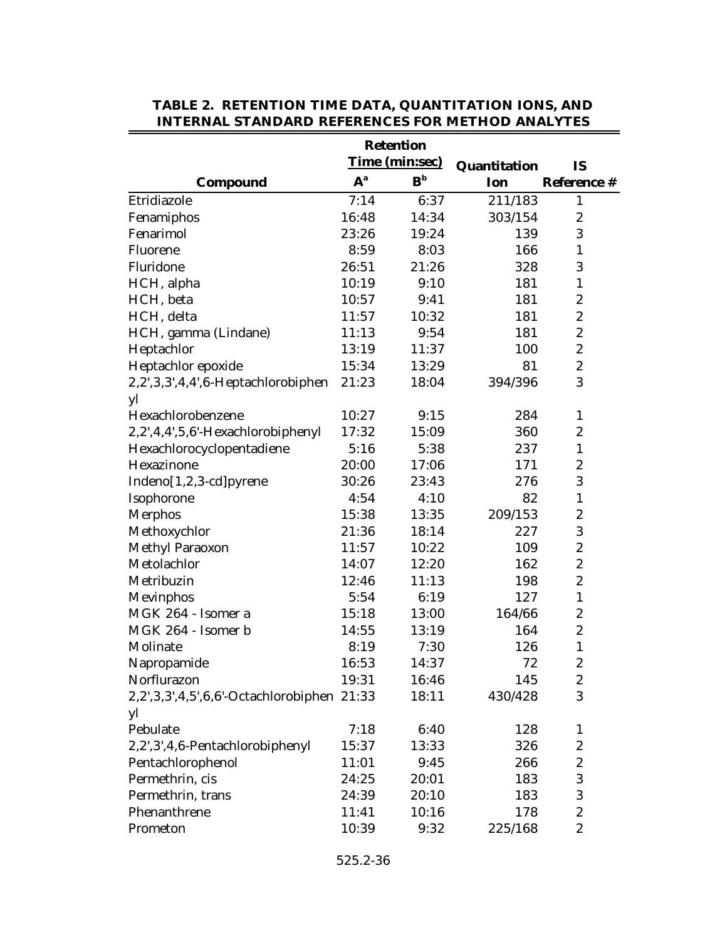|                                            |       | <b>Retention</b>          |              |                    |
|--------------------------------------------|-------|---------------------------|--------------|--------------------|
|                                            |       | Time (min:sec)            | Quantitation | <b>IS</b>          |
| Compound                                   | $A^a$ | $\mathbf{B}_{\mathbf{p}}$ | Ion          | <b>Reference #</b> |
| Etridiazole                                | 7:14  | 6:37                      | 211/183      | 1                  |
| Fenamiphos                                 | 16:48 | 14:34                     | 303/154      | $\boldsymbol{2}$   |
| Fenarimol                                  | 23:26 | 19:24                     | 139          | 3                  |
| Fluorene                                   | 8:59  | 8:03                      | 166          | 1                  |
| Fluridone                                  | 26:51 | 21:26                     | 328          | 3                  |
| HCH, alpha                                 | 10:19 | 9:10                      | 181          | $\mathbf{1}$       |
| HCH, beta                                  | 10:57 | 9:41                      | 181          | $\boldsymbol{2}$   |
| HCH, delta                                 | 11:57 | 10:32                     | 181          | $\boldsymbol{2}$   |
| HCH, gamma (Lindane)                       | 11:13 | 9:54                      | 181          | $\boldsymbol{2}$   |
| Heptachlor                                 | 13:19 | 11:37                     | 100          | $\boldsymbol{2}$   |
| Heptachlor epoxide                         | 15:34 | 13:29                     | 81           | $\boldsymbol{2}$   |
| 2,2',3,3',4,4',6-Heptachlorobiphen         | 21:23 | 18:04                     | 394/396      | 3                  |
| yl                                         |       |                           |              |                    |
| Hexachlorobenzene                          | 10:27 | 9:15                      | 284          | 1                  |
| 2,2',4,4',5,6'-Hexachlorobiphenyl          | 17:32 | 15:09                     | 360          | $\boldsymbol{2}$   |
| Hexachlorocyclopentadiene                  | 5:16  | 5:38                      | 237          | $\mathbf{1}$       |
| Hexazinone                                 | 20:00 | 17:06                     | 171          | $\boldsymbol{2}$   |
| Indeno[1,2,3-cd]pyrene                     | 30:26 | 23:43                     | 276          | 3                  |
| Isophorone                                 | 4:54  | 4:10                      | 82           | $\mathbf{1}$       |
| <b>Merphos</b>                             | 15:38 | 13:35                     | 209/153      | $\boldsymbol{2}$   |
| Methoxychlor                               | 21:36 | 18:14                     | 227          | 3                  |
| <b>Methyl Paraoxon</b>                     | 11:57 | 10:22                     | 109          | $\boldsymbol{2}$   |
| Metolachlor                                | 14:07 | 12:20                     | 162          | $\boldsymbol{2}$   |
| Metribuzin                                 | 12:46 | 11:13                     | 198          | $\boldsymbol{2}$   |
| Mevinphos                                  | 5:54  | 6:19                      | 127          | $\mathbf{1}$       |
| MGK 264 - Isomer a                         | 15:18 | 13:00                     | 164/66       | $\boldsymbol{2}$   |
| MGK 264 - Isomer b                         | 14:55 | 13:19                     | 164          | $\boldsymbol{2}$   |
| Molinate                                   | 8:19  | 7:30                      | 126          | $\mathbf{1}$       |
| Napropamide                                | 16:53 | 14:37                     | 72           | $\boldsymbol{2}$   |
| Norflurazon                                | 19:31 | 16:46                     | 145          | $\boldsymbol{2}$   |
| 2,2',3,3',4,5',6,6'-Octachlorobiphen 21:33 |       | 18:11                     | 430/428      | 3                  |
| yl                                         |       |                           |              |                    |
| Pebulate                                   | 7:18  | 6:40                      | 128          | $\mathbf{1}$       |
| 2,2',3',4,6-Pentachlorobiphenyl            | 15:37 | 13:33                     | 326          | $\boldsymbol{2}$   |
| Pentachlorophenol                          | 11:01 | 9:45                      | 266          | $\boldsymbol{2}$   |
| Permethrin, cis                            | 24:25 | 20:01                     | 183          | 3                  |
| Permethrin, trans                          | 24:39 | 20:10                     | 183          | 3                  |
| Phenanthrene                               | 11:41 | 10:16                     | 178          | $\boldsymbol{2}$   |
| Prometon                                   | 10:39 | 9:32                      | 225/168      | $\overline{c}$     |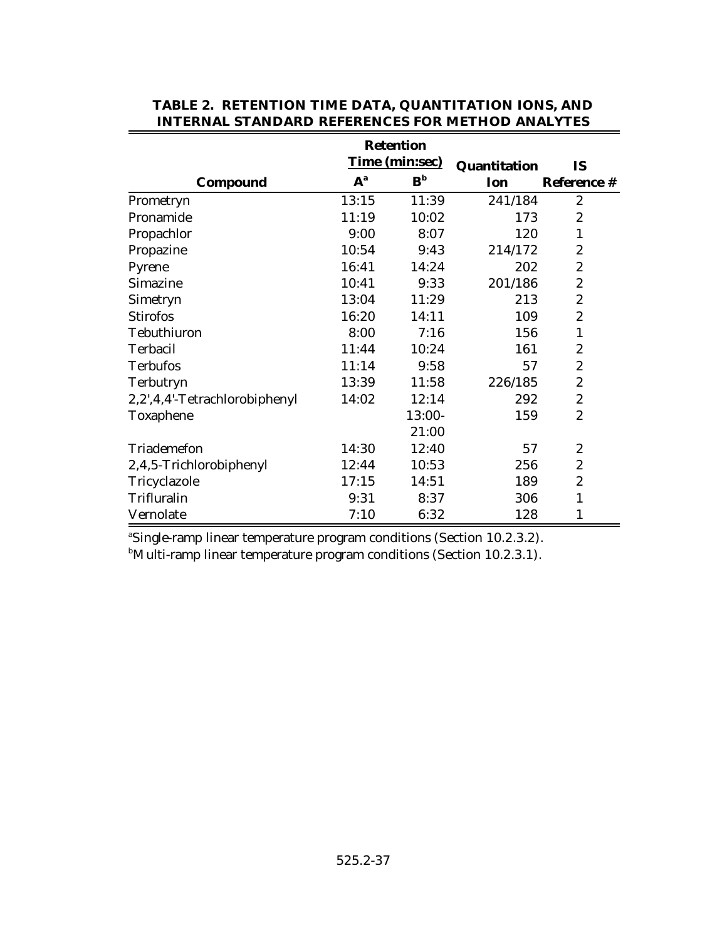|                               |       | <b>Retention</b>      |              |                  |
|-------------------------------|-------|-----------------------|--------------|------------------|
|                               |       | <b>Time (min:sec)</b> | Quantitation | <b>IS</b>        |
| Compound                      | $A^a$ | ${\bf B}^{\rm b}$     | Ion          | Reference #      |
| Prometryn                     | 13:15 | 11:39                 | 241/184      | $\overline{2}$   |
| Pronamide                     | 11:19 | 10:02                 | 173          | $\boldsymbol{2}$ |
| Propachlor                    | 9:00  | 8:07                  | 120          | $\mathbf{1}$     |
| Propazine                     | 10:54 | 9:43                  | 214/172      | $\boldsymbol{2}$ |
| Pyrene                        | 16:41 | 14:24                 | 202          | $\boldsymbol{2}$ |
| Simazine                      | 10:41 | 9:33                  | 201/186      | $\boldsymbol{2}$ |
| Simetryn                      | 13:04 | 11:29                 | 213          | $\boldsymbol{2}$ |
| <b>Stirofos</b>               | 16:20 | 14:11                 | 109          | $\boldsymbol{2}$ |
| Tebuthiuron                   | 8:00  | 7:16                  | 156          | 1                |
| Terbacil                      | 11:44 | 10:24                 | 161          | $\boldsymbol{2}$ |
| <b>Terbufos</b>               | 11:14 | 9:58                  | 57           | $\boldsymbol{2}$ |
| Terbutryn                     | 13:39 | 11:58                 | 226/185      | $\boldsymbol{2}$ |
| 2,2',4,4'-Tetrachlorobiphenyl | 14:02 | 12:14                 | 292          | $\boldsymbol{2}$ |
| Toxaphene                     |       | 13:00-                | 159          | $\mathbf{2}$     |
|                               |       | 21:00                 |              |                  |
| Triademefon                   | 14:30 | 12:40                 | 57           | $\boldsymbol{2}$ |
| 2,4,5-Trichlorobiphenyl       | 12:44 | 10:53                 | 256          | 2                |
| Tricyclazole                  | 17:15 | 14:51                 | 189          | 2                |
| Trifluralin                   | 9:31  | 8:37                  | 306          | $\mathbf{1}$     |
| Vernolate                     | 7:10  | 6:32                  | 128          | 1                |

<sup>a</sup>Single-ramp linear temperature program conditions (Section 10.2.3.2).  $b$ Multi-ramp linear temperature program conditions (Section 10.2.3.1).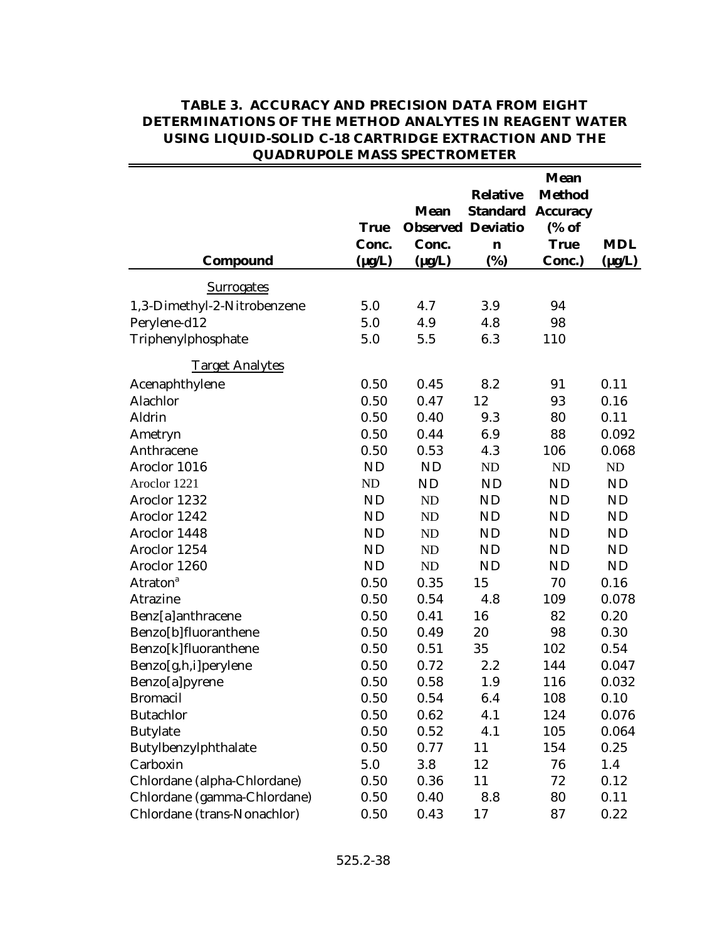|                             | <b>True</b><br>Conc. | <b>Mean</b><br><b>Observed Deviatio</b><br>Conc. | <b>Relative</b><br><b>Standard</b><br>$\mathbf n$ | <b>Mean</b><br><b>Method</b><br><b>Accuracy</b><br>(% of<br><b>True</b> | <b>MDL</b>  |
|-----------------------------|----------------------|--------------------------------------------------|---------------------------------------------------|-------------------------------------------------------------------------|-------------|
| Compound                    | $(\mu g/L)$          | $(\mu g/L)$                                      | (%)                                               | Conc.)                                                                  | $(\mu g/L)$ |
| <b>Surrogates</b>           |                      |                                                  |                                                   |                                                                         |             |
| 1,3-Dimethyl-2-Nitrobenzene | 5.0                  | 4.7                                              | 3.9                                               | 94                                                                      |             |
| Perylene-d12                | 5.0                  | 4.9                                              | 4.8                                               | 98                                                                      |             |
| Triphenylphosphate          | 5.0                  | 5.5                                              | 6.3                                               | 110                                                                     |             |
| <b>Target Analytes</b>      |                      |                                                  |                                                   |                                                                         |             |
| Acenaphthylene              | 0.50                 | 0.45                                             | 8.2                                               | 91                                                                      | 0.11        |
| Alachlor                    | 0.50                 | 0.47                                             | 12                                                | 93                                                                      | 0.16        |
| Aldrin                      | 0.50                 | 0.40                                             | 9.3                                               | 80                                                                      | 0.11        |
| Ametryn                     | 0.50                 | 0.44                                             | 6.9                                               | 88                                                                      | 0.092       |
| Anthracene                  | 0.50                 | 0.53                                             | 4.3                                               | 106                                                                     | 0.068       |
| Aroclor 1016                | <b>ND</b>            | <b>ND</b>                                        | <b>ND</b>                                         | ND                                                                      | ND          |
| Aroclor 1221                | ND                   | <b>ND</b>                                        | <b>ND</b>                                         | <b>ND</b>                                                               | <b>ND</b>   |
| Aroclor 1232                | <b>ND</b>            | <b>ND</b>                                        | <b>ND</b>                                         | <b>ND</b>                                                               | <b>ND</b>   |
| Aroclor 1242                | <b>ND</b>            | <b>ND</b>                                        | <b>ND</b>                                         | <b>ND</b>                                                               | <b>ND</b>   |
| Aroclor 1448                | <b>ND</b>            | <b>ND</b>                                        | <b>ND</b>                                         | <b>ND</b>                                                               | <b>ND</b>   |
| Aroclor 1254                | <b>ND</b>            | <b>ND</b>                                        | <b>ND</b>                                         | <b>ND</b>                                                               | <b>ND</b>   |
| Aroclor 1260                | <b>ND</b>            | ND                                               | <b>ND</b>                                         | <b>ND</b>                                                               | <b>ND</b>   |
| <b>Atraton</b> <sup>a</sup> | 0.50                 | 0.35                                             | 15                                                | 70                                                                      | 0.16        |
| Atrazine                    | 0.50                 | 0.54                                             | 4.8                                               | 109                                                                     | 0.078       |
| Benz[a]anthracene           | 0.50                 | 0.41                                             | 16                                                | 82                                                                      | 0.20        |
| Benzo[b]fluoranthene        | 0.50                 | 0.49                                             | 20                                                | 98                                                                      | 0.30        |
| Benzo[k]fluoranthene        | 0.50                 | 0.51                                             | 35                                                | 102                                                                     | 0.54        |
| Benzo[g,h,i]perylene        | 0.50                 | 0.72                                             | 2.2                                               | 144                                                                     | 0.047       |
| Benzo[a]pyrene              | 0.50                 | 0.58                                             | 1.9                                               | 116                                                                     | 0.032       |
| <b>Bromacil</b>             | 0.50                 | 0.54                                             | 6.4                                               | 108                                                                     | 0.10        |
| <b>Butachlor</b>            | 0.50                 | 0.62                                             | 4.1                                               | 124                                                                     | 0.076       |
| <b>Butylate</b>             | 0.50                 | 0.52                                             | 4.1                                               | 105                                                                     | 0.064       |
| Butylbenzylphthalate        | 0.50                 | 0.77                                             | 11                                                | 154                                                                     | 0.25        |
| Carboxin                    | 5.0                  | 3.8                                              | 12                                                | 76                                                                      | 1.4         |
| Chlordane (alpha-Chlordane) | 0.50                 | 0.36                                             | 11                                                | 72                                                                      | 0.12        |
| Chlordane (gamma-Chlordane) | 0.50                 | 0.40                                             | 8.8                                               | 80                                                                      | 0.11        |
| Chlordane (trans-Nonachlor) | 0.50                 | 0.43                                             | 17                                                | 87                                                                      | 0.22        |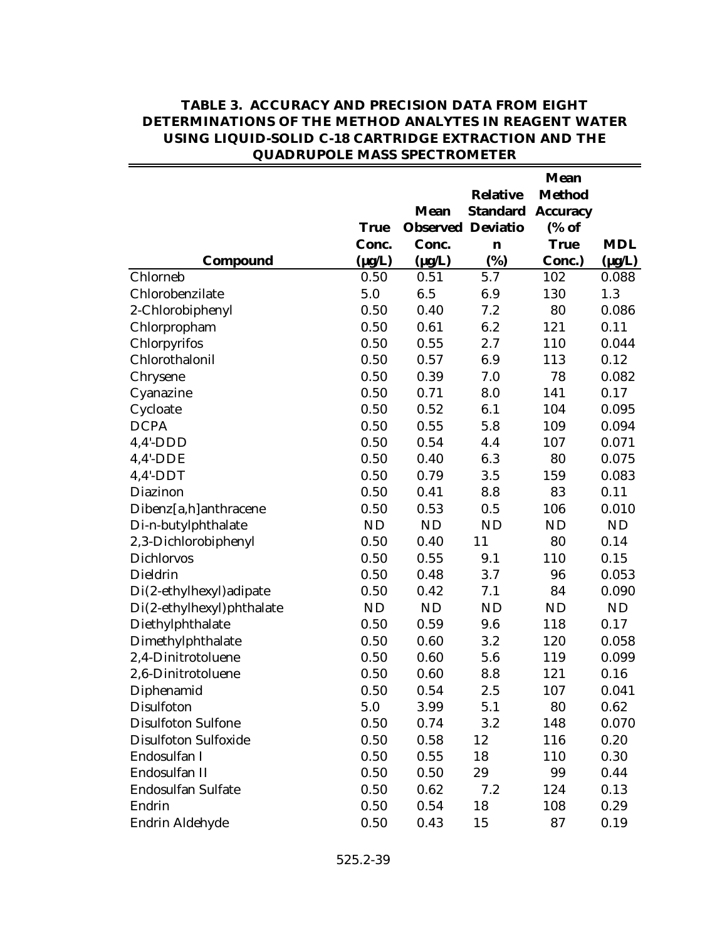|                             | <b>True</b> | <b>Mean</b><br><b>Observed Deviatio</b> | <b>Relative</b><br><b>Standard</b> | <b>Mean</b><br><b>Method</b><br><b>Accuracy</b><br>(% of |             |
|-----------------------------|-------------|-----------------------------------------|------------------------------------|----------------------------------------------------------|-------------|
|                             | Conc.       | Conc.                                   | $\mathbf n$                        | <b>True</b>                                              | <b>MDL</b>  |
| Compound                    | $(\mu g/L)$ | $(\mu g/L)$                             | (%)                                | Conc.)                                                   | $(\mu g/L)$ |
| Chlorneb                    | 0.50        | 0.51                                    | 5.7                                | 102                                                      | 0.088       |
| Chlorobenzilate             | 5.0         | 6.5                                     | 6.9                                | 130                                                      | 1.3         |
| 2-Chlorobiphenyl            | 0.50        | 0.40                                    | 7.2                                | 80                                                       | 0.086       |
| Chlorpropham                | 0.50        | 0.61                                    | 6.2                                | 121                                                      | 0.11        |
| Chlorpyrifos                | 0.50        | 0.55                                    | 2.7                                | 110                                                      | 0.044       |
| Chlorothalonil              | 0.50        | 0.57                                    | 6.9                                | 113                                                      | 0.12        |
| Chrysene                    | 0.50        | 0.39                                    | 7.0                                | 78                                                       | 0.082       |
| Cyanazine                   | 0.50        | 0.71                                    | 8.0                                | 141                                                      | 0.17        |
| Cycloate                    | 0.50        | 0.52                                    | 6.1                                | 104                                                      | 0.095       |
| <b>DCPA</b>                 | 0.50        | 0.55                                    | 5.8                                | 109                                                      | 0.094       |
| $4,4'$ -DDD                 | 0.50        | 0.54                                    | 4.4                                | 107                                                      | 0.071       |
| $4,4'$ -DDE                 | 0.50        | 0.40                                    | 6.3                                | 80                                                       | 0.075       |
| $4,4'$ -DDT                 | 0.50        | 0.79                                    | 3.5                                | 159                                                      | 0.083       |
| Diazinon                    | 0.50        | 0.41                                    | 8.8                                | 83                                                       | 0.11        |
| Dibenz[a,h]anthracene       | 0.50        | 0.53                                    | 0.5                                | 106                                                      | 0.010       |
| Di-n-butylphthalate         | <b>ND</b>   | <b>ND</b>                               | <b>ND</b>                          | <b>ND</b>                                                | <b>ND</b>   |
| 2,3-Dichlorobiphenyl        | 0.50        | 0.40                                    | 11                                 | 80                                                       | 0.14        |
| <b>Dichlorvos</b>           | 0.50        | 0.55                                    | 9.1                                | 110                                                      | 0.15        |
| Dieldrin                    | 0.50        | 0.48                                    | 3.7                                | 96                                                       | 0.053       |
| Di(2-ethylhexyl) adipate    | 0.50        | 0.42                                    | 7.1                                | 84                                                       | 0.090       |
| Di(2-ethylhexyl)phthalate   | <b>ND</b>   | <b>ND</b>                               | <b>ND</b>                          | <b>ND</b>                                                | ND          |
| Diethylphthalate            | 0.50        | 0.59                                    | 9.6                                | 118                                                      | 0.17        |
| Dimethylphthalate           | 0.50        | 0.60                                    | 3.2                                | 120                                                      | 0.058       |
| 2,4-Dinitrotoluene          | 0.50        | 0.60                                    | 5.6                                | 119                                                      | 0.099       |
| 2,6-Dinitrotoluene          | 0.50        | 0.60                                    | 8.8                                | 121                                                      | 0.16        |
| Diphenamid                  | 0.50        | 0.54                                    | 2.5                                | 107                                                      | 0.041       |
| Disulfoton                  | 5.0         | 3.99                                    | 5.1                                | 80                                                       | 0.62        |
| <b>Disulfoton Sulfone</b>   | 0.50        | 0.74                                    | 3.2                                | 148                                                      | 0.070       |
| <b>Disulfoton Sulfoxide</b> | 0.50        | 0.58                                    | 12                                 | 116                                                      | 0.20        |
| Endosulfan I                | 0.50        | 0.55                                    | 18                                 | 110                                                      | 0.30        |
| Endosulfan II               | 0.50        | 0.50                                    | 29                                 | 99                                                       | 0.44        |
| Endosulfan Sulfate          | 0.50        | 0.62                                    | 7.2                                | 124                                                      | 0.13        |
| Endrin                      | 0.50        | 0.54                                    | 18                                 | 108                                                      | 0.29        |
| Endrin Aldehyde             | 0.50        | 0.43                                    | 15                                 | 87                                                       | 0.19        |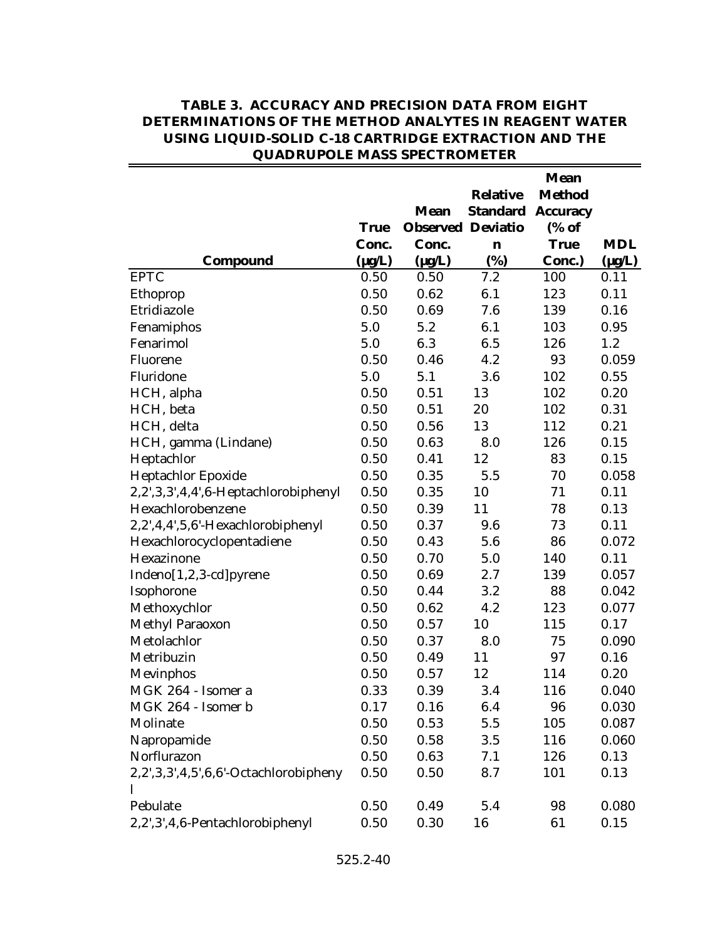|                                       |             | Mean                     | <b>Relative</b> | <b>Mean</b><br><b>Method</b><br><b>Standard Accuracy</b> |             |
|---------------------------------------|-------------|--------------------------|-----------------|----------------------------------------------------------|-------------|
|                                       | <b>True</b> | <b>Observed Deviatio</b> |                 | (% of                                                    |             |
|                                       | Conc.       | Conc.                    | $\mathbf n$     | <b>True</b>                                              | <b>MDL</b>  |
| Compound                              | $(\mu g/L)$ | $(\mu g/L)$              | (%)             | Conc.)                                                   | $(\mu g/L)$ |
| <b>EPTC</b>                           | 0.50        | 0.50                     | 7.2             | 100                                                      | 0.11        |
| Ethoprop                              | 0.50        | 0.62                     | 6.1             | 123                                                      | 0.11        |
| Etridiazole                           | 0.50        | 0.69                     | 7.6             | 139                                                      | 0.16        |
| Fenamiphos                            | 5.0         | 5.2                      | 6.1             | 103                                                      | 0.95        |
| Fenarimol                             | 5.0         | 6.3                      | 6.5             | 126                                                      | 1.2         |
| Fluorene                              | 0.50        | 0.46                     | 4.2             | 93                                                       | 0.059       |
| Fluridone                             | 5.0         | 5.1                      | 3.6             | 102                                                      | 0.55        |
| HCH, alpha                            | 0.50        | 0.51                     | 13              | 102                                                      | 0.20        |
| HCH, beta                             | 0.50        | 0.51                     | 20              | 102                                                      | 0.31        |
| HCH, delta                            | 0.50        | 0.56                     | 13              | 112                                                      | 0.21        |
| HCH, gamma (Lindane)                  | 0.50        | 0.63                     | 8.0             | 126                                                      | 0.15        |
| Heptachlor                            | 0.50        | 0.41                     | 12              | 83                                                       | 0.15        |
| Heptachlor Epoxide                    | 0.50        | 0.35                     | 5.5             | 70                                                       | 0.058       |
| 2,2',3,3',4,4',6-Heptachlorobiphenyl  | 0.50        | 0.35                     | 10              | 71                                                       | 0.11        |
| Hexachlorobenzene                     | 0.50        | 0.39                     | 11              | 78                                                       | 0.13        |
| 2,2',4,4',5,6'-Hexachlorobiphenyl     | 0.50        | 0.37                     | 9.6             | 73                                                       | 0.11        |
| Hexachlorocyclopentadiene             | 0.50        | 0.43                     | 5.6             | 86                                                       | 0.072       |
| Hexazinone                            | 0.50        | 0.70                     | 5.0             | 140                                                      | 0.11        |
| Indeno[1,2,3-cd]pyrene                | 0.50        | 0.69                     | 2.7             | 139                                                      | 0.057       |
| Isophorone                            | 0.50        | 0.44                     | 3.2             | 88                                                       | 0.042       |
| Methoxychlor                          | 0.50        | 0.62                     | 4.2             | 123                                                      | 0.077       |
| Methyl Paraoxon                       | 0.50        | 0.57                     | 10              | 115                                                      | 0.17        |
| Metolachlor                           | 0.50        | 0.37                     | 8.0             | 75                                                       | 0.090       |
| Metribuzin                            | 0.50        | 0.49                     | 11              | 97                                                       | 0.16        |
| Mevinphos                             | 0.50        | 0.57                     | 12              | 114                                                      | 0.20        |
| MGK 264 - Isomer a                    | 0.33        | 0.39                     | 3.4             | 116                                                      | 0.040       |
| MGK 264 - Isomer b                    | 0.17        | 0.16                     | 6.4             | 96                                                       | 0.030       |
| Molinate                              | 0.50        | 0.53                     | 5.5             | 105                                                      | 0.087       |
| Napropamide                           | 0.50        | 0.58                     | 3.5             | 116                                                      | 0.060       |
| Norflurazon                           | 0.50        | 0.63                     | 7.1             | 126                                                      | 0.13        |
| 2,2',3,3',4,5',6,6'-Octachlorobipheny | 0.50        | 0.50                     | 8.7             | 101                                                      | 0.13        |
|                                       |             |                          |                 |                                                          |             |
| Pebulate                              | 0.50        | 0.49                     | 5.4             | 98                                                       | 0.080       |
| 2,2',3',4,6-Pentachlorobiphenyl       | 0.50        | 0.30                     | 16              | 61                                                       | 0.15        |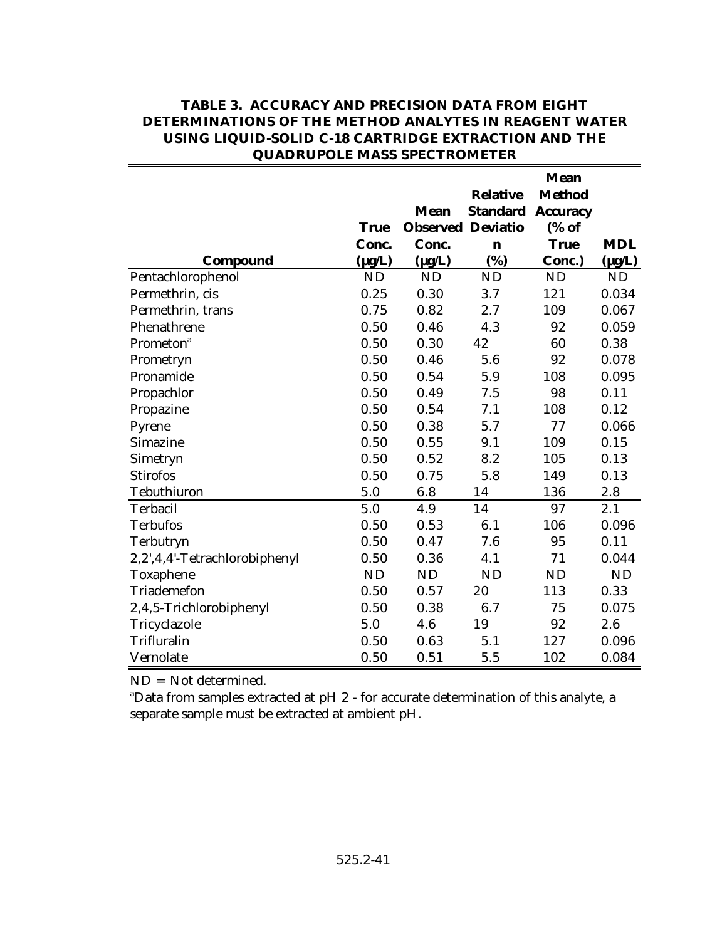|                               | <b>True</b><br>Conc. | <b>Mean</b><br><b>Observed Deviatio</b><br>Conc. | <b>Relative</b><br><b>Standard</b><br>$\mathbf n$ | <b>Mean</b><br><b>Method</b><br><b>Accuracy</b><br>(% of<br><b>True</b> | <b>MDL</b>  |
|-------------------------------|----------------------|--------------------------------------------------|---------------------------------------------------|-------------------------------------------------------------------------|-------------|
| Compound                      | $(\mu g/L)$          | $(\mu g/L)$                                      | (%)                                               | Conc.)                                                                  | $(\mu g/L)$ |
| Pentachlorophenol             | <b>ND</b>            | <b>ND</b>                                        | <b>ND</b>                                         | ND                                                                      | <b>ND</b>   |
| Permethrin, cis               | 0.25                 | 0.30                                             | 3.7                                               | 121                                                                     | 0.034       |
| Permethrin, trans             | 0.75                 | 0.82                                             | 2.7                                               | 109                                                                     | 0.067       |
| Phenathrene                   | 0.50                 | 0.46                                             | 4.3                                               | 92                                                                      | 0.059       |
| Prometon <sup>a</sup>         | 0.50                 | 0.30                                             | 42                                                | 60                                                                      | 0.38        |
| Prometryn                     | 0.50                 | 0.46                                             | 5.6                                               | 92                                                                      | 0.078       |
| Pronamide                     | 0.50                 | 0.54                                             | 5.9                                               | 108                                                                     | 0.095       |
| Propachlor                    | 0.50                 | 0.49                                             | 7.5                                               | 98                                                                      | 0.11        |
| Propazine                     | 0.50                 | 0.54                                             | 7.1                                               | 108                                                                     | 0.12        |
| Pyrene                        | 0.50                 | 0.38                                             | 5.7                                               | 77                                                                      | 0.066       |
| Simazine                      | 0.50                 | 0.55                                             | 9.1                                               | 109                                                                     | 0.15        |
| Simetryn                      | 0.50                 | 0.52                                             | 8.2                                               | 105                                                                     | 0.13        |
| <b>Stirofos</b>               | 0.50                 | 0.75                                             | 5.8                                               | 149                                                                     | 0.13        |
| Tebuthiuron                   | 5.0                  | 6.8                                              | 14                                                | 136                                                                     | 2.8         |
| Terbacil                      | 5.0                  | 4.9                                              | 14                                                | 97                                                                      | 2.1         |
| <b>Terbufos</b>               | 0.50                 | 0.53                                             | 6.1                                               | 106                                                                     | 0.096       |
| Terbutryn                     | 0.50                 | 0.47                                             | 7.6                                               | 95                                                                      | 0.11        |
| 2,2',4,4'-Tetrachlorobiphenyl | 0.50                 | 0.36                                             | 4.1                                               | 71                                                                      | 0.044       |
| Toxaphene                     | <b>ND</b>            | <b>ND</b>                                        | <b>ND</b>                                         | ND                                                                      | <b>ND</b>   |
| Triademefon                   | 0.50                 | 0.57                                             | 20                                                | 113                                                                     | 0.33        |
| 2,4,5-Trichlorobiphenyl       | 0.50                 | 0.38                                             | 6.7                                               | 75                                                                      | 0.075       |
| Tricyclazole                  | 5.0                  | 4.6                                              | 19                                                | 92                                                                      | 2.6         |
| Trifluralin                   | 0.50                 | 0.63                                             | 5.1                                               | 127                                                                     | 0.096       |
| Vernolate                     | 0.50                 | 0.51                                             | 5.5                                               | 102                                                                     | 0.084       |

ND = Not determined.

<sup>a</sup>Data from samples extracted at pH 2 - for accurate determination of this analyte, a separate sample must be extracted at ambient pH.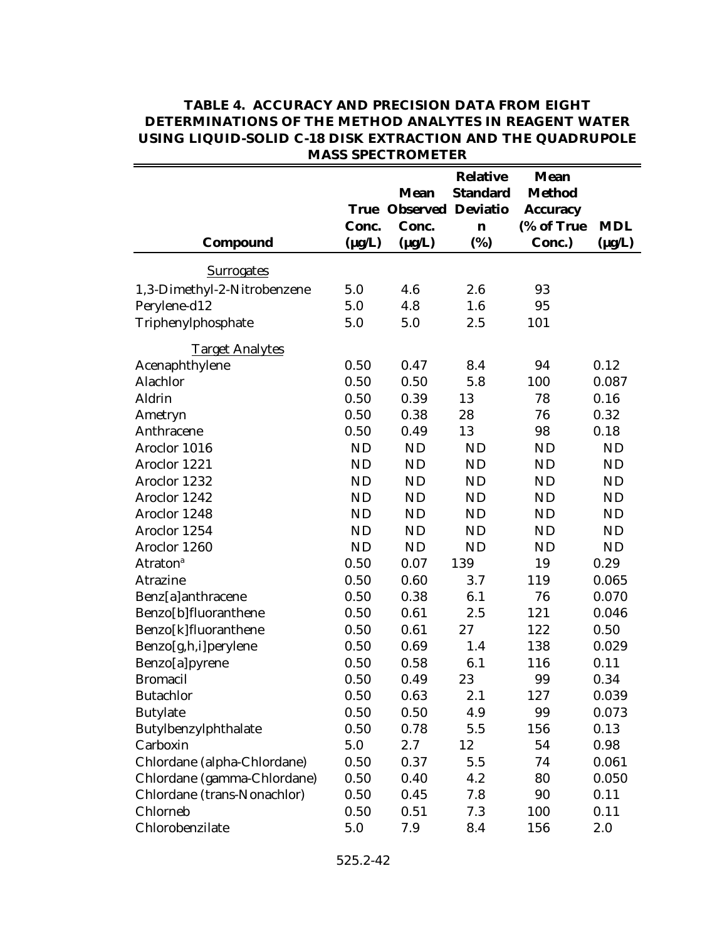|                             |             | IVIADD DE EU I RUIVILL ER               |                                    |                                                 |             |
|-----------------------------|-------------|-----------------------------------------|------------------------------------|-------------------------------------------------|-------------|
|                             | <b>True</b> | <b>Mean</b><br><b>Observed Deviatio</b> | <b>Relative</b><br><b>Standard</b> | <b>Mean</b><br><b>Method</b><br><b>Accuracy</b> |             |
|                             | Conc.       | Conc.                                   | n                                  | (% of True                                      | <b>MDL</b>  |
| Compound                    | $(\mu g/L)$ | $(\mu g/L)$                             | (%)                                | Conc.)                                          | $(\mu g/L)$ |
|                             |             |                                         |                                    |                                                 |             |
| <b>Surrogates</b>           |             |                                         |                                    |                                                 |             |
| 1,3-Dimethyl-2-Nitrobenzene | 5.0         | 4.6                                     | 2.6                                | 93                                              |             |
| Perylene-d12                | 5.0         | 4.8                                     | 1.6                                | 95                                              |             |
| Triphenylphosphate          | 5.0         | 5.0                                     | 2.5                                | 101                                             |             |
| <b>Target Analytes</b>      |             |                                         |                                    |                                                 |             |
| Acenaphthylene              | 0.50        | 0.47                                    | 8.4                                | 94                                              | 0.12        |
| Alachlor                    | 0.50        | 0.50                                    | 5.8                                | 100                                             | 0.087       |
| Aldrin                      | 0.50        | 0.39                                    | 13                                 | 78                                              | 0.16        |
| Ametryn                     | 0.50        | 0.38                                    | 28                                 | 76                                              | 0.32        |
| Anthracene                  | 0.50        | 0.49                                    | 13                                 | 98                                              | 0.18        |
| Aroclor 1016                | <b>ND</b>   | <b>ND</b>                               | <b>ND</b>                          | <b>ND</b>                                       | <b>ND</b>   |
| Aroclor 1221                | <b>ND</b>   | <b>ND</b>                               | <b>ND</b>                          | <b>ND</b>                                       | <b>ND</b>   |
| Aroclor 1232                | <b>ND</b>   | <b>ND</b>                               | <b>ND</b>                          | <b>ND</b>                                       | ND          |
| Aroclor 1242                | <b>ND</b>   | <b>ND</b>                               | <b>ND</b>                          | <b>ND</b>                                       | <b>ND</b>   |
| Aroclor 1248                | <b>ND</b>   | <b>ND</b>                               | <b>ND</b>                          | <b>ND</b>                                       | <b>ND</b>   |
| Aroclor 1254                | <b>ND</b>   | <b>ND</b>                               | <b>ND</b>                          | ND                                              | <b>ND</b>   |
| Aroclor 1260                | <b>ND</b>   | <b>ND</b>                               | <b>ND</b>                          | <b>ND</b>                                       | <b>ND</b>   |
| <b>Atraton</b> <sup>a</sup> | 0.50        | 0.07                                    | 139                                | 19                                              | 0.29        |
| <b>Atrazine</b>             | 0.50        | 0.60                                    | 3.7                                | 119                                             | 0.065       |
| Benz[a]anthracene           | 0.50        | 0.38                                    | 6.1                                | 76                                              | 0.070       |
| Benzo[b]fluoranthene        | 0.50        | 0.61                                    | 2.5                                | 121                                             | 0.046       |
| Benzo[k]fluoranthene        | 0.50        | 0.61                                    | 27                                 | 122                                             | 0.50        |
| Benzo[g,h,i]perylene        | 0.50        | 0.69                                    | 1.4                                | 138                                             | 0.029       |
| Benzo[a]pyrene              | 0.50        | 0.58                                    | 6.1                                | 116                                             | 0.11        |
| <b>Bromacil</b>             | 0.50        | 0.49                                    | 23                                 | 99                                              | 0.34        |
| <b>Butachlor</b>            | 0.50        | 0.63                                    | 2.1                                | 127                                             | 0.039       |
| <b>Butylate</b>             | 0.50        | 0.50                                    | 4.9                                | 99                                              | 0.073       |
| Butylbenzylphthalate        | 0.50        | 0.78                                    | 5.5                                | 156                                             | 0.13        |
| Carboxin                    | 5.0         | $2.7\,$                                 | 12                                 | 54                                              | 0.98        |
| Chlordane (alpha-Chlordane) | 0.50        | 0.37                                    | 5.5                                | 74                                              | 0.061       |
| Chlordane (gamma-Chlordane) | 0.50        | 0.40                                    | 4.2                                | 80                                              | 0.050       |
| Chlordane (trans-Nonachlor) | 0.50        | 0.45                                    | 7.8                                | 90                                              | 0.11        |
| Chlorneb                    | 0.50        | 0.51                                    | 7.3                                | 100                                             | 0.11        |
| Chlorobenzilate             | 5.0         | 7.9                                     | 8.4                                | 156                                             | 2.0         |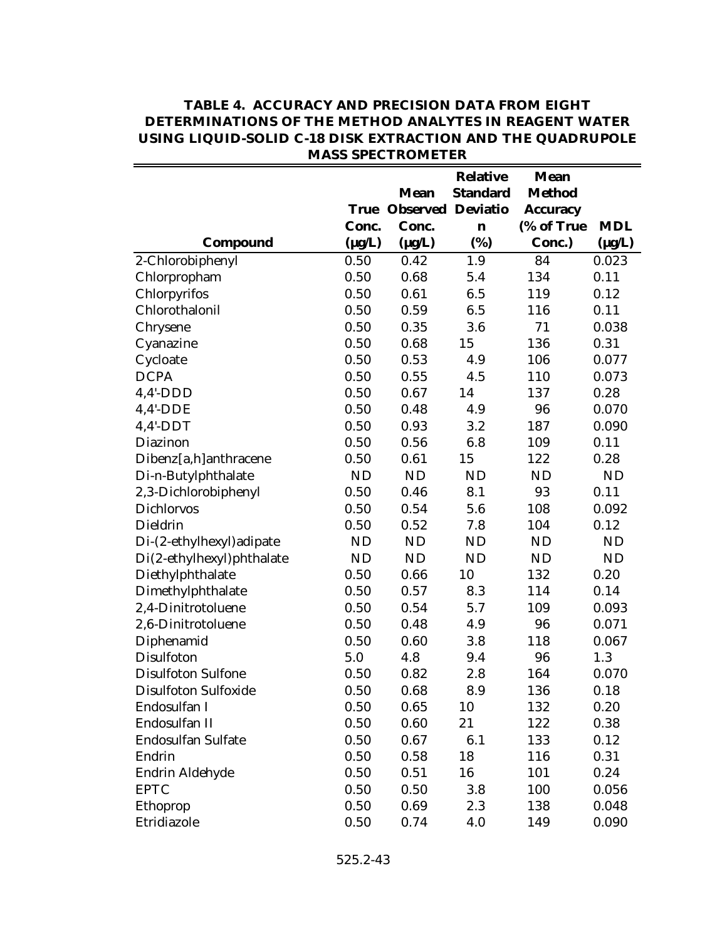|                           |             |                          | <b>Relative</b> | <b>Mean</b>     |             |
|---------------------------|-------------|--------------------------|-----------------|-----------------|-------------|
|                           |             | <b>Mean</b>              | <b>Standard</b> | <b>Method</b>   |             |
|                           | <b>True</b> | <b>Observed Deviatio</b> |                 | <b>Accuracy</b> |             |
|                           | Conc.       | Conc.                    | n               | (% of True      | <b>MDL</b>  |
| <b>Compound</b>           | $(\mu g/L)$ | $(\mu g/L)$              | (%)             | Conc.)          | $(\mu g/L)$ |
| 2-Chlorobiphenyl          | 0.50        | 0.42                     | 1.9             | 84              | 0.023       |
| Chlorpropham              | 0.50        | 0.68                     | 5.4             | 134             | 0.11        |
| Chlorpyrifos              | 0.50        | 0.61                     | 6.5             | 119             | 0.12        |
| Chlorothalonil            | 0.50        | 0.59                     | 6.5             | 116             | 0.11        |
| Chrysene                  | 0.50        | 0.35                     | 3.6             | 71              | 0.038       |
| Cyanazine                 | 0.50        | 0.68                     | 15              | 136             | 0.31        |
| Cycloate                  | 0.50        | 0.53                     | 4.9             | 106             | 0.077       |
| <b>DCPA</b>               | 0.50        | 0.55                     | 4.5             | 110             | 0.073       |
| $4,4'$ -DDD               | 0.50        | 0.67                     | 14              | 137             | 0.28        |
| $4,4'$ -DDE               | 0.50        | 0.48                     | 4.9             | 96              | 0.070       |
| $4,4'-DDT$                | 0.50        | 0.93                     | 3.2             | 187             | 0.090       |
| Diazinon                  | 0.50        | 0.56                     | 6.8             | 109             | 0.11        |
| Dibenz[a,h]anthracene     | 0.50        | 0.61                     | 15              | 122             | 0.28        |
| Di-n-Butylphthalate       | <b>ND</b>   | <b>ND</b>                | <b>ND</b>       | <b>ND</b>       | <b>ND</b>   |
| 2,3-Dichlorobiphenyl      | 0.50        | 0.46                     | 8.1             | 93              | 0.11        |
| <b>Dichlorvos</b>         | 0.50        | 0.54                     | 5.6             | 108             | 0.092       |
| Dieldrin                  | 0.50        | 0.52                     | 7.8             | 104             | 0.12        |
| Di-(2-ethylhexyl) adipate | <b>ND</b>   | <b>ND</b>                | <b>ND</b>       | <b>ND</b>       | ND          |
| Di(2-ethylhexyl)phthalate | <b>ND</b>   | <b>ND</b>                | <b>ND</b>       | <b>ND</b>       | ND          |
| Diethylphthalate          | 0.50        | 0.66                     | 10              | 132             | 0.20        |
| Dimethylphthalate         | 0.50        | 0.57                     | 8.3             | 114             | 0.14        |
| 2,4-Dinitrotoluene        | 0.50        | 0.54                     | 5.7             | 109             | 0.093       |
| 2,6-Dinitrotoluene        | 0.50        | 0.48                     | 4.9             | 96              | 0.071       |
| Diphenamid                | 0.50        | 0.60                     | 3.8             | 118             | 0.067       |
| Disulfoton                | 5.0         | 4.8                      | 9.4             | 96              | 1.3         |
| <b>Disulfoton Sulfone</b> | 0.50        | 0.82                     | 2.8             | 164             | 0.070       |
| Disulfoton Sulfoxide      | 0.50        | 0.68                     | 8.9             | 136             | 0.18        |
| Endosulfan I              | 0.50        | 0.65                     | 10              | 132             | 0.20        |
| Endosulfan II             | 0.50        | 0.60                     | 21              | 122             | 0.38        |
| <b>Endosulfan Sulfate</b> | 0.50        | 0.67                     | 6.1             | 133             | 0.12        |
| Endrin                    | 0.50        | 0.58                     | 18              | 116             | 0.31        |
| Endrin Aldehyde           | 0.50        | 0.51                     | 16              | 101             | 0.24        |
| <b>EPTC</b>               | 0.50        | 0.50                     | 3.8             | 100             | 0.056       |
| Ethoprop                  | 0.50        | 0.69                     | 2.3             | 138             | 0.048       |
| Etridiazole               | 0.50        | 0.74                     | 4.0             | 149             | 0.090       |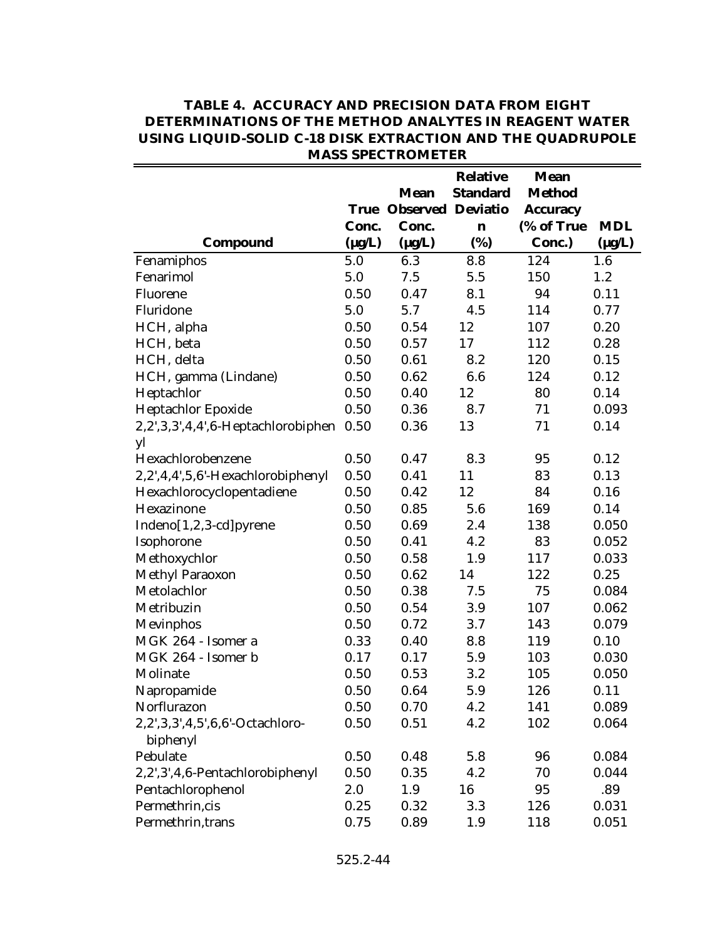|                                    |             |                          | <b>Relative</b> | <b>Mean</b>     |             |  |  |  |
|------------------------------------|-------------|--------------------------|-----------------|-----------------|-------------|--|--|--|
|                                    |             | <b>Mean</b>              | <b>Standard</b> | <b>Method</b>   |             |  |  |  |
|                                    | True        | <b>Observed Deviatio</b> |                 | <b>Accuracy</b> |             |  |  |  |
|                                    | Conc.       | Conc.                    | $\mathbf n$     | (% of True      | <b>MDL</b>  |  |  |  |
| Compound                           | $(\mu g/L)$ | $(\mu g/L)$              | (%)             | Conc.)          | $(\mu g/L)$ |  |  |  |
| Fenamiphos                         | 5.0         | 6.3                      | 8.8             | 124             | 1.6         |  |  |  |
| Fenarimol                          | 5.0         | 7.5                      | 5.5             | 150             | 1.2         |  |  |  |
| Fluorene                           | 0.50        | 0.47                     | 8.1             | 94              | 0.11        |  |  |  |
| Fluridone                          | 5.0         | 5.7                      | 4.5             | 114             | 0.77        |  |  |  |
| HCH, alpha                         | 0.50        | 0.54                     | 12              | 107             | 0.20        |  |  |  |
| HCH, beta                          | 0.50        | 0.57                     | 17              | 112             | 0.28        |  |  |  |
| HCH, delta                         | 0.50        | 0.61                     | 8.2             | 120             | 0.15        |  |  |  |
| HCH, gamma (Lindane)               | 0.50        | 0.62                     | 6.6             | 124             | 0.12        |  |  |  |
| Heptachlor                         | 0.50        | 0.40                     | 12              | 80              | 0.14        |  |  |  |
| Heptachlor Epoxide                 | 0.50        | 0.36                     | 8.7             | 71              | 0.093       |  |  |  |
| 2,2',3,3',4,4',6-Heptachlorobiphen | 0.50        | 0.36                     | 13              | 71              | 0.14        |  |  |  |
| yl                                 |             |                          |                 |                 |             |  |  |  |
| Hexachlorobenzene                  | 0.50        | 0.47                     | 8.3             | 95              | 0.12        |  |  |  |
| 2,2',4,4',5,6'-Hexachlorobiphenyl  | 0.50        | 0.41                     | 11              | 83              | 0.13        |  |  |  |
| Hexachlorocyclopentadiene          | 0.50        | 0.42                     | 12              | 84              | 0.16        |  |  |  |
| Hexazinone                         | 0.50        | 0.85                     | 5.6             | 169             | 0.14        |  |  |  |
| Indeno[1,2,3-cd]pyrene             | 0.50        | 0.69                     | 2.4             | 138             | 0.050       |  |  |  |
| Isophorone                         | 0.50        | 0.41                     | 4.2             | 83              | 0.052       |  |  |  |
| Methoxychlor                       | 0.50        | 0.58                     | 1.9             | 117             | 0.033       |  |  |  |
| Methyl Paraoxon                    | 0.50        | 0.62                     | 14              | 122             | 0.25        |  |  |  |
| Metolachlor                        | 0.50        | 0.38                     | 7.5             | 75              | 0.084       |  |  |  |
| Metribuzin                         | 0.50        | 0.54                     | 3.9             | 107             | 0.062       |  |  |  |
| Mevinphos                          | 0.50        | 0.72                     | 3.7             | 143             | 0.079       |  |  |  |
| MGK 264 - Isomer a                 | 0.33        | 0.40                     | 8.8             | 119             | 0.10        |  |  |  |
| MGK 264 - Isomer b                 | 0.17        | 0.17                     | 5.9             | 103             | 0.030       |  |  |  |
| Molinate                           | 0.50        | 0.53                     | 3.2             | 105             | 0.050       |  |  |  |
| Napropamide                        | 0.50        | 0.64                     | 5.9             | 126             | 0.11        |  |  |  |
| Norflurazon                        | 0.50        | 0.70                     | 4.2             | 141             | 0.089       |  |  |  |
| 2,2',3,3',4,5',6,6'-Octachloro-    | 0.50        | 0.51                     | 4.2             | 102             | 0.064       |  |  |  |
| biphenyl                           |             |                          |                 |                 |             |  |  |  |
| Pebulate                           | 0.50        | 0.48                     | 5.8             | 96              | 0.084       |  |  |  |
| 2,2',3',4,6-Pentachlorobiphenyl    | 0.50        | 0.35                     | 4.2             | 70              | 0.044       |  |  |  |
| Pentachlorophenol                  | 2.0         | 1.9                      | 16              | 95              | .89         |  |  |  |
| Permethrin, cis                    | 0.25        | 0.32                     | 3.3             | 126             | 0.031       |  |  |  |
| Permethrin, trans                  | 0.75        | 0.89                     | 1.9             | 118             | 0.051       |  |  |  |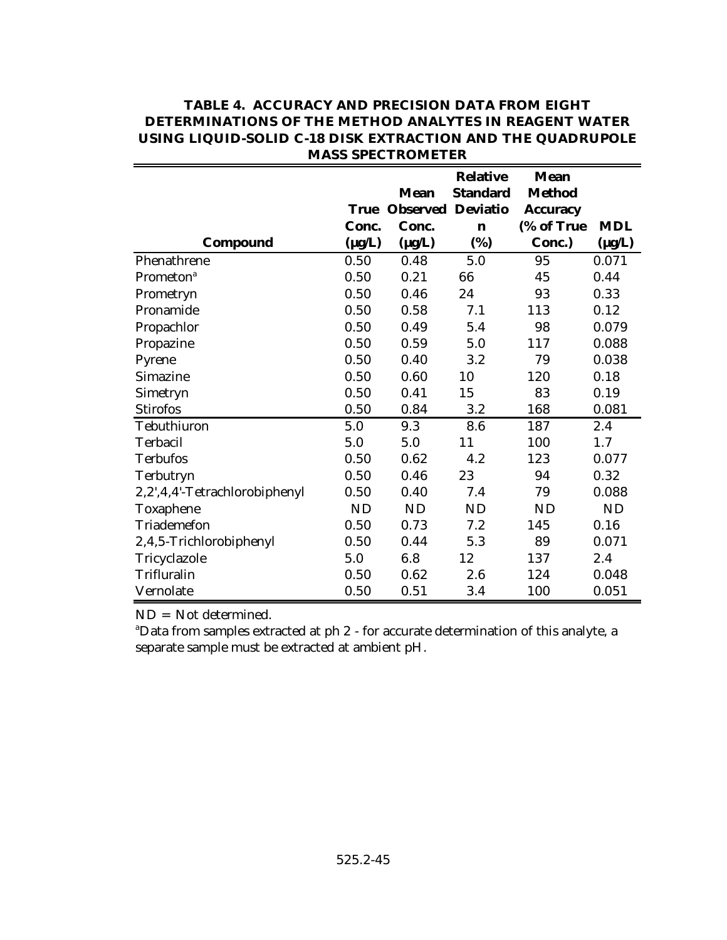|                               |             |                          | <b>Relative</b> | <b>Mean</b>     |             |
|-------------------------------|-------------|--------------------------|-----------------|-----------------|-------------|
|                               |             | <b>Mean</b>              | <b>Standard</b> | <b>Method</b>   |             |
|                               | <b>True</b> | <b>Observed Deviatio</b> |                 | <b>Accuracy</b> |             |
|                               | Conc.       | Conc.                    | $\mathbf n$     | (% of True      | <b>MDL</b>  |
| Compound                      | $(\mu g/L)$ | $(\mu g/L)$              | (%)             | Conc.)          | $(\mu g/L)$ |
| Phenathrene                   | 0.50        | 0.48                     | 5.0             | 95              | 0.071       |
| Prometon <sup>a</sup>         | 0.50        | 0.21                     | 66              | 45              | 0.44        |
| Prometryn                     | 0.50        | 0.46                     | 24              | 93              | 0.33        |
| Pronamide                     | 0.50        | 0.58                     | 7.1             | 113             | 0.12        |
| Propachlor                    | 0.50        | 0.49                     | 5.4             | 98              | 0.079       |
| Propazine                     | 0.50        | 0.59                     | 5.0             | 117             | 0.088       |
| Pyrene                        | 0.50        | 0.40                     | 3.2             | 79              | 0.038       |
| Simazine                      | 0.50        | 0.60                     | 10              | 120             | 0.18        |
| Simetryn                      | 0.50        | 0.41                     | 15              | 83              | 0.19        |
| <b>Stirofos</b>               | 0.50        | 0.84                     | 3.2             | 168             | 0.081       |
| Tebuthiuron                   | 5.0         | 9.3                      | 8.6             | 187             | 2.4         |
| Terbacil                      | 5.0         | 5.0                      | 11              | 100             | 1.7         |
| <b>Terbufos</b>               | 0.50        | 0.62                     | 4.2             | 123             | 0.077       |
| Terbutryn                     | 0.50        | 0.46                     | 23              | 94              | 0.32        |
| 2,2',4,4'-Tetrachlorobiphenyl | 0.50        | 0.40                     | 7.4             | 79              | 0.088       |
| Toxaphene                     | <b>ND</b>   | <b>ND</b>                | <b>ND</b>       | <b>ND</b>       | <b>ND</b>   |
| Triademefon                   | 0.50        | 0.73                     | 7.2             | 145             | 0.16        |
| 2,4,5-Trichlorobiphenyl       | 0.50        | 0.44                     | 5.3             | 89              | 0.071       |
| Tricyclazole                  | 5.0         | 6.8                      | 12              | 137             | 2.4         |
| Trifluralin                   | 0.50        | 0.62                     | 2.6             | 124             | 0.048       |
| Vernolate                     | 0.50        | 0.51                     | 3.4             | 100             | 0.051       |

ND = Not determined.

<sup>a</sup>Data from samples extracted at ph 2 - for accurate determination of this analyte, a separate sample must be extracted at ambient pH.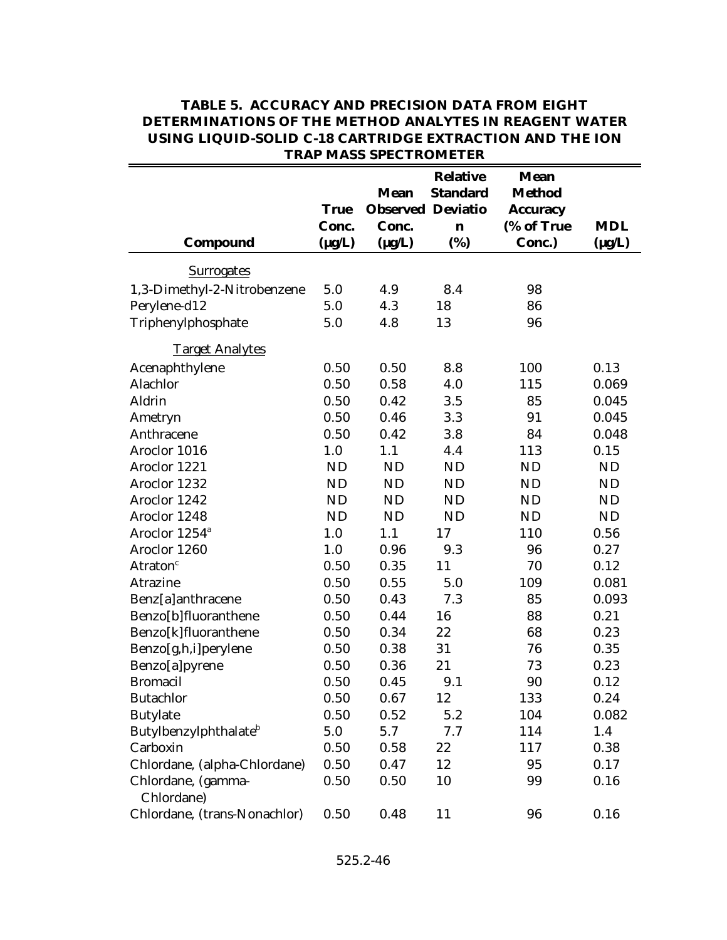|                                   |             |                          | <b>Relative</b> | <b>Mean</b>     |             |
|-----------------------------------|-------------|--------------------------|-----------------|-----------------|-------------|
|                                   |             | <b>Mean</b>              | <b>Standard</b> | <b>Method</b>   |             |
|                                   | <b>True</b> | <b>Observed Deviatio</b> |                 | <b>Accuracy</b> |             |
|                                   | Conc.       | Conc.                    | n               | (% of True      | <b>MDL</b>  |
| Compound                          | $(\mu g/L)$ | $(\mu g/L)$              | (%)             | Conc.)          | $(\mu g/L)$ |
| <b>Surrogates</b>                 |             |                          |                 |                 |             |
| 1,3-Dimethyl-2-Nitrobenzene       | 5.0         | 4.9                      | 8.4             | 98              |             |
| Perylene-d12                      | 5.0         | 4.3                      | 18              | 86              |             |
| Triphenylphosphate                | 5.0         | 4.8                      | 13              | 96              |             |
| <b>Target Analytes</b>            |             |                          |                 |                 |             |
| Acenaphthylene                    | 0.50        | 0.50                     | 8.8             | 100             | 0.13        |
| Alachlor                          | 0.50        | 0.58                     | 4.0             | 115             | 0.069       |
| Aldrin                            | 0.50        | 0.42                     | 3.5             | 85              | 0.045       |
| Ametryn                           | 0.50        | 0.46                     | 3.3             | 91              | 0.045       |
| Anthracene                        | 0.50        | 0.42                     | 3.8             | 84              | 0.048       |
| Aroclor 1016                      | 1.0         | 1.1                      | 4.4             | 113             | 0.15        |
| Aroclor 1221                      | <b>ND</b>   | <b>ND</b>                | <b>ND</b>       | <b>ND</b>       | <b>ND</b>   |
| Aroclor 1232                      | <b>ND</b>   | <b>ND</b>                | <b>ND</b>       | <b>ND</b>       | <b>ND</b>   |
| Aroclor 1242                      | <b>ND</b>   | <b>ND</b>                | ND              | <b>ND</b>       | <b>ND</b>   |
| Aroclor 1248                      | <b>ND</b>   | <b>ND</b>                | <b>ND</b>       | <b>ND</b>       | <b>ND</b>   |
| Aroclor 1254 <sup>a</sup>         | 1.0         | 1.1                      | 17              | 110             | 0.56        |
| Aroclor 1260                      | 1.0         | 0.96                     | 9.3             | 96              | 0.27        |
| Atraton <sup>c</sup>              | 0.50        | 0.35                     | 11              | 70              | 0.12        |
| Atrazine                          | 0.50        | 0.55                     | 5.0             | 109             | 0.081       |
| Benz[a]anthracene                 | 0.50        | 0.43                     | 7.3             | 85              | 0.093       |
| Benzo[b]fluoranthene              | 0.50        | 0.44                     | 16              | 88              | 0.21        |
| Benzo[k]fluoranthene              | 0.50        | 0.34                     | 22              | 68              | 0.23        |
| Benzo[g,h,i]perylene              | 0.50        | 0.38                     | 31              | 76              | 0.35        |
| Benzo[a]pyrene                    | 0.50        | 0.36                     | 21              | 73              | 0.23        |
| <b>Bromacil</b>                   | 0.50        | 0.45                     | 9.1             | 90              | 0.12        |
| <b>Butachlor</b>                  | 0.50        | 0.67                     | 12              | 133             | 0.24        |
| <b>Butylate</b>                   | 0.50        | 0.52                     | 5.2             | 104             | 0.082       |
| Butylbenzylphthalate <sup>b</sup> | 5.0         | 5.7                      | 7.7             | 114             | 1.4         |
| Carboxin                          | 0.50        | 0.58                     | 22              | 117             | 0.38        |
| Chlordane, (alpha-Chlordane)      | 0.50        | 0.47                     | 12              | 95              | 0.17        |
| Chlordane, (gamma-                | 0.50        | 0.50                     | 10              | 99              | 0.16        |
| Chlordane)                        |             |                          |                 |                 |             |
| Chlordane, (trans-Nonachlor)      | 0.50        | 0.48                     | 11              | 96              | 0.16        |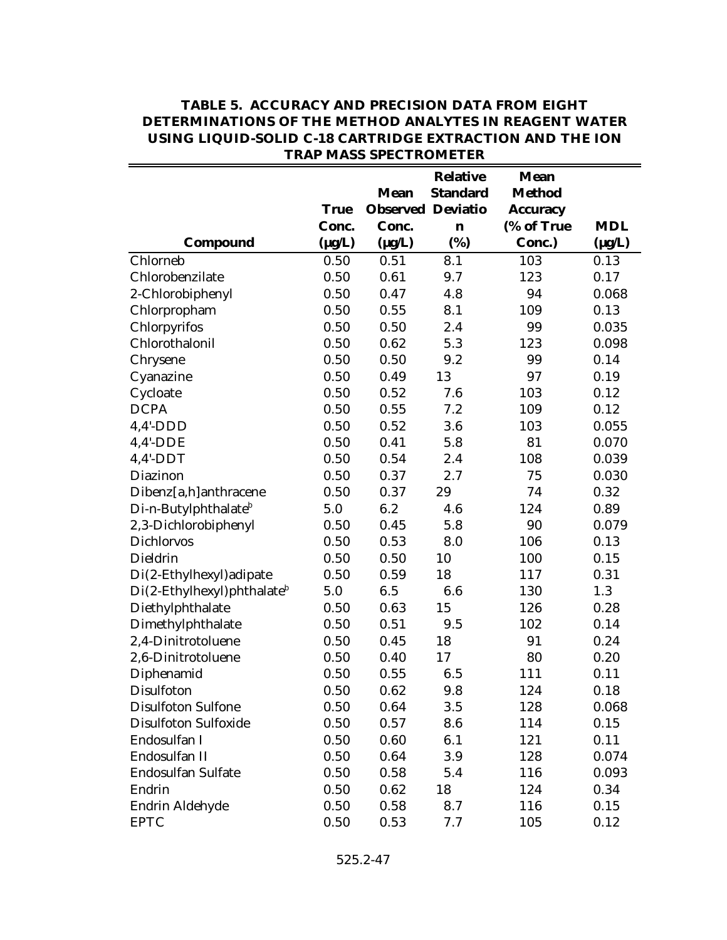|                                           |             |                          | <b>Relative</b> | <b>Mean</b>     |             |
|-------------------------------------------|-------------|--------------------------|-----------------|-----------------|-------------|
|                                           |             | <b>Mean</b>              | <b>Standard</b> | <b>Method</b>   |             |
|                                           | <b>True</b> | <b>Observed Deviatio</b> |                 | <b>Accuracy</b> |             |
|                                           | Conc.       | Conc.                    | $\mathbf n$     | (% of True      | <b>MDL</b>  |
| Compound                                  | $(\mu g/L)$ | $(\mu g/L)$              | (%)             | Conc.)          | $(\mu g/L)$ |
| Chlorneb                                  | 0.50        | 0.51                     | 8.1             | 103             | 0.13        |
| Chlorobenzilate                           | 0.50        | 0.61                     | 9.7             | 123             | 0.17        |
| 2-Chlorobiphenyl                          | 0.50        | 0.47                     | 4.8             | 94              | 0.068       |
| Chlorpropham                              | 0.50        | 0.55                     | 8.1             | 109             | 0.13        |
| Chlorpyrifos                              | 0.50        | 0.50                     | 2.4             | 99              | 0.035       |
| Chlorothalonil                            | 0.50        | 0.62                     | 5.3             | 123             | 0.098       |
| Chrysene                                  | 0.50        | 0.50                     | 9.2             | 99              | 0.14        |
| Cyanazine                                 | 0.50        | 0.49                     | 13              | 97              | 0.19        |
| Cycloate                                  | 0.50        | 0.52                     | 7.6             | 103             | 0.12        |
| <b>DCPA</b>                               | 0.50        | 0.55                     | 7.2             | 109             | 0.12        |
| $4,4'$ -DDD                               | 0.50        | 0.52                     | 3.6             | 103             | 0.055       |
| $4,4'$ -DDE                               | 0.50        | 0.41                     | 5.8             | 81              | 0.070       |
| $4,4'$ -DDT                               | 0.50        | 0.54                     | 2.4             | 108             | 0.039       |
| Diazinon                                  | 0.50        | 0.37                     | 2.7             | 75              | 0.030       |
| Dibenz[a,h]anthracene                     | 0.50        | 0.37                     | 29              | 74              | 0.32        |
| Di-n-Butylphthalate <sup>b</sup>          | 5.0         | 6.2                      | 4.6             | 124             | 0.89        |
| 2,3-Dichlorobiphenyl                      | 0.50        | 0.45                     | 5.8             | 90              | 0.079       |
| Dichlorvos                                | 0.50        | 0.53                     | 8.0             | 106             | 0.13        |
| Dieldrin                                  | 0.50        | 0.50                     | 10              | 100             | 0.15        |
| Di(2-Ethylhexyl) adipate                  | 0.50        | 0.59                     | 18              | 117             | 0.31        |
| $Di(2-Ethylhexyl)$ phthalate <sup>b</sup> | 5.0         | 6.5                      | 6.6             | 130             | 1.3         |
| Diethylphthalate                          | 0.50        | 0.63                     | 15              | 126             | 0.28        |
| Dimethylphthalate                         | 0.50        | 0.51                     | 9.5             | 102             | 0.14        |
| 2,4-Dinitrotoluene                        | 0.50        | 0.45                     | 18              | 91              | 0.24        |
| 2,6-Dinitrotoluene                        | 0.50        | 0.40                     | 17              | 80              | 0.20        |
| Diphenamid                                | 0.50        | 0.55                     | 6.5             | 111             | 0.11        |
| Disulfoton                                | 0.50        | 0.62                     | 9.8             | 124             | 0.18        |
| <b>Disulfoton Sulfone</b>                 | 0.50        | 0.64                     | 3.5             | 128             | 0.068       |
| <b>Disulfoton Sulfoxide</b>               | 0.50        | 0.57                     | 8.6             | 114             | 0.15        |
| Endosulfan I                              | 0.50        | 0.60                     | 6.1             | 121             | 0.11        |
| Endosulfan II                             | 0.50        | 0.64                     | 3.9             | 128             | 0.074       |
| Endosulfan Sulfate                        | 0.50        | 0.58                     | 5.4             | 116             | 0.093       |
| Endrin                                    | 0.50        | 0.62                     | 18              | 124             | 0.34        |
| Endrin Aldehyde                           | 0.50        | 0.58                     | 8.7             | 116             | 0.15        |
| <b>EPTC</b>                               | 0.50        | 0.53                     | 7.7             | 105             | 0.12        |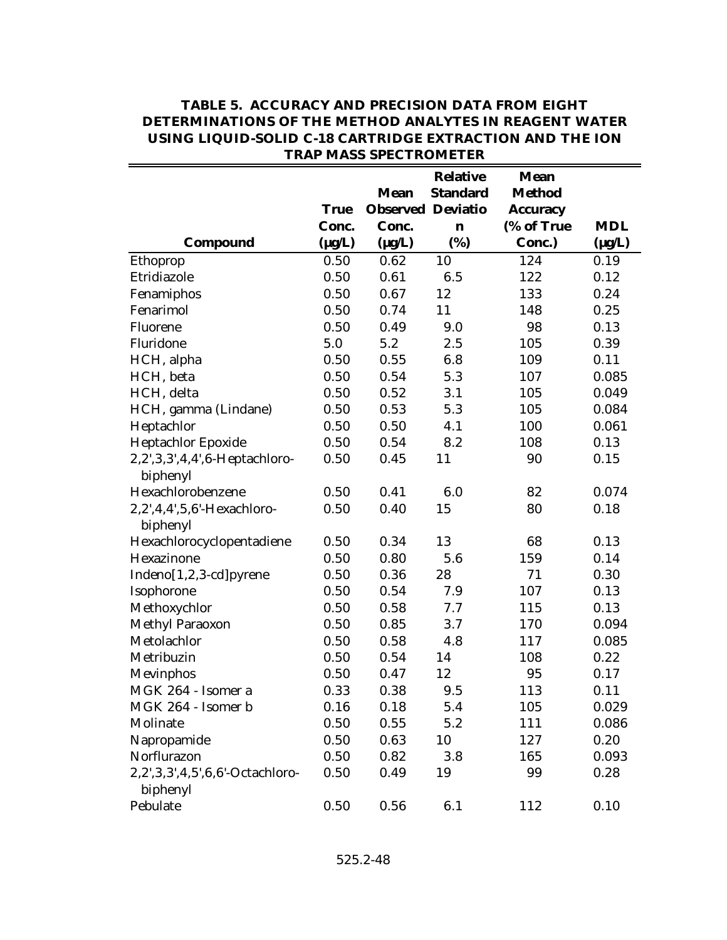|                                             |                      | <b>Mean</b><br><b>Observed Deviatio</b> | <b>Relative</b><br><b>Standard</b> | <b>Mean</b><br><b>Method</b> |                           |
|---------------------------------------------|----------------------|-----------------------------------------|------------------------------------|------------------------------|---------------------------|
|                                             | <b>True</b>          |                                         |                                    | <b>Accuracy</b>              |                           |
| Compound                                    | Conc.<br>$(\mu g/L)$ | Conc.<br>$(\mu g/L)$                    | n<br>(%)                           | (% of True<br>Conc.)         | <b>MDL</b><br>$(\mu g/L)$ |
| Ethoprop                                    | 0.50                 | 0.62                                    | 10                                 | 124                          | 0.19                      |
| Etridiazole                                 | 0.50                 | 0.61                                    | 6.5                                | 122                          | 0.12                      |
| Fenamiphos                                  | 0.50                 | 0.67                                    | 12                                 | 133                          | 0.24                      |
| Fenarimol                                   | 0.50                 | 0.74                                    | 11                                 | 148                          | 0.25                      |
| Fluorene                                    | 0.50                 | 0.49                                    | 9.0                                | 98                           | 0.13                      |
| Fluridone                                   | 5.0                  | 5.2                                     | 2.5                                | 105                          | 0.39                      |
| HCH, alpha                                  | 0.50                 | 0.55                                    | 6.8                                | 109                          | 0.11                      |
| HCH, beta                                   | 0.50                 | 0.54                                    | 5.3                                | 107                          | 0.085                     |
| HCH, delta                                  | 0.50                 | 0.52                                    | 3.1                                | 105                          | 0.049                     |
| HCH, gamma (Lindane)                        | 0.50                 | 0.53                                    | 5.3                                | 105                          | 0.084                     |
| Heptachlor                                  | 0.50                 | 0.50                                    | 4.1                                | 100                          | 0.061                     |
| Heptachlor Epoxide                          | 0.50                 | 0.54                                    | 8.2                                | 108                          | 0.13                      |
| 2,2',3,3',4,4',6-Heptachloro-               | 0.50                 | 0.45                                    | 11                                 | 90                           | 0.15                      |
| biphenyl                                    |                      |                                         |                                    |                              |                           |
| Hexachlorobenzene                           | 0.50                 | 0.41                                    | 6.0                                | 82                           | 0.074                     |
| 2,2',4,4',5,6'-Hexachloro-<br>biphenyl      | 0.50                 | 0.40                                    | 15                                 | 80                           | 0.18                      |
| Hexachlorocyclopentadiene                   | 0.50                 | 0.34                                    | 13                                 | 68                           | 0.13                      |
| Hexazinone                                  | 0.50                 | 0.80                                    | 5.6                                | 159                          | 0.14                      |
| Indeno[1,2,3-cd]pyrene                      | 0.50                 | 0.36                                    | 28                                 | 71                           | 0.30                      |
| Isophorone                                  | 0.50                 | 0.54                                    | 7.9                                | 107                          | 0.13                      |
| Methoxychlor                                | 0.50                 | 0.58                                    | 7.7                                | 115                          | 0.13                      |
| Methyl Paraoxon                             | 0.50                 | 0.85                                    | 3.7                                | 170                          | 0.094                     |
| Metolachlor                                 | 0.50                 | 0.58                                    | 4.8                                | 117                          | 0.085                     |
| Metribuzin                                  | 0.50                 | 0.54                                    | 14                                 | 108                          | 0.22                      |
| Mevinphos                                   | 0.50                 | 0.47                                    | 12                                 | 95                           | 0.17                      |
| MGK 264 - Isomer a                          | 0.33                 | 0.38                                    | 9.5                                | 113                          | 0.11                      |
| MGK 264 - Isomer b                          | 0.16                 | 0.18                                    | 5.4                                | 105                          | 0.029                     |
| Molinate                                    | 0.50                 | 0.55                                    | 5.2                                | 111                          | 0.086                     |
| Napropamide                                 | 0.50                 | 0.63                                    | 10                                 | 127                          | 0.20                      |
| Norflurazon                                 | 0.50                 | 0.82                                    | 3.8                                | 165                          | 0.093                     |
| 2,2',3,3',4,5',6,6'-Octachloro-<br>biphenyl | 0.50                 | 0.49                                    | 19                                 | 99                           | 0.28                      |
| Pebulate                                    | 0.50                 | 0.56                                    | 6.1                                | 112                          | 0.10                      |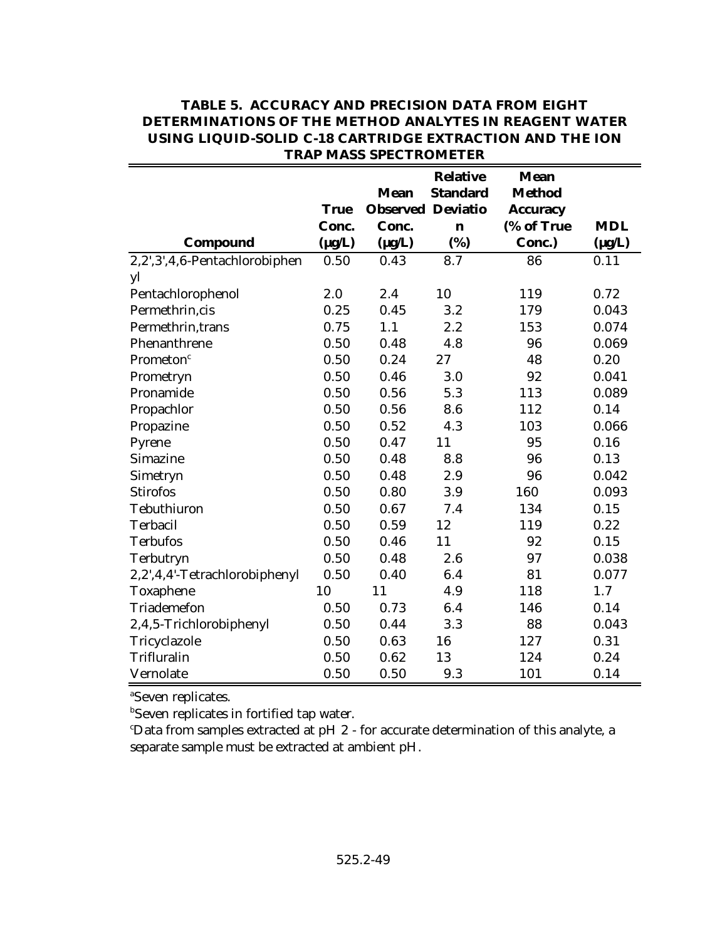|                               |             |                          | <b>Relative</b> | <b>Mean</b>     |             |
|-------------------------------|-------------|--------------------------|-----------------|-----------------|-------------|
|                               |             | <b>Mean</b>              | <b>Standard</b> | <b>Method</b>   |             |
|                               | <b>True</b> | <b>Observed Deviatio</b> |                 | <b>Accuracy</b> |             |
|                               | Conc.       | Conc.                    | $\mathbf n$     | (% of True      | <b>MDL</b>  |
| Compound                      | $(\mu g/L)$ | $(\mu g/L)$              | (%)             | Conc.)          | $(\mu g/L)$ |
| 2,2',3',4,6-Pentachlorobiphen | 0.50        | 0.43                     | 8.7             | 86              | 0.11        |
| yl                            |             |                          |                 |                 |             |
| Pentachlorophenol             | 2.0         | 2.4                      | 10              | 119             | 0.72        |
| Permethrin, cis               | 0.25        | 0.45                     | 3.2             | 179             | 0.043       |
| Permethrin, trans             | 0.75        | 1.1                      | 2.2             | 153             | 0.074       |
| Phenanthrene                  | 0.50        | 0.48                     | 4.8             | 96              | 0.069       |
| Prometon <sup>c</sup>         | 0.50        | 0.24                     | 27              | 48              | 0.20        |
| Prometryn                     | 0.50        | 0.46                     | 3.0             | 92              | 0.041       |
| Pronamide                     | 0.50        | 0.56                     | 5.3             | 113             | 0.089       |
| Propachlor                    | 0.50        | 0.56                     | 8.6             | 112             | 0.14        |
| Propazine                     | 0.50        | 0.52                     | 4.3             | 103             | 0.066       |
| Pyrene                        | 0.50        | 0.47                     | 11              | 95              | 0.16        |
| Simazine                      | 0.50        | 0.48                     | 8.8             | 96              | 0.13        |
| Simetryn                      | 0.50        | 0.48                     | 2.9             | 96              | 0.042       |
| <b>Stirofos</b>               | 0.50        | 0.80                     | 3.9             | 160             | 0.093       |
| Tebuthiuron                   | 0.50        | 0.67                     | 7.4             | 134             | 0.15        |
| Terbacil                      | 0.50        | 0.59                     | 12              | 119             | 0.22        |
| <b>Terbufos</b>               | 0.50        | 0.46                     | 11              | 92              | 0.15        |
| Terbutryn                     | 0.50        | 0.48                     | 2.6             | 97              | 0.038       |
| 2,2',4,4'-Tetrachlorobiphenyl | 0.50        | 0.40                     | 6.4             | 81              | 0.077       |
| Toxaphene                     | 10          | 11                       | 4.9             | 118             | 1.7         |
| Triademefon                   | 0.50        | 0.73                     | 6.4             | 146             | 0.14        |
| 2,4,5-Trichlorobiphenyl       | 0.50        | 0.44                     | 3.3             | 88              | 0.043       |
| Tricyclazole                  | 0.50        | 0.63                     | 16              | 127             | 0.31        |
| Trifluralin                   | 0.50        | 0.62                     | 13              | 124             | 0.24        |
| Vernolate                     | 0.50        | 0.50                     | 9.3             | 101             | 0.14        |

<sup>a</sup>Seven replicates.

**b**Seven replicates in fortified tap water.

Data from samples extracted at pH 2 - for accurate determination of this analyte, a <sup>c</sup> separate sample must be extracted at ambient pH.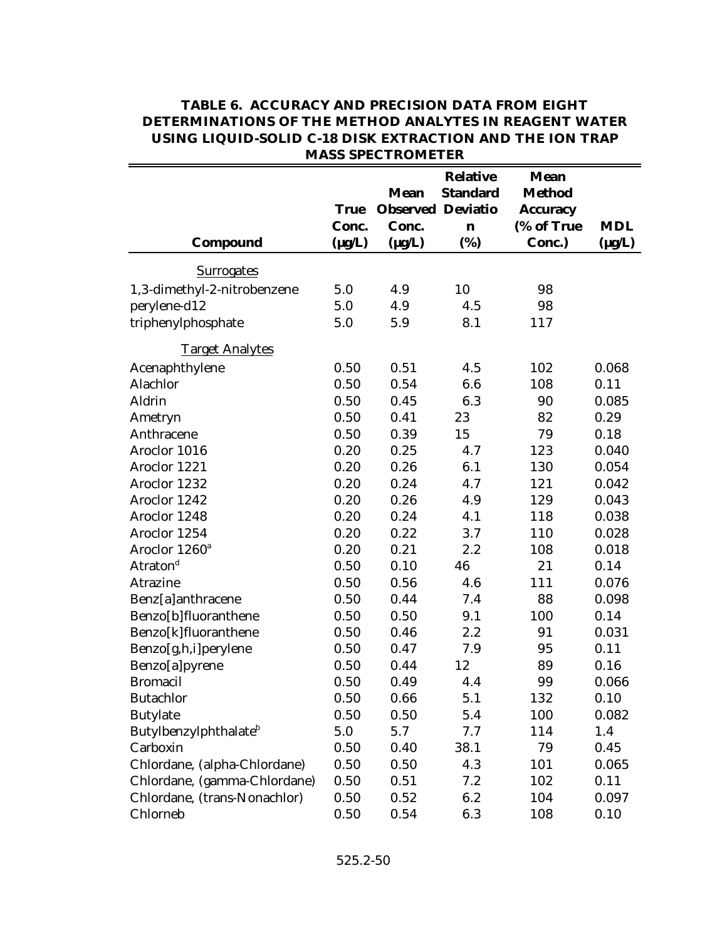|                                   |             | MITOD DI EU I IVONIE I EN               |                                    |                                                 |             |
|-----------------------------------|-------------|-----------------------------------------|------------------------------------|-------------------------------------------------|-------------|
|                                   | <b>True</b> | <b>Mean</b><br><b>Observed Deviatio</b> | <b>Relative</b><br><b>Standard</b> | <b>Mean</b><br><b>Method</b><br><b>Accuracy</b> |             |
|                                   | Conc.       | Conc.                                   | $\mathbf n$                        | (% of True                                      | <b>MDL</b>  |
| Compound                          | $(\mu g/L)$ | $(\mu g/L)$                             | (%)                                | Conc.)                                          | $(\mu g/L)$ |
| <b>Surrogates</b>                 |             |                                         |                                    |                                                 |             |
| 1,3-dimethyl-2-nitrobenzene       | 5.0         | 4.9                                     | 10                                 | 98                                              |             |
| perylene-d12                      | 5.0         | 4.9                                     | 4.5                                | 98                                              |             |
| triphenylphosphate                | 5.0         | 5.9                                     | 8.1                                | 117                                             |             |
| <b>Target Analytes</b>            |             |                                         |                                    |                                                 |             |
| Acenaphthylene                    | 0.50        | 0.51                                    | 4.5                                | 102                                             | 0.068       |
| Alachlor                          | 0.50        | 0.54                                    | 6.6                                | 108                                             | 0.11        |
| Aldrin                            | 0.50        | 0.45                                    | 6.3                                | 90                                              | 0.085       |
| Ametryn                           | 0.50        | 0.41                                    | 23                                 | 82                                              | 0.29        |
| Anthracene                        | 0.50        | 0.39                                    | 15                                 | 79                                              | 0.18        |
| Aroclor 1016                      | 0.20        | 0.25                                    | 4.7                                | 123                                             | 0.040       |
| Aroclor 1221                      | 0.20        | 0.26                                    | 6.1                                | 130                                             | 0.054       |
| Aroclor 1232                      | 0.20        | 0.24                                    | 4.7                                | 121                                             | 0.042       |
| Aroclor 1242                      | 0.20        | 0.26                                    | 4.9                                | 129                                             | 0.043       |
| Aroclor 1248                      | 0.20        | 0.24                                    | 4.1                                | 118                                             | 0.038       |
| Aroclor 1254                      | 0.20        | 0.22                                    | 3.7                                | 110                                             | 0.028       |
| Aroclor 1260 <sup>a</sup>         | 0.20        | 0.21                                    | 2.2                                | 108                                             | 0.018       |
| Atraton <sup>d</sup>              | 0.50        | 0.10                                    | 46                                 | 21                                              | 0.14        |
| Atrazine                          | 0.50        | 0.56                                    | 4.6                                | 111                                             | 0.076       |
| Benz[a]anthracene                 | 0.50        | 0.44                                    | 7.4                                | 88                                              | 0.098       |
| Benzo[b]fluoranthene              | 0.50        | 0.50                                    | 9.1                                | 100                                             | 0.14        |
| Benzo[k]fluoranthene              | 0.50        | 0.46                                    | 2.2                                | 91                                              | 0.031       |
| Benzo[g,h,i]perylene              | 0.50        | 0.47                                    | 7.9                                | 95                                              | 0.11        |
| Benzo[a]pyrene                    | 0.50        | 0.44                                    | 12                                 | 89                                              | 0.16        |
| <b>Bromacil</b>                   | 0.50        | 0.49                                    | 4.4                                | 99                                              | 0.066       |
| <b>Butachlor</b>                  | 0.50        | 0.66                                    | 5.1                                | 132                                             | 0.10        |
| <b>Butylate</b>                   | 0.50        | 0.50                                    | 5.4                                | 100                                             | 0.082       |
| Butylbenzylphthalate <sup>b</sup> | 5.0         | 5.7                                     | 7.7                                | 114                                             | 1.4         |
| Carboxin                          | 0.50        | 0.40                                    | 38.1                               | 79                                              | 0.45        |
| Chlordane, (alpha-Chlordane)      | 0.50        | 0.50                                    | 4.3                                | 101                                             | 0.065       |
| Chlordane, (gamma-Chlordane)      | 0.50        | 0.51                                    | 7.2                                | 102                                             | 0.11        |
| Chlordane, (trans-Nonachlor)      | 0.50        | 0.52                                    | 6.2                                | 104                                             | 0.097       |
| Chlorneb                          | 0.50        | 0.54                                    | 6.3                                | 108                                             | 0.10        |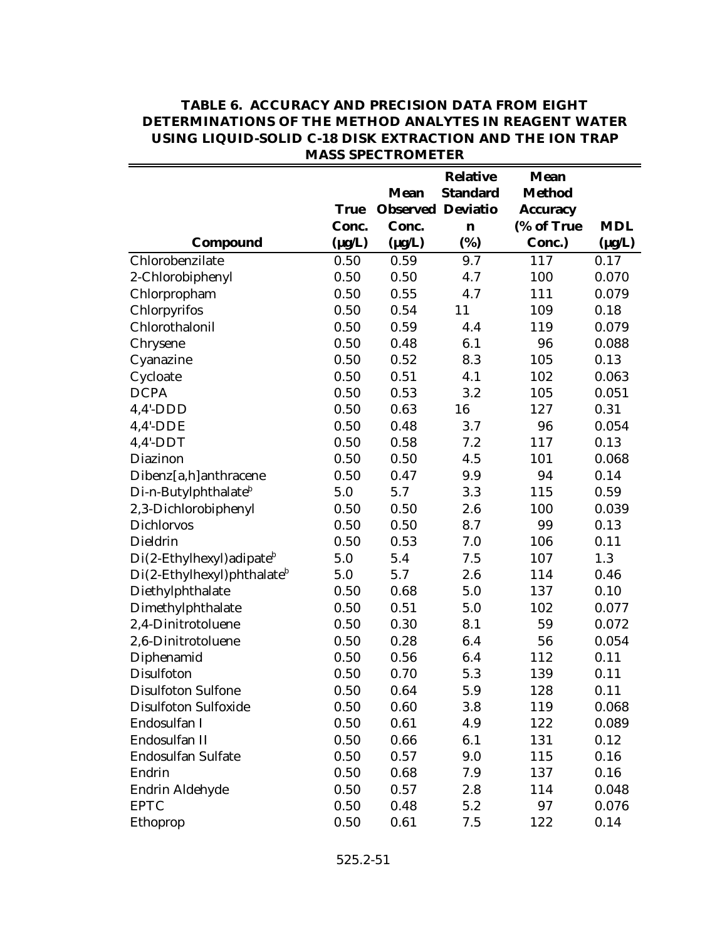|                                           |             |                          | <b>Relative</b> | <b>Mean</b>     |             |
|-------------------------------------------|-------------|--------------------------|-----------------|-----------------|-------------|
|                                           |             | <b>Mean</b>              | <b>Standard</b> | <b>Method</b>   |             |
|                                           | <b>True</b> | <b>Observed Deviatio</b> |                 | <b>Accuracy</b> |             |
|                                           | Conc.       | Conc.                    | $\mathbf n$     | (% of True      | <b>MDL</b>  |
| Compound                                  | $(\mu g/L)$ | $(\mu g/L)$              | (%)             | Conc.)          | $(\mu g/L)$ |
| Chlorobenzilate                           | 0.50        | 0.59                     | 9.7             | 117             | 0.17        |
| 2-Chlorobiphenyl                          | 0.50        | 0.50                     | 4.7             | 100             | 0.070       |
| Chlorpropham                              | 0.50        | 0.55                     | 4.7             | 111             | 0.079       |
| Chlorpyrifos                              | 0.50        | 0.54                     | 11              | 109             | 0.18        |
| Chlorothalonil                            | 0.50        | 0.59                     | 4.4             | 119             | 0.079       |
| Chrysene                                  | 0.50        | 0.48                     | 6.1             | 96              | 0.088       |
| Cyanazine                                 | 0.50        | 0.52                     | 8.3             | 105             | 0.13        |
| Cycloate                                  | 0.50        | 0.51                     | 4.1             | 102             | 0.063       |
| <b>DCPA</b>                               | 0.50        | 0.53                     | 3.2             | 105             | 0.051       |
| $4,4'$ -DDD                               | 0.50        | 0.63                     | 16              | 127             | 0.31        |
| $4,4'$ -DDE                               | 0.50        | 0.48                     | 3.7             | 96              | 0.054       |
| $4,4'$ -DDT                               | 0.50        | 0.58                     | 7.2             | 117             | 0.13        |
| Diazinon                                  | 0.50        | 0.50                     | 4.5             | 101             | 0.068       |
| Dibenz[a,h]anthracene                     | 0.50        | 0.47                     | 9.9             | 94              | 0.14        |
| Di-n-Butylphthalate <sup>b</sup>          | 5.0         | 5.7                      | 3.3             | 115             | 0.59        |
| 2,3-Dichlorobiphenyl                      | 0.50        | 0.50                     | 2.6             | 100             | 0.039       |
| <b>Dichlorvos</b>                         | 0.50        | 0.50                     | 8.7             | 99              | 0.13        |
| Dieldrin                                  | 0.50        | 0.53                     | 7.0             | 106             | 0.11        |
| $Di(2-Ethylhexyl)$ adipate <sup>b</sup>   | 5.0         | 5.4                      | 7.5             | 107             | 1.3         |
| $Di(2-Ethylhexyl)$ phthalate <sup>b</sup> | 5.0         | 5.7                      | 2.6             | 114             | 0.46        |
| Diethylphthalate                          | 0.50        | 0.68                     | 5.0             | 137             | 0.10        |
| Dimethylphthalate                         | 0.50        | 0.51                     | 5.0             | 102             | 0.077       |
| 2,4-Dinitrotoluene                        | 0.50        | 0.30                     | 8.1             | 59              | 0.072       |
| 2,6-Dinitrotoluene                        | 0.50        | 0.28                     | 6.4             | 56              | 0.054       |
| Diphenamid                                | 0.50        | 0.56                     | 6.4             | 112             | 0.11        |
| Disulfoton                                | 0.50        | 0.70                     | 5.3             | 139             | 0.11        |
| <b>Disulfoton Sulfone</b>                 | 0.50        | 0.64                     | 5.9             | 128             | 0.11        |
| Disulfoton Sulfoxide                      | 0.50        | 0.60                     | 3.8             | 119             | 0.068       |
| Endosulfan I                              | 0.50        | 0.61                     | 4.9             | 122             | 0.089       |
| Endosulfan II                             | 0.50        | 0.66                     | 6.1             | 131             | 0.12        |
| Endosulfan Sulfate                        | 0.50        | 0.57                     | 9.0             | 115             | 0.16        |
| Endrin                                    | 0.50        | 0.68                     | 7.9             | 137             | 0.16        |
| Endrin Aldehyde                           | 0.50        | 0.57                     | 2.8             | 114             | 0.048       |
| <b>EPTC</b>                               | 0.50        | 0.48                     | 5.2             | 97              | 0.076       |
| Ethoprop                                  | 0.50        | 0.61                     | 7.5             | 122             | 0.14        |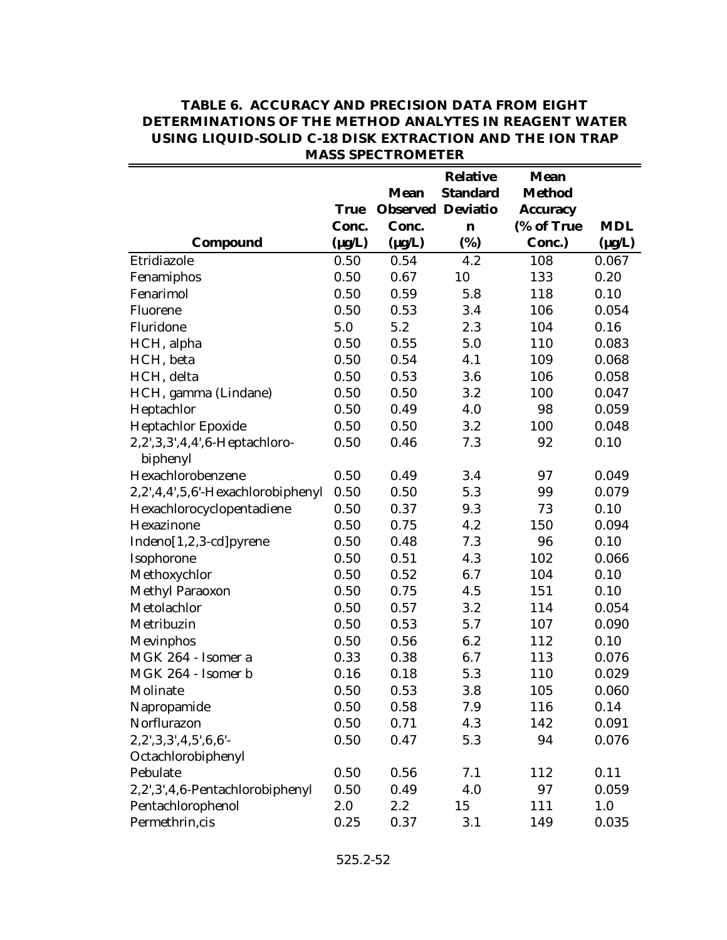|                                   |             |                          | <b>Relative</b> | <b>Mean</b>     |             |
|-----------------------------------|-------------|--------------------------|-----------------|-----------------|-------------|
|                                   |             | <b>Mean</b>              | <b>Standard</b> | <b>Method</b>   |             |
|                                   | <b>True</b> | <b>Observed Deviatio</b> |                 | <b>Accuracy</b> |             |
|                                   | Conc.       | Conc.                    | n               | (% of True      | <b>MDL</b>  |
| <b>Compound</b>                   | $(\mu g/L)$ | $(\mu g/L)$              | (%)             | Conc.)          | $(\mu g/L)$ |
| Etridiazole                       | 0.50        | 0.54                     | 4.2             | 108             | 0.067       |
| Fenamiphos                        | 0.50        | 0.67                     | 10              | 133             | 0.20        |
| Fenarimol                         | 0.50        | 0.59                     | 5.8             | 118             | 0.10        |
| Fluorene                          | 0.50        | 0.53                     | 3.4             | 106             | 0.054       |
| Fluridone                         | 5.0         | 5.2                      | 2.3             | 104             | 0.16        |
| HCH, alpha                        | 0.50        | 0.55                     | 5.0             | 110             | 0.083       |
| HCH, beta                         | 0.50        | 0.54                     | 4.1             | 109             | 0.068       |
| HCH, delta                        | 0.50        | 0.53                     | 3.6             | 106             | 0.058       |
| HCH, gamma (Lindane)              | 0.50        | 0.50                     | 3.2             | 100             | 0.047       |
| Heptachlor                        | 0.50        | 0.49                     | 4.0             | 98              | 0.059       |
| Heptachlor Epoxide                | 0.50        | 0.50                     | 3.2             | 100             | 0.048       |
| 2,2',3,3',4,4',6-Heptachloro-     | 0.50        | 0.46                     | 7.3             | 92              | 0.10        |
| biphenyl                          |             |                          |                 |                 |             |
| Hexachlorobenzene                 | 0.50        | 0.49                     | 3.4             | 97              | 0.049       |
| 2,2',4,4',5,6'-Hexachlorobiphenyl | 0.50        | 0.50                     | 5.3             | 99              | 0.079       |
| Hexachlorocyclopentadiene         | 0.50        | 0.37                     | 9.3             | 73              | 0.10        |
| Hexazinone                        | 0.50        | 0.75                     | 4.2             | 150             | 0.094       |
| Indeno[1,2,3-cd]pyrene            | 0.50        | 0.48                     | 7.3             | 96              | 0.10        |
| Isophorone                        | 0.50        | 0.51                     | 4.3             | 102             | 0.066       |
| Methoxychlor                      | 0.50        | 0.52                     | 6.7             | 104             | 0.10        |
| Methyl Paraoxon                   | 0.50        | 0.75                     | 4.5             | 151             | 0.10        |
| Metolachlor                       | 0.50        | 0.57                     | 3.2             | 114             | 0.054       |
| Metribuzin                        | 0.50        | 0.53                     | 5.7             | 107             | 0.090       |
| Mevinphos                         | 0.50        | 0.56                     | 6.2             | 112             | 0.10        |
| MGK 264 - Isomer a                | 0.33        | 0.38                     | 6.7             | 113             | 0.076       |
| MGK 264 - Isomer b                | 0.16        | 0.18                     | 5.3             | 110             | 0.029       |
| Molinate                          | 0.50        | 0.53                     | 3.8             | 105             | 0.060       |
| Napropamide                       | 0.50        | 0.58                     | 7.9             | 116             | 0.14        |
| Norflurazon                       | 0.50        | 0.71                     | 4.3             | 142             | 0.091       |
| $2, 2', 3, 3', 4, 5', 6, 6'$ -    | 0.50        | 0.47                     | 5.3             | 94              | 0.076       |
| Octachlorobiphenyl                |             |                          |                 |                 |             |
| Pebulate                          | 0.50        | 0.56                     | 7.1             | 112             | 0.11        |
| 2,2',3',4,6-Pentachlorobiphenyl   | 0.50        | 0.49                     | 4.0             | 97              | 0.059       |
| Pentachlorophenol                 | 2.0         | 2.2                      | 15              | 111             | 1.0         |
| Permethrin, cis                   | 0.25        | 0.37                     | 3.1             | 149             | 0.035       |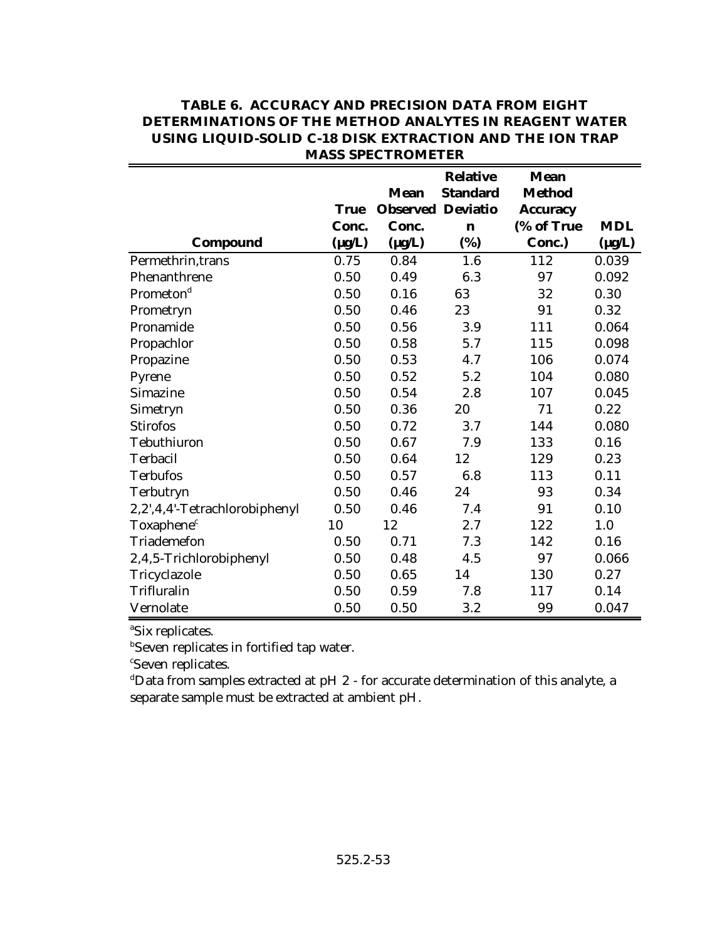|                               |             |                          | <b>Relative</b> | <b>Mean</b>     |             |
|-------------------------------|-------------|--------------------------|-----------------|-----------------|-------------|
|                               |             | Mean                     | <b>Standard</b> | <b>Method</b>   |             |
|                               | <b>True</b> | <b>Observed Deviatio</b> |                 | <b>Accuracy</b> |             |
|                               | Conc.       | Conc.                    | $\mathbf n$     | (% of True      | <b>MDL</b>  |
| Compound                      | $(\mu g/L)$ | $(\mu g/L)$              | (%)             | Conc.)          | $(\mu g/L)$ |
| Permethrin, trans             | 0.75        | 0.84                     | 1.6             | 112             | 0.039       |
| Phenanthrene                  | 0.50        | 0.49                     | 6.3             | 97              | 0.092       |
| Prometon <sup>d</sup>         | 0.50        | 0.16                     | 63              | 32              | 0.30        |
| Prometryn                     | 0.50        | 0.46                     | 23              | 91              | 0.32        |
| Pronamide                     | 0.50        | 0.56                     | 3.9             | 111             | 0.064       |
| Propachlor                    | 0.50        | 0.58                     | 5.7             | 115             | 0.098       |
| Propazine                     | 0.50        | 0.53                     | 4.7             | 106             | 0.074       |
| Pyrene                        | 0.50        | 0.52                     | 5.2             | 104             | 0.080       |
| Simazine                      | 0.50        | 0.54                     | 2.8             | 107             | 0.045       |
| Simetryn                      | 0.50        | 0.36                     | 20              | 71              | 0.22        |
| <b>Stirofos</b>               | 0.50        | 0.72                     | 3.7             | 144             | 0.080       |
| Tebuthiuron                   | 0.50        | 0.67                     | 7.9             | 133             | 0.16        |
| Terbacil                      | 0.50        | 0.64                     | 12              | 129             | 0.23        |
| <b>Terbufos</b>               | 0.50        | 0.57                     | 6.8             | 113             | 0.11        |
| Terbutryn                     | 0.50        | 0.46                     | 24              | 93              | 0.34        |
| 2,2',4,4'-Tetrachlorobiphenyl | 0.50        | 0.46                     | 7.4             | 91              | 0.10        |
| Toxaphene <sup>c</sup>        | 10          | 12                       | 2.7             | 122             | 1.0         |
| Triademefon                   | 0.50        | 0.71                     | 7.3             | 142             | 0.16        |
| 2,4,5-Trichlorobiphenyl       | 0.50        | 0.48                     | 4.5             | 97              | 0.066       |
| Tricyclazole                  | 0.50        | 0.65                     | 14              | 130             | 0.27        |
| Trifluralin                   | 0.50        | 0.59                     | 7.8             | 117             | 0.14        |
| Vernolate                     | 0.50        | 0.50                     | 3.2             | 99              | 0.047       |

<sup>a</sup>Six replicates.

**Seven replicates in fortified tap water.** 

<sup>c</sup>Seven replicates.

 $d$ Data from samples extracted at pH  $2$  - for accurate determination of this analyte, a separate sample must be extracted at ambient pH.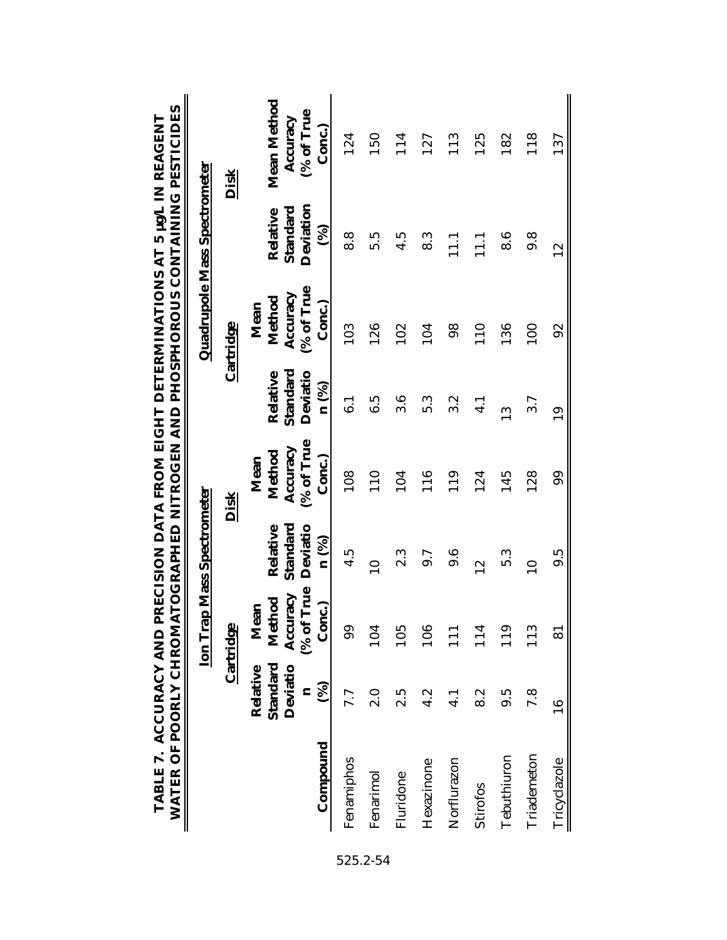|              |                                                                     |                                                    | <b>Ion Trap Mass Spectrometer</b>         |                                                    |                                           | Quadrupole Mass Spectrometer                       |                                                    |                                                 |
|--------------|---------------------------------------------------------------------|----------------------------------------------------|-------------------------------------------|----------------------------------------------------|-------------------------------------------|----------------------------------------------------|----------------------------------------------------|-------------------------------------------------|
|              |                                                                     | Cartridge                                          |                                           | <b>Disk</b>                                        |                                           | Cartridge                                          |                                                    | <b>Disk</b>                                     |
| Compound     | Standard<br>Deviatio<br>Relative<br>$\mathcal{S}$<br>$\blacksquare$ | (% of True<br>Accuracy<br>Method<br>Conc.)<br>Mean | Standard<br>Deviatio<br>Relative<br>n (%) | (% of True<br>Accuracy<br>Method<br>Conc.)<br>Mean | Standard<br>Deviatio<br>Relative<br>n (%) | (% of True<br>Accuracy<br>Method<br>Conc.)<br>Mean | Deviation<br>Standard<br>Relative<br>$\mathcal{S}$ | Mean Method<br>(% of True<br>Accuracy<br>Conc.) |
| Fenamiphos   | 7.7                                                                 | 99                                                 | $4.\overline{5}$                          | 108                                                | 6.1                                       | 103                                                | 8.8                                                | 124                                             |
| Fenarimol    | $\frac{0}{2}$                                                       | 104                                                | $\overline{10}$                           | 110                                                | 6.5                                       | 126                                                | 5.5                                                | 150                                             |
| Fluridone    | 2.5                                                                 | 105                                                | 2.3                                       | 104                                                | 3.6                                       | 102                                                | 4.5                                                | 114                                             |
| Hexazinone   | 4.2                                                                 | 106                                                | 9.7                                       | 116                                                | 5.3                                       | 104                                                | 8.3                                                | 127                                             |
| Norflurazon  | $\frac{1}{4}$                                                       | 111                                                | $9.\overline{6}$                          | 119                                                | 3.2                                       | 98                                                 | $\Xi$                                              | 113                                             |
| Stirofos     | 8.2                                                                 | 114                                                | $\frac{2}{1}$                             | 124                                                | $\frac{1}{4}$                             | 110                                                | $\frac{1}{11}$                                     | 125                                             |
| Tebuthiuron  | 9.5                                                                 | 119                                                | 5.3                                       | 145                                                | $\frac{3}{1}$                             | 136                                                | 8.6                                                | 182                                             |
| Triademeton  | 7.8                                                                 | 113                                                | $\overline{10}$                           | 128                                                | 3.7                                       | 100                                                | $\frac{8}{9}$                                      | 118                                             |
| Tricyclazole | $\overline{16}$                                                     | $\overline{8}$                                     | ე.<br>თ                                   | 99                                                 | $\overline{19}$                           | 92                                                 | $\frac{2}{1}$                                      | 137                                             |

**TABLE 7. ACCURACY AND PRECISION DATA FROM EIGHT DETERMINATIONS AT 5 µg/L IN REAGENT** ı, F

525.2-54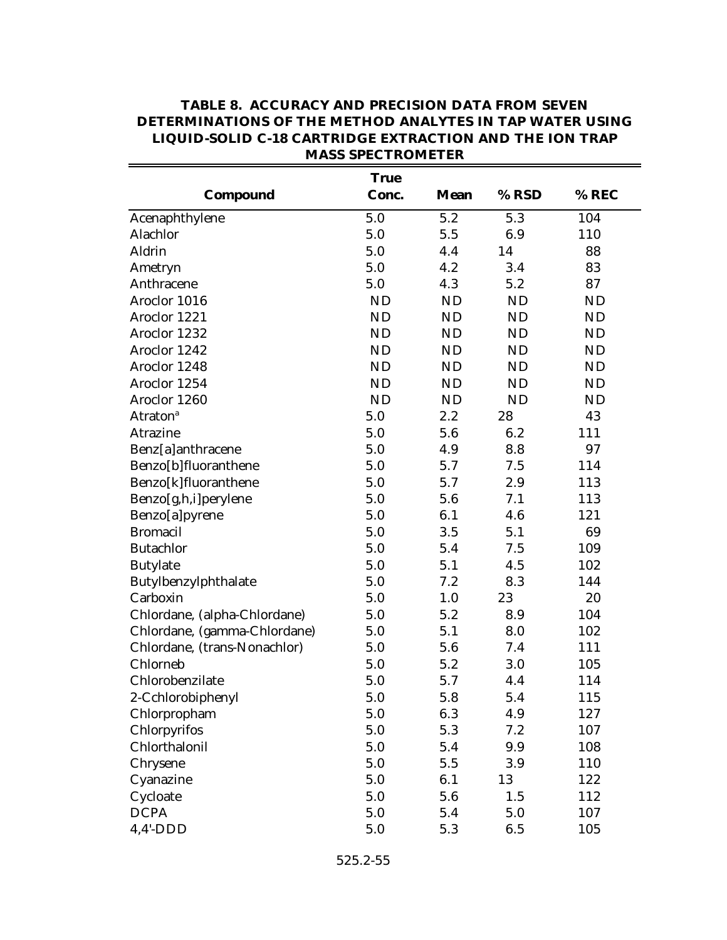|                              | <b>True</b> |             |           |           |
|------------------------------|-------------|-------------|-----------|-----------|
| Compound                     | Conc.       | <b>Mean</b> | % RSD     | % REC     |
| Acenaphthylene               | 5.0         | 5.2         | 5.3       | 104       |
| Alachlor                     | 5.0         | 5.5         | 6.9       | 110       |
| Aldrin                       | 5.0         | 4.4         | 14        | 88        |
| Ametryn                      | 5.0         | 4.2         | 3.4       | 83        |
| Anthracene                   | 5.0         | 4.3         | 5.2       | 87        |
| Aroclor 1016                 | ND          | ND          | ND        | <b>ND</b> |
| Aroclor 1221                 | <b>ND</b>   | ND          | ND        | <b>ND</b> |
| Aroclor 1232                 | ND          | ND          | ND        | ND        |
| Aroclor 1242                 | ND          | ND          | ND        | <b>ND</b> |
| Aroclor 1248                 | ND          | ND          | ND        | <b>ND</b> |
| Aroclor 1254                 | ND          | ND          | ND        | <b>ND</b> |
| Aroclor 1260                 | ND          | ND          | <b>ND</b> | <b>ND</b> |
| <b>Atraton</b> <sup>a</sup>  | 5.0         | 2.2         | 28        | 43        |
| Atrazine                     | 5.0         | 5.6         | 6.2       | 111       |
| Benz[a]anthracene            | 5.0         | 4.9         | 8.8       | 97        |
| Benzo[b]fluoranthene         | 5.0         | 5.7         | 7.5       | 114       |
| Benzo[k]fluoranthene         | 5.0         | 5.7         | 2.9       | 113       |
| Benzo[g,h,i]perylene         | 5.0         | 5.6         | 7.1       | 113       |
| Benzo[a]pyrene               | 5.0         | 6.1         | 4.6       | 121       |
| <b>Bromacil</b>              | 5.0         | 3.5         | 5.1       | 69        |
| <b>Butachlor</b>             | 5.0         | 5.4         | 7.5       | 109       |
| <b>Butylate</b>              | 5.0         | 5.1         | 4.5       | 102       |
| Butylbenzylphthalate         | 5.0         | 7.2         | 8.3       | 144       |
| Carboxin                     | 5.0         | 1.0         | 23        | 20        |
| Chlordane, (alpha-Chlordane) | 5.0         | 5.2         | 8.9       | 104       |
| Chlordane, (gamma-Chlordane) | 5.0         | 5.1         | 8.0       | 102       |
| Chlordane, (trans-Nonachlor) | 5.0         | 5.6         | 7.4       | 111       |
| Chlorneb                     | 5.0         | 5.2         | 3.0       | 105       |
| Chlorobenzilate              | 5.0         | 5.7         | 4.4       | 114       |
| 2-Cchlorobiphenyl            | 5.0         | 5.8         | 5.4       | 115       |
| Chlorpropham                 | 5.0         | 6.3         | 4.9       | 127       |
| Chlorpyrifos                 | 5.0         | 5.3         | 7.2       | 107       |
| Chlorthalonil                | 5.0         | 5.4         | 9.9       | 108       |
| Chrysene                     | 5.0         | 5.5         | 3.9       | 110       |
| Cyanazine                    | 5.0         | 6.1         | 13        | 122       |
| Cycloate                     | 5.0         | 5.6         | 1.5       | 112       |
| <b>DCPA</b>                  | 5.0         | 5.4         | 5.0       | 107       |
| $4,4'$ -DDD                  | 5.0         | 5.3         | 6.5       | 105       |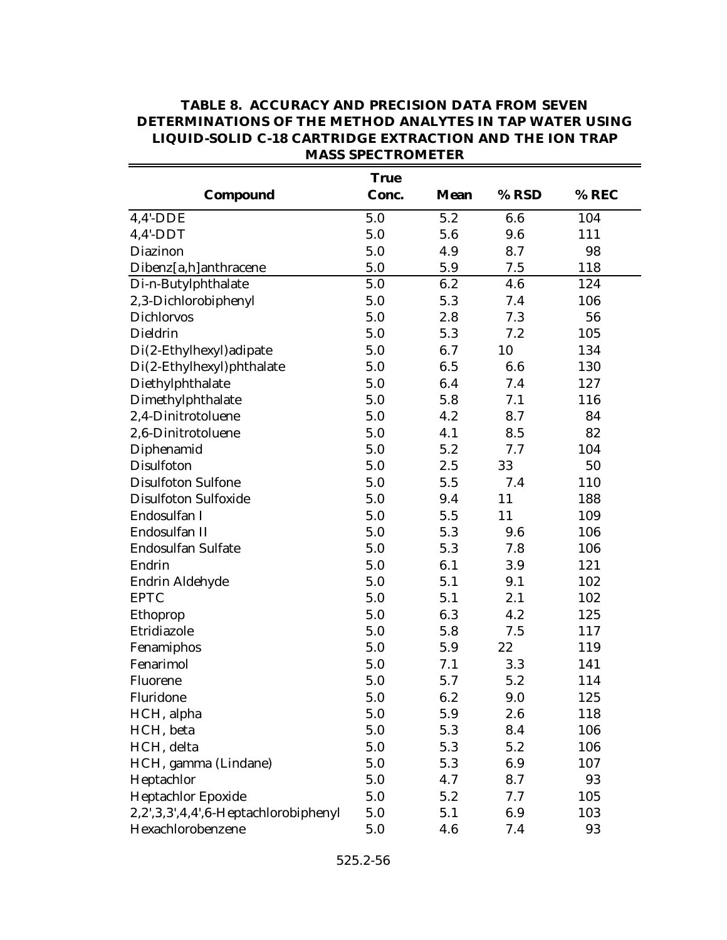|                                      | <b>True</b> |             |       |       |
|--------------------------------------|-------------|-------------|-------|-------|
| Compound                             | Conc.       | <b>Mean</b> | % RSD | % REC |
| $4,4'$ -DDE                          | 5.0         | 5.2         | 6.6   | 104   |
| $4,4'$ -DDT                          | 5.0         | 5.6         | 9.6   | 111   |
| Diazinon                             | 5.0         | 4.9         | 8.7   | 98    |
| Dibenz[a,h]anthracene                | 5.0         | 5.9         | 7.5   | 118   |
| Di-n-Butylphthalate                  | 5.0         | 6.2         | 4.6   | 124   |
| 2,3-Dichlorobiphenyl                 | 5.0         | 5.3         | 7.4   | 106   |
| <b>Dichlorvos</b>                    | 5.0         | 2.8         | 7.3   | 56    |
| Dieldrin                             | 5.0         | 5.3         | 7.2   | 105   |
| Di(2-Ethylhexyl) adipate             | 5.0         | 6.7         | 10    | 134   |
| Di(2-Ethylhexyl)phthalate            | 5.0         | 6.5         | 6.6   | 130   |
| Diethylphthalate                     | 5.0         | 6.4         | 7.4   | 127   |
| Dimethylphthalate                    | 5.0         | 5.8         | 7.1   | 116   |
| 2,4-Dinitrotoluene                   | 5.0         | 4.2         | 8.7   | 84    |
| 2,6-Dinitrotoluene                   | 5.0         | 4.1         | 8.5   | 82    |
| Diphenamid                           | 5.0         | 5.2         | 7.7   | 104   |
| Disulfoton                           | 5.0         | 2.5         | 33    | 50    |
| <b>Disulfoton Sulfone</b>            | 5.0         | 5.5         | 7.4   | 110   |
| <b>Disulfoton Sulfoxide</b>          | 5.0         | 9.4         | 11    | 188   |
| Endosulfan I                         | 5.0         | 5.5         | 11    | 109   |
| Endosulfan II                        | 5.0         | 5.3         | 9.6   | 106   |
| <b>Endosulfan Sulfate</b>            | 5.0         | 5.3         | 7.8   | 106   |
| Endrin                               | 5.0         | 6.1         | 3.9   | 121   |
| Endrin Aldehyde                      | 5.0         | 5.1         | 9.1   | 102   |
| <b>EPTC</b>                          | 5.0         | 5.1         | 2.1   | 102   |
| Ethoprop                             | 5.0         | 6.3         | 4.2   | 125   |
| Etridiazole                          | 5.0         | 5.8         | 7.5   | 117   |
| Fenamiphos                           | 5.0         | 5.9         | 22    | 119   |
| Fenarimol                            | 5.0         | 7.1         | 3.3   | 141   |
| Fluorene                             | 5.0         | 5.7         | 5.2   | 114   |
| Fluridone                            | 5.0         | 6.2         | 9.0   | 125   |
| HCH, alpha                           | 5.0         | 5.9         | 2.6   | 118   |
| HCH, beta                            | 5.0         | 5.3         | 8.4   | 106   |
| HCH, delta                           | 5.0         | 5.3         | 5.2   | 106   |
| HCH, gamma (Lindane)                 | 5.0         | 5.3         | 6.9   | 107   |
| Heptachlor                           | 5.0         | 4.7         | 8.7   | 93    |
| <b>Heptachlor Epoxide</b>            | 5.0         | 5.2         | 7.7   | 105   |
| 2,2',3,3',4,4',6-Heptachlorobiphenyl | 5.0         | 5.1         | 6.9   | 103   |
| Hexachlorobenzene                    | 5.0         | 4.6         | 7.4   | 93    |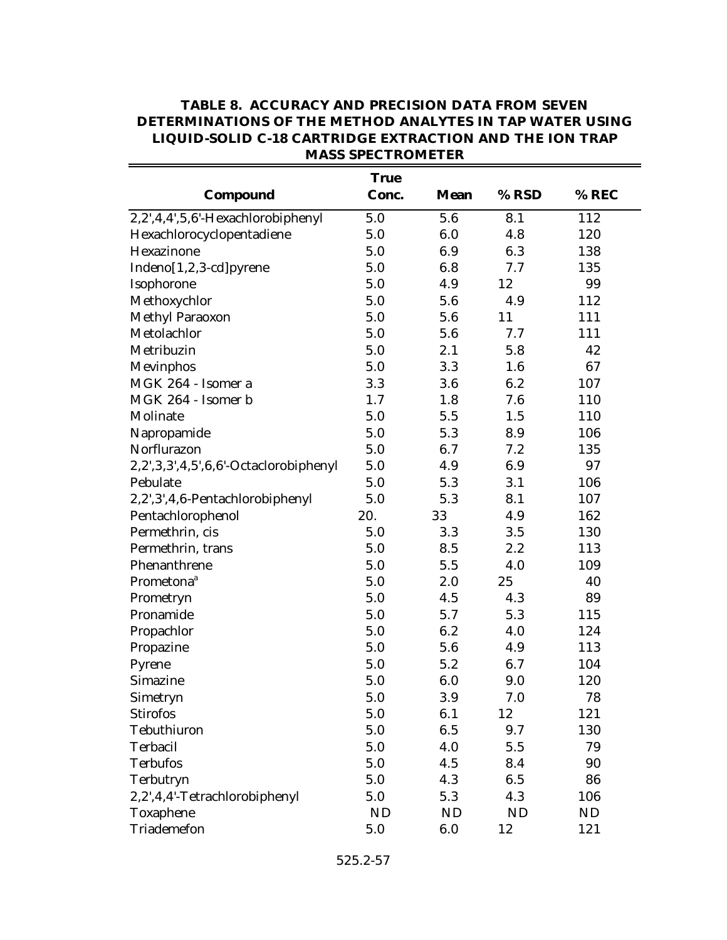|                                       | <b>True</b> |             |           |       |
|---------------------------------------|-------------|-------------|-----------|-------|
| Compound                              | Conc.       | <b>Mean</b> | % RSD     | % REC |
| 2,2',4,4',5,6'-Hexachlorobiphenyl     | 5.0         | 5.6         | 8.1       | 112   |
| Hexachlorocyclopentadiene             | 5.0         | 6.0         | 4.8       | 120   |
| Hexazinone                            | 5.0         | 6.9         | 6.3       | 138   |
| Indeno[1,2,3-cd]pyrene                | 5.0         | 6.8         | 7.7       | 135   |
| Isophorone                            | 5.0         | 4.9         | 12        | 99    |
| Methoxychlor                          | 5.0         | 5.6         | 4.9       | 112   |
| Methyl Paraoxon                       | 5.0         | 5.6         | 11        | 111   |
| Metolachlor                           | 5.0         | 5.6         | 7.7       | 111   |
| Metribuzin                            | 5.0         | 2.1         | 5.8       | 42    |
| Mevinphos                             | 5.0         | 3.3         | 1.6       | 67    |
| MGK 264 - Isomer a                    | 3.3         | 3.6         | 6.2       | 107   |
| MGK 264 - Isomer b                    | 1.7         | 1.8         | 7.6       | 110   |
| Molinate                              | 5.0         | 5.5         | 1.5       | 110   |
| Napropamide                           | 5.0         | 5.3         | 8.9       | 106   |
| Norflurazon                           | 5.0         | 6.7         | 7.2       | 135   |
| 2,2',3,3',4,5',6,6'-Octaclorobiphenyl | 5.0         | 4.9         | 6.9       | 97    |
| Pebulate                              | 5.0         | 5.3         | 3.1       | 106   |
| 2,2',3',4,6-Pentachlorobiphenyl       | 5.0         | 5.3         | 8.1       | 107   |
| Pentachlorophenol                     | 20.         | 33          | 4.9       | 162   |
| Permethrin, cis                       | 5.0         | 3.3         | 3.5       | 130   |
| Permethrin, trans                     | 5.0         | 8.5         | 2.2       | 113   |
| Phenanthrene                          | 5.0         | 5.5         | 4.0       | 109   |
| Prometona <sup>a</sup>                | 5.0         | 2.0         | 25        | 40    |
| Prometryn                             | 5.0         | 4.5         | 4.3       | 89    |
| Pronamide                             | 5.0         | 5.7         | 5.3       | 115   |
| Propachlor                            | 5.0         | 6.2         | 4.0       | 124   |
| Propazine                             | 5.0         | 5.6         | 4.9       | 113   |
| Pyrene                                | 5.0         | 5.2         | 6.7       | 104   |
| Simazine                              | 5.0         | 6.0         | 9.0       | 120   |
| Simetryn                              | 5.0         | 3.9         | 7.0       | 78    |
| <b>Stirofos</b>                       | 5.0         | 6.1         | 12        | 121   |
| Tebuthiuron                           | 5.0         | 6.5         | 9.7       | 130   |
| Terbacil                              | 5.0         | 4.0         | 5.5       | 79    |
| <b>Terbufos</b>                       | 5.0         | 4.5         | 8.4       | 90    |
| Terbutryn                             | 5.0         | 4.3         | 6.5       | 86    |
| 2,2',4,4'-Tetrachlorobiphenyl         | 5.0         | 5.3         | 4.3       | 106   |
| Toxaphene                             | <b>ND</b>   | <b>ND</b>   | <b>ND</b> | ND    |
| Triademefon                           | $5.0\,$     | 6.0         | 12        | 121   |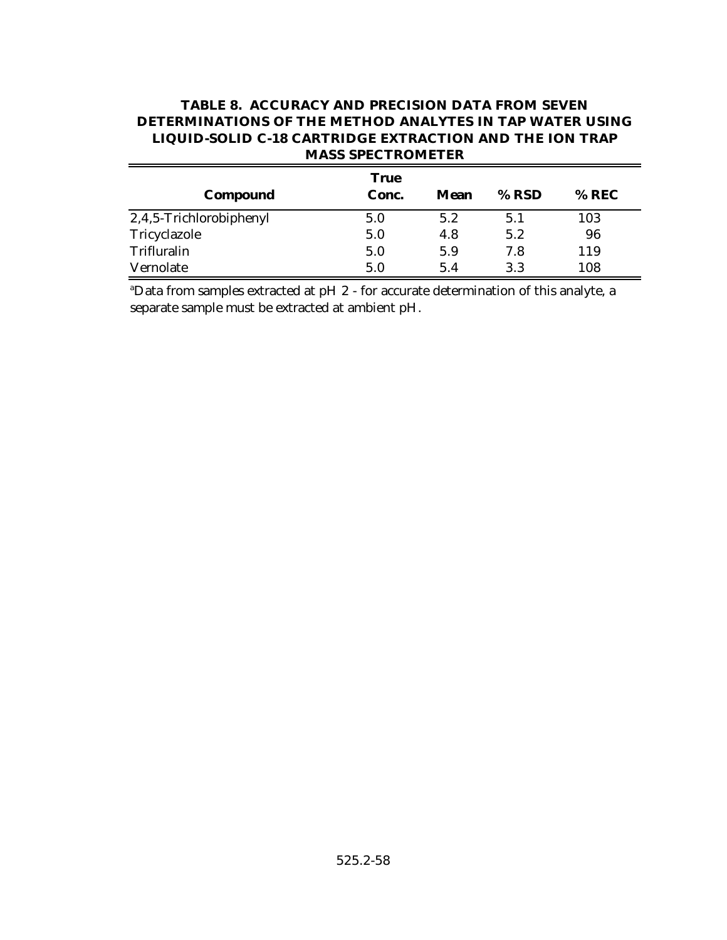| <b>TABLE 8. ACCURACY AND PRECISION DATA FROM SEVEN</b>         |
|----------------------------------------------------------------|
| DETERMINATIONS OF THE METHOD ANALYTES IN TAP WATER USING       |
| <b>LIQUID-SOLID C-18 CARTRIDGE EXTRACTION AND THE ION TRAP</b> |
| <b>MASS SPECTROMETER</b>                                       |

| Compound                | <b>True</b><br>Conc. | Mean | $%$ RSD | $%$ REC |
|-------------------------|----------------------|------|---------|---------|
| 2,4,5-Trichlorobiphenyl | 5.0                  | 5.2  | 5.1     | 103     |
| Tricyclazole            | 5.0                  | 4.8  | 5.2     | 96      |
| Trifluralin             | 5.0                  | 5.9  | 7.8     | 119     |
| Vernolate               | 5.0                  | 5.4  | 3.3     | 108     |

 $\overline{a}$  a  $\overline{a}$  bata from samples extracted at pH  $2$  - for accurate determination of this analyte, a separate sample must be extracted at ambient pH.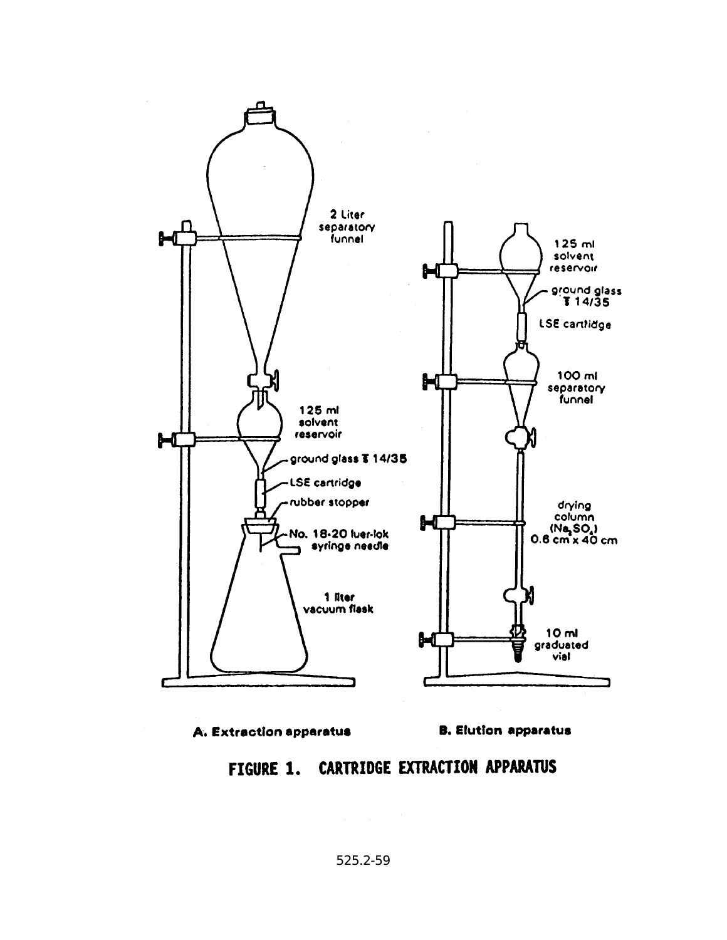